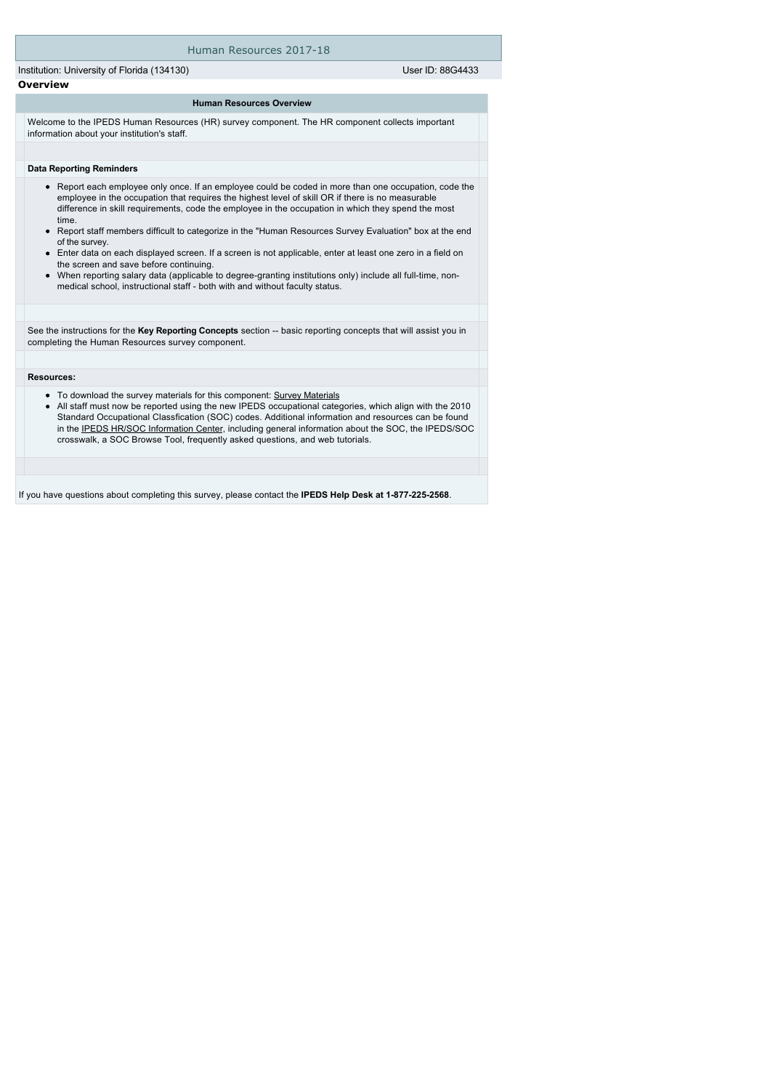#### Human Resources 2017-18

Institution: University of Florida (134130) User ID: 88G4433 **Overview**

#### **Human Resources Overview**

Welcome to the IPEDS Human Resources (HR) survey component. The HR component collects important information about your institution's staff.

#### **Data Reporting Reminders**

- Report each employee only once. If an employee could be coded in more than one occupation, code the employee in the occupation that requires the highest level of skill OR if there is no measurable difference in skill requirements, code the employee in the occupation in which they spend the most time.
- Report staff members difficult to categorize in the "Human Resources Survey Evaluation" box at the end of the survey.
- Enter data on each displayed screen. If a screen is not applicable, enter at least one zero in a field on the screen and save before continuing.
- When reporting salary data (applicable to degree-granting institutions only) include all full-time, nonmedical school, instructional staff - both with and without faculty status.

See the instructions for the Key Reporting Concepts section -- basic reporting concepts that will assist you in completing the Human Resources survey component.

#### **Resources:**

- To download the survey materials for this component: [Survey Materials](https://surveys.nces.ed.gov/ipeds/VisIndex.aspx)
- $\bullet$ All staff must now be reported using the new IPEDS occupational categories, which align with the 2010 Standard Occupational Classfication (SOC) codes. Additional information and resources can be found in the [IPEDS HR/SOC Information Center](http://nces.ed.gov/ipeds/Section/resources_soc), including general information about the SOC, the IPEDS/SOC crosswalk, a SOC Browse Tool, frequently asked questions, and web tutorials.

If you have questions about completing this survey, please contact the **IPEDS Help Desk at 1-877-225-2568**.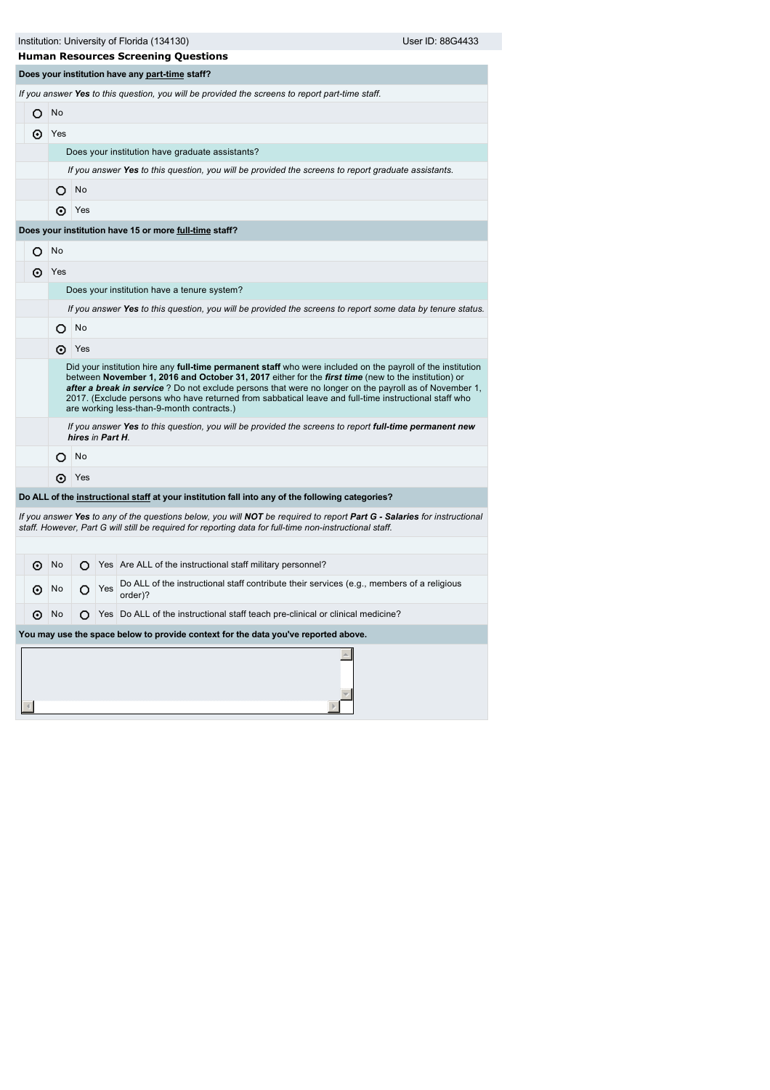Institution: University of Florida (134130) Contract the User ID: 88G4433

## **Human Resources Screening Questions**

|                                                        | Does your institution have any part-time staff? |                                                                                                                                                                                                                                                                                                                                                                                                                                                                                  |                                             |     |                                                                                                                                                                                                                                    |  |  |  |  |  |  |  |
|--------------------------------------------------------|-------------------------------------------------|----------------------------------------------------------------------------------------------------------------------------------------------------------------------------------------------------------------------------------------------------------------------------------------------------------------------------------------------------------------------------------------------------------------------------------------------------------------------------------|---------------------------------------------|-----|------------------------------------------------------------------------------------------------------------------------------------------------------------------------------------------------------------------------------------|--|--|--|--|--|--|--|
|                                                        |                                                 |                                                                                                                                                                                                                                                                                                                                                                                                                                                                                  |                                             |     | If you answer Yes to this question, you will be provided the screens to report part-time staff.                                                                                                                                    |  |  |  |  |  |  |  |
|                                                        | O                                               | No                                                                                                                                                                                                                                                                                                                                                                                                                                                                               |                                             |     |                                                                                                                                                                                                                                    |  |  |  |  |  |  |  |
|                                                        | ⊙                                               | Yes                                                                                                                                                                                                                                                                                                                                                                                                                                                                              |                                             |     |                                                                                                                                                                                                                                    |  |  |  |  |  |  |  |
|                                                        |                                                 |                                                                                                                                                                                                                                                                                                                                                                                                                                                                                  |                                             |     | Does your institution have graduate assistants?                                                                                                                                                                                    |  |  |  |  |  |  |  |
|                                                        |                                                 | If you answer Yes to this question, you will be provided the screens to report graduate assistants.                                                                                                                                                                                                                                                                                                                                                                              |                                             |     |                                                                                                                                                                                                                                    |  |  |  |  |  |  |  |
|                                                        |                                                 | O                                                                                                                                                                                                                                                                                                                                                                                                                                                                                | No                                          |     |                                                                                                                                                                                                                                    |  |  |  |  |  |  |  |
|                                                        |                                                 | ര                                                                                                                                                                                                                                                                                                                                                                                                                                                                                | Yes                                         |     |                                                                                                                                                                                                                                    |  |  |  |  |  |  |  |
| Does your institution have 15 or more full-time staff? |                                                 |                                                                                                                                                                                                                                                                                                                                                                                                                                                                                  |                                             |     |                                                                                                                                                                                                                                    |  |  |  |  |  |  |  |
|                                                        | O                                               | No                                                                                                                                                                                                                                                                                                                                                                                                                                                                               |                                             |     |                                                                                                                                                                                                                                    |  |  |  |  |  |  |  |
|                                                        | ⊙                                               | Yes                                                                                                                                                                                                                                                                                                                                                                                                                                                                              |                                             |     |                                                                                                                                                                                                                                    |  |  |  |  |  |  |  |
|                                                        |                                                 |                                                                                                                                                                                                                                                                                                                                                                                                                                                                                  | Does your institution have a tenure system? |     |                                                                                                                                                                                                                                    |  |  |  |  |  |  |  |
|                                                        |                                                 | If you answer Yes to this question, you will be provided the screens to report some data by tenure status.                                                                                                                                                                                                                                                                                                                                                                       |                                             |     |                                                                                                                                                                                                                                    |  |  |  |  |  |  |  |
|                                                        |                                                 | No<br>O                                                                                                                                                                                                                                                                                                                                                                                                                                                                          |                                             |     |                                                                                                                                                                                                                                    |  |  |  |  |  |  |  |
|                                                        |                                                 | ⊙                                                                                                                                                                                                                                                                                                                                                                                                                                                                                | Yes                                         |     |                                                                                                                                                                                                                                    |  |  |  |  |  |  |  |
|                                                        |                                                 | Did your institution hire any full-time permanent staff who were included on the payroll of the institution<br>between November 1, 2016 and October 31, 2017 either for the first time (new to the institution) or<br>after a break in service? Do not exclude persons that were no longer on the payroll as of November 1,<br>2017. (Exclude persons who have returned from sabbatical leave and full-time instructional staff who<br>are working less-than-9-month contracts.) |                                             |     |                                                                                                                                                                                                                                    |  |  |  |  |  |  |  |
|                                                        |                                                 |                                                                                                                                                                                                                                                                                                                                                                                                                                                                                  | hires in Part H.                            |     | If you answer Yes to this question, you will be provided the screens to report full-time permanent new                                                                                                                             |  |  |  |  |  |  |  |
|                                                        |                                                 | Ο                                                                                                                                                                                                                                                                                                                                                                                                                                                                                | No                                          |     |                                                                                                                                                                                                                                    |  |  |  |  |  |  |  |
|                                                        |                                                 | ⊙                                                                                                                                                                                                                                                                                                                                                                                                                                                                                | Yes                                         |     |                                                                                                                                                                                                                                    |  |  |  |  |  |  |  |
|                                                        |                                                 |                                                                                                                                                                                                                                                                                                                                                                                                                                                                                  |                                             |     | Do ALL of the instructional staff at your institution fall into any of the following categories?                                                                                                                                   |  |  |  |  |  |  |  |
|                                                        |                                                 |                                                                                                                                                                                                                                                                                                                                                                                                                                                                                  |                                             |     | If you answer Yes to any of the questions below, you will NOT be required to report Part G - Salaries for instructional<br>staff. However, Part G will still be required for reporting data for full-time non-instructional staff. |  |  |  |  |  |  |  |
|                                                        |                                                 |                                                                                                                                                                                                                                                                                                                                                                                                                                                                                  |                                             |     |                                                                                                                                                                                                                                    |  |  |  |  |  |  |  |
|                                                        | ⊙                                               | No                                                                                                                                                                                                                                                                                                                                                                                                                                                                               | O                                           |     | Yes Are ALL of the instructional staff military personnel?                                                                                                                                                                         |  |  |  |  |  |  |  |
|                                                        | ⊙                                               | No                                                                                                                                                                                                                                                                                                                                                                                                                                                                               | O                                           | Yes | Do ALL of the instructional staff contribute their services (e.g., members of a religious<br>order)?                                                                                                                               |  |  |  |  |  |  |  |
|                                                        | ⊙                                               | No                                                                                                                                                                                                                                                                                                                                                                                                                                                                               | О                                           |     | Yes Do ALL of the instructional staff teach pre-clinical or clinical medicine?                                                                                                                                                     |  |  |  |  |  |  |  |

**You may use the space below to provide context for the data you've reported above.**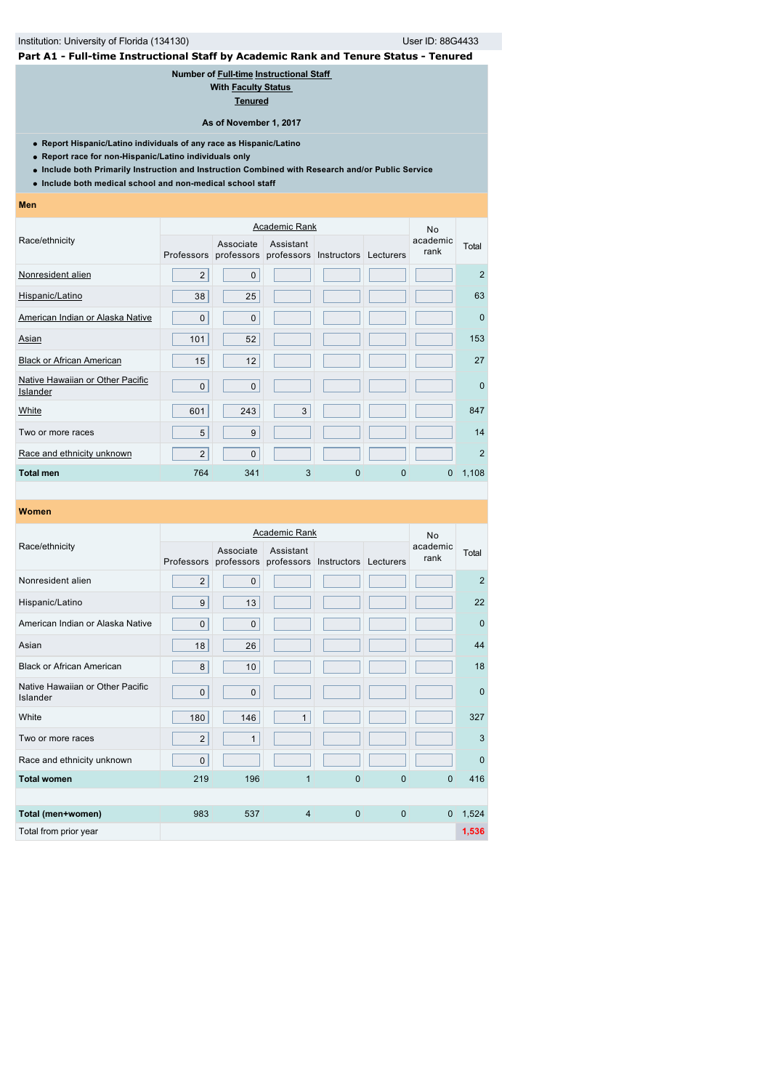# Institution: University of Florida (134130) Contract the User ID: 88G4433 **Part A1 - Full-time Instructional Staff by Academic Rank and Tenure Status - Tenured**

**Number of [Full-time](javascript:openglossary(257)) [Instructional Staff](javascript:openglossary(996))** 

**With [Faculty Status](javascript:openglossary(1009))** 

**[Tenured](javascript:openglossary(639))**

**As of November 1, 2017**

**Report Hispanic/Latino individuals of any race as Hispanic/Latino**

- **Report race for non-Hispanic/Latino individuals only**
- **Include both Primarily Instruction and Instruction Combined with Research and/or Public Service**
- **Include both medical school and non-medical school staff**

**Men**

|                                              |                   |                         | <b>No</b> |                        |           |                  |                |
|----------------------------------------------|-------------------|-------------------------|-----------|------------------------|-----------|------------------|----------------|
| Race/ethnicity                               | <b>Professors</b> | Associate<br>professors | Assistant | professors Instructors | Lecturers | academic<br>rank | Total          |
| Nonresident alien                            | $\overline{2}$    | $\mathbf 0$             |           |                        |           |                  | $\overline{2}$ |
| Hispanic/Latino                              | 38                | 25                      |           |                        |           |                  | 63             |
| American Indian or Alaska Native             | $\mathbf 0$       | $\mathbf{0}$            |           |                        |           |                  | $\mathbf 0$    |
| Asian                                        | 101               | 52                      |           |                        |           |                  | 153            |
| <b>Black or African American</b>             | 15                | 12                      |           |                        |           |                  | 27             |
| Native Hawaiian or Other Pacific<br>Islander | $\mathbf{0}$      | $\mathbf{0}$            |           |                        |           |                  | $\mathbf 0$    |
| White                                        | 601               | 243                     | 3         |                        |           |                  | 847            |
| Two or more races                            | 5                 | 9                       |           |                        |           |                  | 14             |
| Race and ethnicity unknown                   | $\overline{2}$    | $\mathbf{0}$            |           |                        |           |                  | $\overline{2}$ |
| <b>Total men</b>                             | 764               | 341                     | 3         | $\overline{0}$         | 0         | $\mathbf{0}$     | 1,108          |

|                                              |                |                         | No             |                                  |              |                  |                |
|----------------------------------------------|----------------|-------------------------|----------------|----------------------------------|--------------|------------------|----------------|
| Race/ethnicity                               | Professors     | Associate<br>professors | Assistant      | professors Instructors Lecturers |              | academic<br>rank | Total          |
| Nonresident alien                            | $\overline{2}$ | $\mathbf{0}$            |                |                                  |              |                  | $\overline{2}$ |
| Hispanic/Latino                              | 9              | 13                      |                |                                  |              |                  | 22             |
| American Indian or Alaska Native             | $\mathbf{0}$   | $\mathbf 0$             |                |                                  |              |                  | $\mathbf 0$    |
| Asian                                        | 18             | 26                      |                |                                  |              |                  | 44             |
| <b>Black or African American</b>             | 8              | 10                      |                |                                  |              |                  | 18             |
| Native Hawaiian or Other Pacific<br>Islander | $\mathbf{0}$   | $\mathbf 0$             |                |                                  |              |                  | $\mathbf{0}$   |
| White                                        | 180            | 146                     | $\mathbf{1}$   |                                  |              |                  | 327            |
| Two or more races                            | $\overline{2}$ | $\mathbf{1}$            |                |                                  |              |                  | 3              |
| Race and ethnicity unknown                   | $\pmb{0}$      |                         |                |                                  |              |                  | $\mathbf{0}$   |
| <b>Total women</b>                           | 219            | 196                     | 1              | $\mathbf 0$                      | $\mathbf{0}$ | $\Omega$         | 416            |
|                                              |                |                         |                |                                  |              |                  |                |
| Total (men+women)                            | 983            | 537                     | $\overline{4}$ | $\mathbf{0}$                     | $\mathbf{0}$ | $\mathbf{0}$     | 1,524          |
| Total from prior year                        |                |                         |                |                                  |              |                  | 1,536          |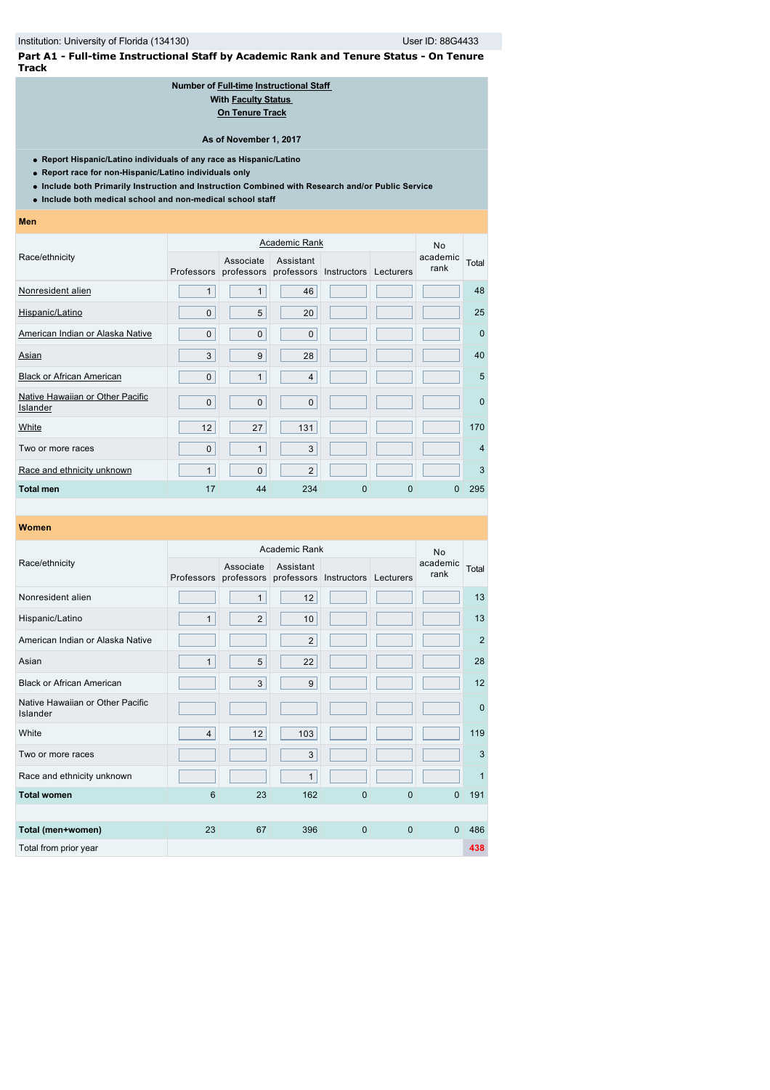|       |  | Part A1 - Full-time Instructional Staff by Academic Rank and Tenure Status - On Tenure |  |
|-------|--|----------------------------------------------------------------------------------------|--|
| Track |  |                                                                                        |  |

# **Number of [Full-time](javascript:openglossary(257)) [Instructional Staff](javascript:openglossary(996))  With [Faculty Status](javascript:openglossary(1009))  [On Tenure Track](javascript:openglossary(641)) As of November 1, 2017**

- **Report Hispanic/Latino individuals of any race as Hispanic/Latino**
- **Report race for non-Hispanic/Latino individuals only**
- **Include both Primarily Instruction and Instruction Combined with Research and/or Public Service**
- **Include both medical school and non-medical school staff**

#### **Men**

|                                              |              | <b>No</b>               |                |                                  |   |                  |                |
|----------------------------------------------|--------------|-------------------------|----------------|----------------------------------|---|------------------|----------------|
| Race/ethnicity                               | Professors   | Associate<br>professors | Assistant      | professors Instructors Lecturers |   | academic<br>rank | Total          |
| Nonresident alien                            | $\mathbf{1}$ | $\mathbf{1}$            | 46             |                                  |   |                  | 48             |
| Hispanic/Latino                              | $\mathbf 0$  | 5                       | 20             |                                  |   |                  | 25             |
| American Indian or Alaska Native             | $\mathbf 0$  | $\mathsf 0$             | $\pmb{0}$      |                                  |   |                  | $\Omega$       |
| Asian                                        | 3            | 9                       | 28             |                                  |   |                  | 40             |
| <b>Black or African American</b>             | $\mathbf 0$  | $\mathbf{1}$            | $\overline{4}$ |                                  |   |                  | 5              |
| Native Hawaiian or Other Pacific<br>Islander | $\mathbf 0$  | $\mathbf 0$             | $\mathbf 0$    |                                  |   |                  | $\mathbf 0$    |
| White                                        | 12           | 27                      | 131            |                                  |   |                  | 170            |
| Two or more races                            | $\mathbf 0$  | 1                       | 3              |                                  |   |                  | $\overline{4}$ |
| Race and ethnicity unknown                   | $\mathbf{1}$ | $\mathsf 0$             | $\overline{2}$ |                                  |   |                  | 3              |
| <b>Total men</b>                             | 17           | 44                      | 234            | 0                                | 0 | 0                | 295            |

|  |  | Women |  |
|--|--|-------|--|
|--|--|-------|--|

|                                              |                | <b>No</b>               |                |                                  |                |                  |              |
|----------------------------------------------|----------------|-------------------------|----------------|----------------------------------|----------------|------------------|--------------|
| Race/ethnicity                               | Professors     | Associate<br>professors | Assistant      | professors Instructors Lecturers |                | academic<br>rank | Total        |
| Nonresident alien                            |                | $\mathbf{1}$            | 12             |                                  |                |                  | 13           |
| Hispanic/Latino                              | $\mathbf{1}$   | $\overline{2}$          | 10             |                                  |                |                  | 13           |
| American Indian or Alaska Native             |                |                         | $\overline{2}$ |                                  |                |                  | 2            |
| Asian                                        | $\mathbf{1}$   | 5                       | 22             |                                  |                |                  | 28           |
| <b>Black or African American</b>             |                | 3                       | 9              |                                  |                |                  | 12           |
| Native Hawaiian or Other Pacific<br>Islander |                |                         |                |                                  |                |                  | $\mathbf{0}$ |
| White                                        | $\overline{4}$ | 12                      | 103            |                                  |                |                  | 119          |
| Two or more races                            |                |                         | 3              |                                  |                |                  | 3            |
| Race and ethnicity unknown                   |                |                         | $\mathbf{1}$   |                                  |                |                  | $\mathbf{1}$ |
| <b>Total women</b>                           | 6              | 23                      | 162            | $\mathbf{0}$                     | $\overline{0}$ | $\mathbf{0}$     | 191          |
|                                              |                |                         |                |                                  |                |                  |              |
| Total (men+women)                            | 23             | 67                      | 396            | $\mathbf{0}$                     | $\mathbf{0}$   | $\Omega$         | 486          |
| Total from prior year                        |                |                         |                |                                  |                |                  | 438          |
|                                              |                |                         |                |                                  |                |                  |              |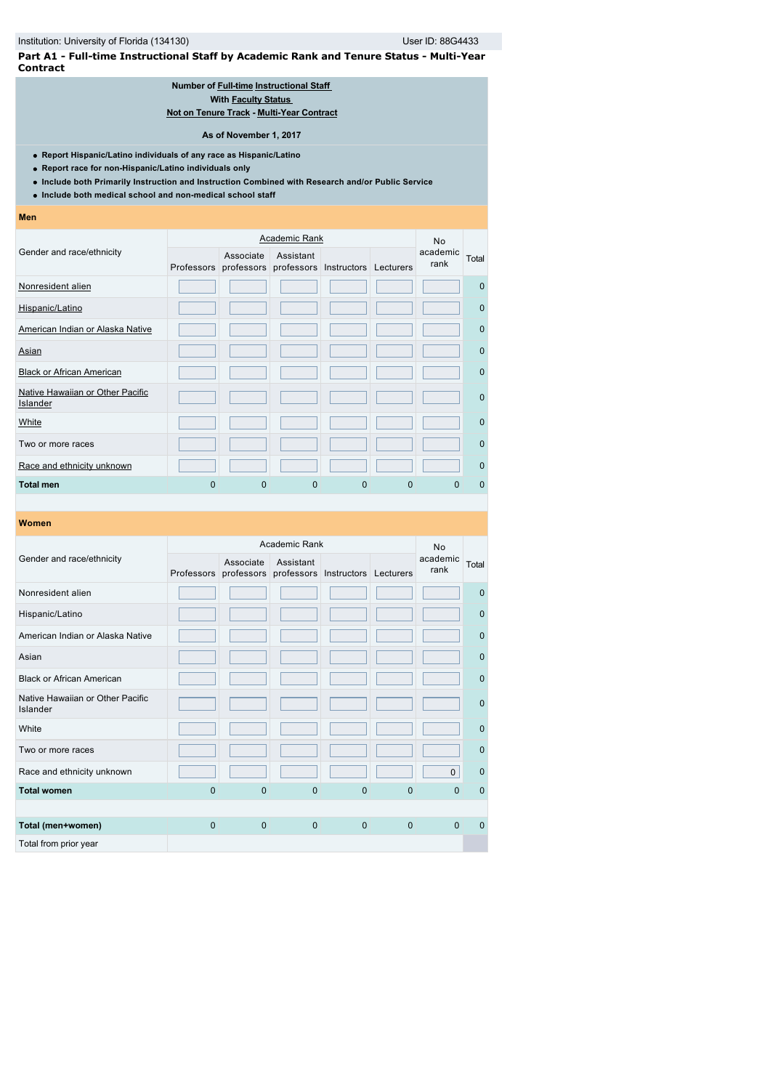**Part A1 - Full-time Instructional Staff by Academic Rank and Tenure Status - Multi-Year Contract**

## **Number of [Full-time](javascript:openglossary(257)) [Instructional Staff](javascript:openglossary(996))  With [Faculty Status](javascript:openglossary(1009))  [Not on Tenure Track](javascript:openglossary(966)) - [Multi-Year Contract](javascript:openglossary(981))**

# **As of November 1, 2017**

**Report Hispanic/Latino individuals of any race as Hispanic/Latino**

- **Report race for non-Hispanic/Latino individuals only**
- **Include both Primarily Instruction and Instruction Combined with Research and/or Public Service**
- **Include both medical school and non-medical school staff**

#### **Men**

|                                              |          |                                    | <b>No</b>               |             |           |                  |              |
|----------------------------------------------|----------|------------------------------------|-------------------------|-------------|-----------|------------------|--------------|
| Gender and race/ethnicity                    |          | Associate<br>Professors professors | Assistant<br>professors | Instructors | Lecturers | academic<br>rank | Total        |
| Nonresident alien                            |          |                                    |                         |             |           |                  | $\mathbf 0$  |
| Hispanic/Latino                              |          |                                    |                         |             |           |                  | $\mathbf 0$  |
| American Indian or Alaska Native             |          |                                    |                         |             |           |                  | $\mathbf 0$  |
| Asian                                        |          |                                    |                         |             |           |                  | $\mathbf 0$  |
| <b>Black or African American</b>             |          |                                    |                         |             |           |                  | $\Omega$     |
| Native Hawaiian or Other Pacific<br>Islander |          |                                    |                         |             |           |                  | $\mathbf{0}$ |
| White                                        |          |                                    |                         |             |           |                  | $\Omega$     |
| Two or more races                            |          |                                    |                         |             |           |                  | $\mathbf 0$  |
| Race and ethnicity unknown                   |          |                                    |                         |             |           |                  | $\mathbf{0}$ |
| <b>Total men</b>                             | $\Omega$ | 0                                  | 0                       | 0           | 0         | O                | $\Omega$     |

|                                              |             |                                                                     | <b>No</b>    |              |                |                  |              |
|----------------------------------------------|-------------|---------------------------------------------------------------------|--------------|--------------|----------------|------------------|--------------|
| Gender and race/ethnicity                    |             | Associate<br>Professors professors professors Instructors Lecturers | Assistant    |              |                | academic<br>rank | Total        |
| Nonresident alien                            |             |                                                                     |              |              |                |                  | $\mathbf{0}$ |
| Hispanic/Latino                              |             |                                                                     |              |              |                |                  | $\mathbf 0$  |
| American Indian or Alaska Native             |             |                                                                     |              |              |                |                  | $\mathbf 0$  |
| Asian                                        |             |                                                                     |              |              |                |                  | $\mathbf{0}$ |
| <b>Black or African American</b>             |             |                                                                     |              |              |                |                  | $\mathbf{0}$ |
| Native Hawaiian or Other Pacific<br>Islander |             |                                                                     |              |              |                |                  | $\mathbf{0}$ |
| White                                        |             |                                                                     |              |              |                |                  | $\mathbf{0}$ |
| Two or more races                            |             |                                                                     |              |              |                |                  | $\mathbf{0}$ |
| Race and ethnicity unknown                   |             |                                                                     |              |              |                | $\mathbf 0$      | $\mathbf{0}$ |
| <b>Total women</b>                           | $\mathbf 0$ | 0                                                                   | $\mathbf 0$  | $\mathbf{0}$ | $\overline{0}$ | $\Omega$         | $\mathbf 0$  |
|                                              |             |                                                                     |              |              |                |                  |              |
| Total (men+women)                            | $\mathbf 0$ | $\mathbf{0}$                                                        | $\mathbf{0}$ | $\mathbf{0}$ | $\Omega$       | $\Omega$         | $\Omega$     |
| Total from prior year                        |             |                                                                     |              |              |                |                  |              |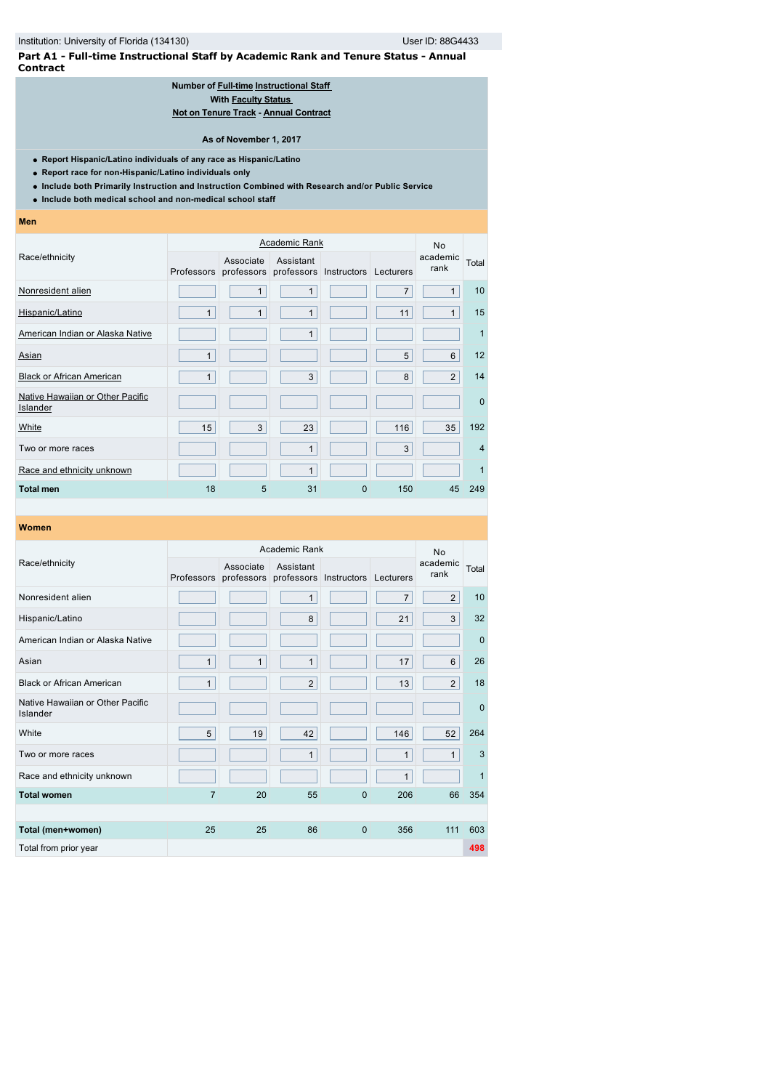**Part A1 - Full-time Instructional Staff by Academic Rank and Tenure Status - Annual Contract**

## **Number of [Full-time](javascript:openglossary(257)) [Instructional Staff](javascript:openglossary(996))  With [Faculty Status](javascript:openglossary(1009))  [Not on Tenure Track](javascript:openglossary(966)) - [Annual Contract](javascript:openglossary(979))**

## **As of November 1, 2017**

**Report Hispanic/Latino individuals of any race as Hispanic/Latino**

# **Report race for non-Hispanic/Latino individuals only**

- **Include both Primarily Instruction and Instruction Combined with Research and/or Public Service**
- **Include both medical school and non-medical school staff**

#### **Men**

|                                              |              | <b>No</b>               |                         |                    |                |                  |                |
|----------------------------------------------|--------------|-------------------------|-------------------------|--------------------|----------------|------------------|----------------|
| Race/ethnicity                               | Professors   | Associate<br>professors | Assistant<br>professors | <b>Instructors</b> | Lecturers      | academic<br>rank | Total          |
| Nonresident alien                            |              | 1                       | $\mathbf{1}$            |                    | $\overline{7}$ | 1                | 10             |
| Hispanic/Latino                              | $\mathbf{1}$ | 1                       | $\mathbf{1}$            |                    | 11             | 1                | 15             |
| American Indian or Alaska Native             |              |                         | 1                       |                    |                |                  | 1              |
| Asian                                        | $\mathbf{1}$ |                         |                         |                    | 5              | 6                | 12             |
| <b>Black or African American</b>             | 1            |                         | 3                       |                    | 8              | $\overline{2}$   | 14             |
| Native Hawaiian or Other Pacific<br>Islander |              |                         |                         |                    |                |                  | $\mathbf 0$    |
| White                                        | 15           | 3                       | 23                      |                    | 116            | 35               | 192            |
| Two or more races                            |              |                         | $\mathbf{1}$            |                    | 3              |                  | $\overline{4}$ |
| Race and ethnicity unknown                   |              |                         | $\mathbf{1}$            |                    |                |                  | 1              |
| <b>Total men</b>                             | 18           | 5                       | 31                      | 0                  | 150            | 45               | 249            |

|                                              |                |                                    | <b>No</b>    |                                  |                |                  |             |
|----------------------------------------------|----------------|------------------------------------|--------------|----------------------------------|----------------|------------------|-------------|
| Race/ethnicity                               |                | Associate<br>Professors professors | Assistant    | professors Instructors Lecturers |                | academic<br>rank | Total       |
| Nonresident alien                            |                |                                    | 1            |                                  | $\overline{7}$ | $\overline{2}$   | 10          |
| Hispanic/Latino                              |                |                                    | 8            |                                  | 21             | 3                | 32          |
| American Indian or Alaska Native             |                |                                    |              |                                  |                |                  | $\mathbf 0$ |
| Asian                                        | $\mathbf{1}$   | $\mathbf{1}$                       | 1            |                                  | 17             | 6                | 26          |
| <b>Black or African American</b>             | $\mathbf{1}$   |                                    | 2            |                                  | 13             | $\overline{2}$   | 18          |
| Native Hawaiian or Other Pacific<br>Islander |                |                                    |              |                                  |                |                  | $\mathbf 0$ |
| White                                        | 5              | 19                                 | 42           |                                  | 146            | 52               | 264         |
| Two or more races                            |                |                                    | $\mathbf{1}$ |                                  | $\mathbf{1}$   | $\mathbf{1}$     | 3           |
| Race and ethnicity unknown                   |                |                                    |              |                                  | $\mathbf{1}$   |                  | 1           |
| <b>Total women</b>                           | $\overline{7}$ | 20                                 | 55           | $\mathbf{0}$                     | 206            | 66               | 354         |
|                                              |                |                                    |              |                                  |                |                  |             |
| Total (men+women)                            | 25             | 25                                 | 86           | $\mathbf{0}$                     | 356            | 111              | 603         |
| Total from prior year                        |                |                                    |              |                                  |                |                  | 498         |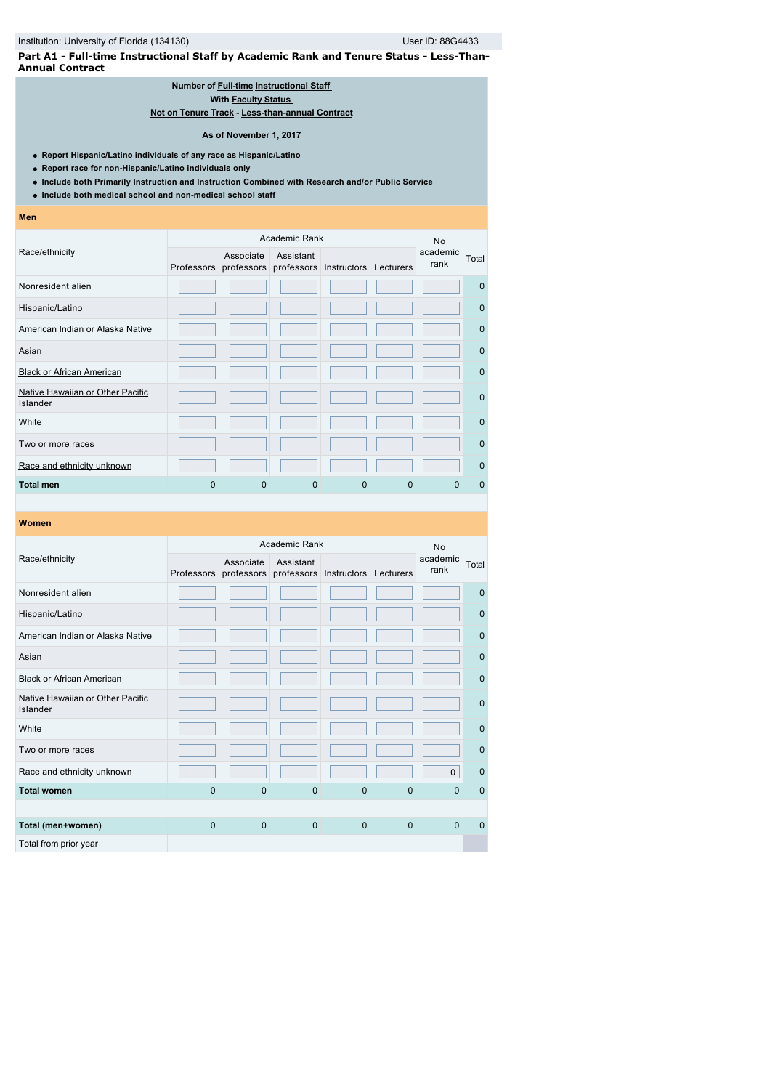## **Part A1 - Full-time Instructional Staff by Academic Rank and Tenure Status - Less-Than-Annual Contract**

## **Number of [Full-time](javascript:openglossary(257)) [Instructional Staff](javascript:openglossary(996))  With [Faculty Status](javascript:openglossary(1009))**

## **[Not on Tenure Track](javascript:openglossary(966)) - [Less-than-annual Contract](javascript:openglossary(980))**

## **As of November 1, 2017**

- **Report Hispanic/Latino individuals of any race as Hispanic/Latino**
- **Report race for non-Hispanic/Latino individuals only**
- **Include both Primarily Instruction and Instruction Combined with Research and/or Public Service**
- **Include both medical school and non-medical school staff**

#### **Men**

|                                              |          | <b>No</b>                          |                         |             |           |                  |                |
|----------------------------------------------|----------|------------------------------------|-------------------------|-------------|-----------|------------------|----------------|
| Race/ethnicity                               |          | Associate<br>Professors professors | Assistant<br>professors | Instructors | Lecturers | academic<br>rank | Total          |
| Nonresident alien                            |          |                                    |                         |             |           |                  | $\mathbf 0$    |
| Hispanic/Latino                              |          |                                    |                         |             |           |                  | $\mathbf 0$    |
| American Indian or Alaska Native             |          |                                    |                         |             |           |                  | $\mathbf 0$    |
| Asian                                        |          |                                    |                         |             |           |                  | $\mathbf 0$    |
| <b>Black or African American</b>             |          |                                    |                         |             |           |                  | $\Omega$       |
| Native Hawaiian or Other Pacific<br>Islander |          |                                    |                         |             |           |                  | $\mathbf{0}$   |
| White                                        |          |                                    |                         |             |           |                  | $\mathbf 0$    |
| Two or more races                            |          |                                    |                         |             |           |                  | $\mathbf 0$    |
| Race and ethnicity unknown                   |          |                                    |                         |             |           |                  | $\overline{0}$ |
| <b>Total men</b>                             | $\Omega$ | 0                                  | 0                       | 0           | 0         | O                | $\Omega$       |

|                                              |              | <b>No</b>               |              |                                  |              |                  |              |
|----------------------------------------------|--------------|-------------------------|--------------|----------------------------------|--------------|------------------|--------------|
| Race/ethnicity                               | Professors   | Associate<br>professors | Assistant    | professors Instructors Lecturers |              | academic<br>rank | Total        |
| Nonresident alien                            |              |                         |              |                                  |              |                  | $\Omega$     |
| Hispanic/Latino                              |              |                         |              |                                  |              |                  | $\mathbf 0$  |
| American Indian or Alaska Native             |              |                         |              |                                  |              |                  | $\mathbf 0$  |
| Asian                                        |              |                         |              |                                  |              |                  | $\mathbf 0$  |
| <b>Black or African American</b>             |              |                         |              |                                  |              |                  | $\mathbf 0$  |
| Native Hawaiian or Other Pacific<br>Islander |              |                         |              |                                  |              |                  | $\mathbf{0}$ |
| White                                        |              |                         |              |                                  |              |                  | $\mathbf{0}$ |
| Two or more races                            |              |                         |              |                                  |              |                  | $\mathbf{0}$ |
| Race and ethnicity unknown                   |              |                         |              |                                  |              | $\mathbf 0$      | $\mathbf{0}$ |
| <b>Total women</b>                           | $\mathbf{0}$ | $\overline{0}$          | $\mathbf{0}$ | $\mathbf{0}$                     | $\mathbf{0}$ | $\Omega$         | $\mathbf 0$  |
|                                              |              |                         |              |                                  |              |                  |              |
| Total (men+women)                            | $\Omega$     | $\mathbf{0}$            | $\mathbf{0}$ | $\mathbf{0}$                     | $\Omega$     | $\Omega$         | $\Omega$     |
| Total from prior year                        |              |                         |              |                                  |              |                  |              |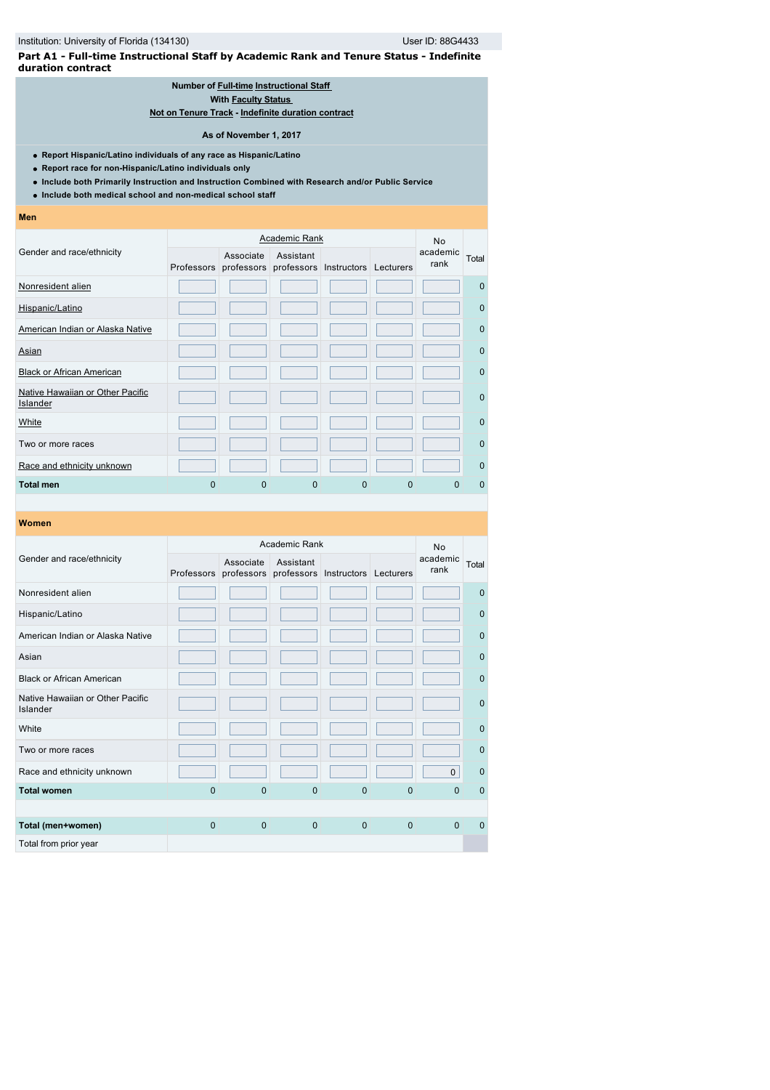## **Part A1 - Full-time Instructional Staff by Academic Rank and Tenure Status - Indefinite duration contract**

# **Number of [Full-time](javascript:openglossary(257)) [Instructional Staff](javascript:openglossary(996))**

**With [Faculty Status](javascript:openglossary(1009))** 

# **[Not on Tenure Track](javascript:openglossary(966)) - [Indefinite duration contract](javascript:openglossary(1075))**

## **As of November 1, 2017**

- **Report Hispanic/Latino individuals of any race as Hispanic/Latino**
- **Report race for non-Hispanic/Latino individuals only**
- **Include both Primarily Instruction and Instruction Combined with Research and/or Public Service**
- **Include both medical school and non-medical school staff**

#### **Men**

|                                              |   | <b>No</b>                                                 |           |   |           |                  |             |
|----------------------------------------------|---|-----------------------------------------------------------|-----------|---|-----------|------------------|-------------|
| Gender and race/ethnicity                    |   | Associate<br>Professors professors professors Instructors | Assistant |   | Lecturers | academic<br>rank | Total       |
| Nonresident alien                            |   |                                                           |           |   |           |                  | $\Omega$    |
| Hispanic/Latino                              |   |                                                           |           |   |           |                  | $\Omega$    |
| American Indian or Alaska Native             |   |                                                           |           |   |           |                  | $\mathbf 0$ |
| Asian                                        |   |                                                           |           |   |           |                  | $\Omega$    |
| <b>Black or African American</b>             |   |                                                           |           |   |           |                  | $\Omega$    |
| Native Hawaiian or Other Pacific<br>Islander |   |                                                           |           |   |           |                  | $\Omega$    |
| White                                        |   |                                                           |           |   |           |                  | $\Omega$    |
| Two or more races                            |   |                                                           |           |   |           |                  | $\Omega$    |
| Race and ethnicity unknown                   |   |                                                           |           |   |           |                  | $\mathbf 0$ |
| <b>Total men</b>                             | 0 | 0                                                         | 0         | 0 | 0         | O                | $\Omega$    |

|                                              |              | <b>No</b>                                                           |              |              |                |                  |              |
|----------------------------------------------|--------------|---------------------------------------------------------------------|--------------|--------------|----------------|------------------|--------------|
| Gender and race/ethnicity                    |              | Associate<br>Professors professors professors Instructors Lecturers | Assistant    |              |                | academic<br>rank | Total        |
| Nonresident alien                            |              |                                                                     |              |              |                |                  | $\Omega$     |
| Hispanic/Latino                              |              |                                                                     |              |              |                |                  | $\mathbf 0$  |
| American Indian or Alaska Native             |              |                                                                     |              |              |                |                  | $\mathbf 0$  |
| Asian                                        |              |                                                                     |              |              |                |                  | $\mathbf{0}$ |
| <b>Black or African American</b>             |              |                                                                     |              |              |                |                  | $\mathbf 0$  |
| Native Hawaiian or Other Pacific<br>Islander |              |                                                                     |              |              |                |                  | $\mathbf{0}$ |
| White                                        |              |                                                                     |              |              |                |                  | $\mathbf{0}$ |
| Two or more races                            |              |                                                                     |              |              |                |                  | $\mathbf{0}$ |
| Race and ethnicity unknown                   |              |                                                                     |              |              |                | $\mathbf 0$      | $\mathbf 0$  |
| <b>Total women</b>                           | $\Omega$     | 0                                                                   | $\mathbf{0}$ | 0            | $\mathbf{0}$   | $\Omega$         | $\mathbf 0$  |
|                                              |              |                                                                     |              |              |                |                  |              |
| Total (men+women)                            | $\mathbf{0}$ | $\mathbf{0}$                                                        | $\mathbf{0}$ | $\mathbf{0}$ | $\overline{0}$ | $\Omega$         | $\Omega$     |
| Total from prior year                        |              |                                                                     |              |              |                |                  |              |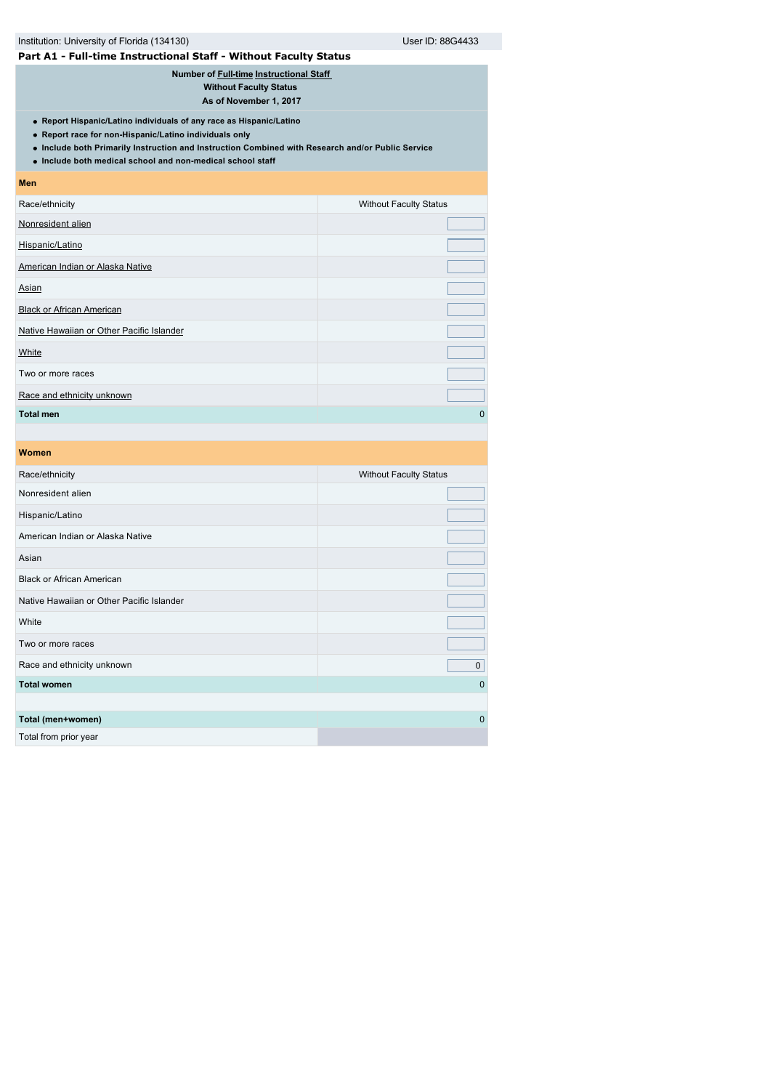| Institution: University of Florida (134130)                                                                                                                                                                                                                                                      | User ID: 88G4433              |
|--------------------------------------------------------------------------------------------------------------------------------------------------------------------------------------------------------------------------------------------------------------------------------------------------|-------------------------------|
| Part A1 - Full-time Instructional Staff - Without Faculty Status                                                                                                                                                                                                                                 |                               |
| Number of Full-time Instructional Staff<br><b>Without Faculty Status</b><br>As of November 1, 2017                                                                                                                                                                                               |                               |
| • Report Hispanic/Latino individuals of any race as Hispanic/Latino<br>• Report race for non-Hispanic/Latino individuals only<br>. Include both Primarily Instruction and Instruction Combined with Research and/or Public Service<br>. Include both medical school and non-medical school staff |                               |
| Men                                                                                                                                                                                                                                                                                              |                               |
| Race/ethnicity                                                                                                                                                                                                                                                                                   | <b>Without Faculty Status</b> |
| Nonresident alien                                                                                                                                                                                                                                                                                |                               |
| Hispanic/Latino                                                                                                                                                                                                                                                                                  |                               |
| American Indian or Alaska Native                                                                                                                                                                                                                                                                 |                               |
| <b>Asian</b>                                                                                                                                                                                                                                                                                     |                               |
| <b>Black or African American</b>                                                                                                                                                                                                                                                                 |                               |
| Native Hawaiian or Other Pacific Islander                                                                                                                                                                                                                                                        |                               |
| <b>White</b>                                                                                                                                                                                                                                                                                     |                               |
| Two or more races                                                                                                                                                                                                                                                                                |                               |
| Race and ethnicity unknown                                                                                                                                                                                                                                                                       |                               |
| <b>Total men</b>                                                                                                                                                                                                                                                                                 | $\mathbf{0}$                  |
|                                                                                                                                                                                                                                                                                                  |                               |
| <b>Women</b>                                                                                                                                                                                                                                                                                     |                               |
| Race/ethnicity                                                                                                                                                                                                                                                                                   | <b>Without Faculty Status</b> |
| Nonresident alien                                                                                                                                                                                                                                                                                |                               |
| Hispanic/Latino                                                                                                                                                                                                                                                                                  |                               |
| American Indian or Alaska Native                                                                                                                                                                                                                                                                 |                               |
| Asian                                                                                                                                                                                                                                                                                            |                               |
| <b>Black or African American</b>                                                                                                                                                                                                                                                                 |                               |
| Native Hawaiian or Other Pacific Islander                                                                                                                                                                                                                                                        |                               |
| White                                                                                                                                                                                                                                                                                            |                               |
| Two or more races                                                                                                                                                                                                                                                                                |                               |
| Race and ethnicity unknown                                                                                                                                                                                                                                                                       | 0                             |
| <b>Total women</b>                                                                                                                                                                                                                                                                               | $\mathbf 0$                   |
|                                                                                                                                                                                                                                                                                                  |                               |
| Total (men+women)                                                                                                                                                                                                                                                                                | $\mathbf 0$                   |

Total from prior year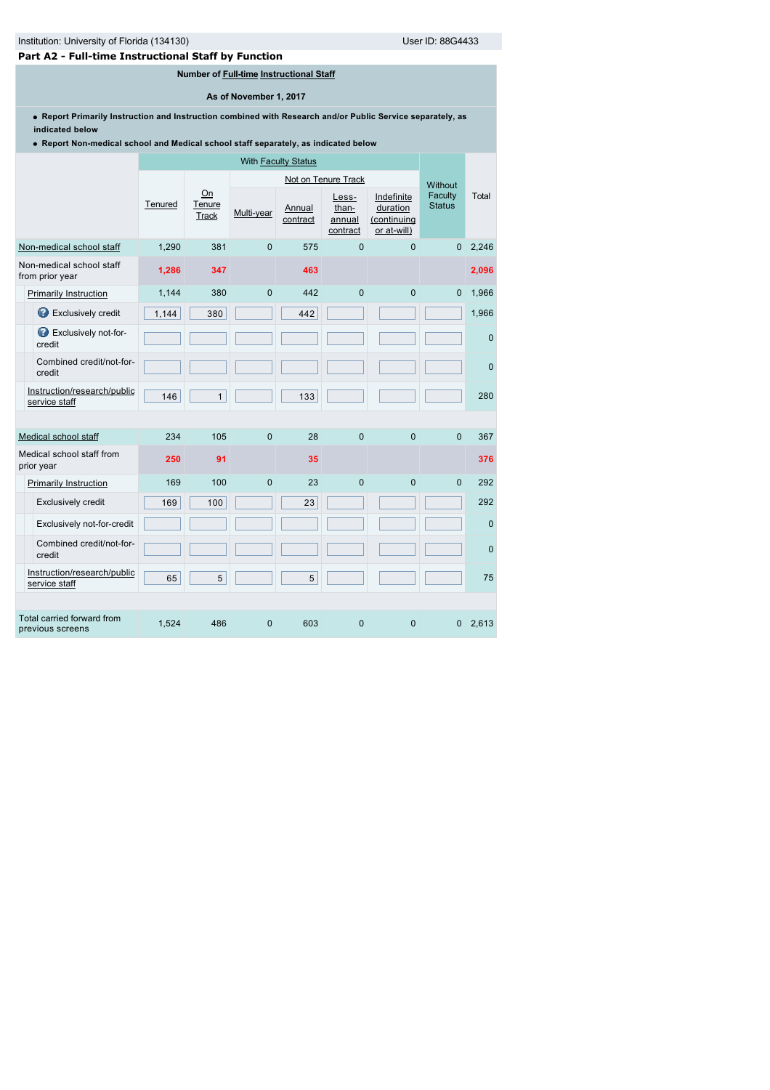# **Part A2 - Full-time Instructional Staff by Function**

# **Number of [Full-time](javascript:openglossary(257)) [Instructional Staff](javascript:openglossary(996))**

## **As of November 1, 2017**

**Report Primarily Instruction and Instruction combined with Research and/or Public Service separately, as indicated below**

**Report Non-medical school and Medical school staff separately, as indicated below**

|                                                |         | With Faculty Status   |                     |                    |                                      |                                                      |                          |                |
|------------------------------------------------|---------|-----------------------|---------------------|--------------------|--------------------------------------|------------------------------------------------------|--------------------------|----------------|
|                                                |         |                       | Not on Tenure Track |                    | Without                              |                                                      |                          |                |
|                                                | Tenured | On<br>Tenure<br>Track | Multi-year          | Annual<br>contract | Less-<br>than-<br>annual<br>contract | Indefinite<br>duration<br>(continuing<br>or at-will) | Faculty<br><b>Status</b> | Total          |
| Non-medical school staff                       | 1,290   | 381                   | $\Omega$            | 575                | $\Omega$                             | $\Omega$                                             | $\Omega$                 | 2,246          |
| Non-medical school staff<br>from prior year    | 1,286   | 347                   |                     | 463                |                                      |                                                      |                          | 2,096          |
| <b>Primarily Instruction</b>                   | 1,144   | 380                   | $\mathbf 0$         | 442                | $\mathbf{0}$                         | $\overline{0}$                                       | $\mathbf{0}$             | 1,966          |
| Exclusively credit                             | 1,144   | 380                   |                     | 442                |                                      |                                                      |                          | 1,966          |
| Ø<br>Exclusively not-for-<br>credit            |         |                       |                     |                    |                                      |                                                      |                          | $\mathbf 0$    |
| Combined credit/not-for-<br>credit             |         |                       |                     |                    |                                      |                                                      |                          | $\overline{0}$ |
| Instruction/research/public<br>service staff   | 146     | $\mathbf{1}$          |                     | 133                |                                      |                                                      |                          | 280            |
|                                                |         |                       |                     |                    |                                      |                                                      |                          |                |
| Medical school staff                           | 234     | 105                   | $\overline{0}$      | 28                 | $\mathbf{0}$                         | $\mathbf 0$                                          | $\mathbf{0}$             | 367            |
| Medical school staff from<br>prior year        | 250     | 91                    |                     | 35                 |                                      |                                                      |                          | 376            |
| <b>Primarily Instruction</b>                   | 169     | 100                   | $\overline{0}$      | 23                 | $\overline{0}$                       | $\overline{0}$                                       | $\mathbf{0}$             | 292            |
| <b>Exclusively credit</b>                      | 169     | 100                   |                     | 23                 |                                      |                                                      |                          | 292            |
| Exclusively not-for-credit                     |         |                       |                     |                    |                                      |                                                      |                          | $\mathbf 0$    |
| Combined credit/not-for-<br>credit             |         |                       |                     |                    |                                      |                                                      |                          | $\overline{0}$ |
| Instruction/research/public<br>service staff   | 65      | $\overline{5}$        |                     | $5\phantom{.0}$    |                                      |                                                      |                          | 75             |
|                                                |         |                       |                     |                    |                                      |                                                      |                          |                |
| Total carried forward from<br>previous screens | 1,524   | 486                   | $\overline{0}$      | 603                | $\overline{0}$                       | $\overline{0}$                                       | $\mathbf{0}$             | 2,613          |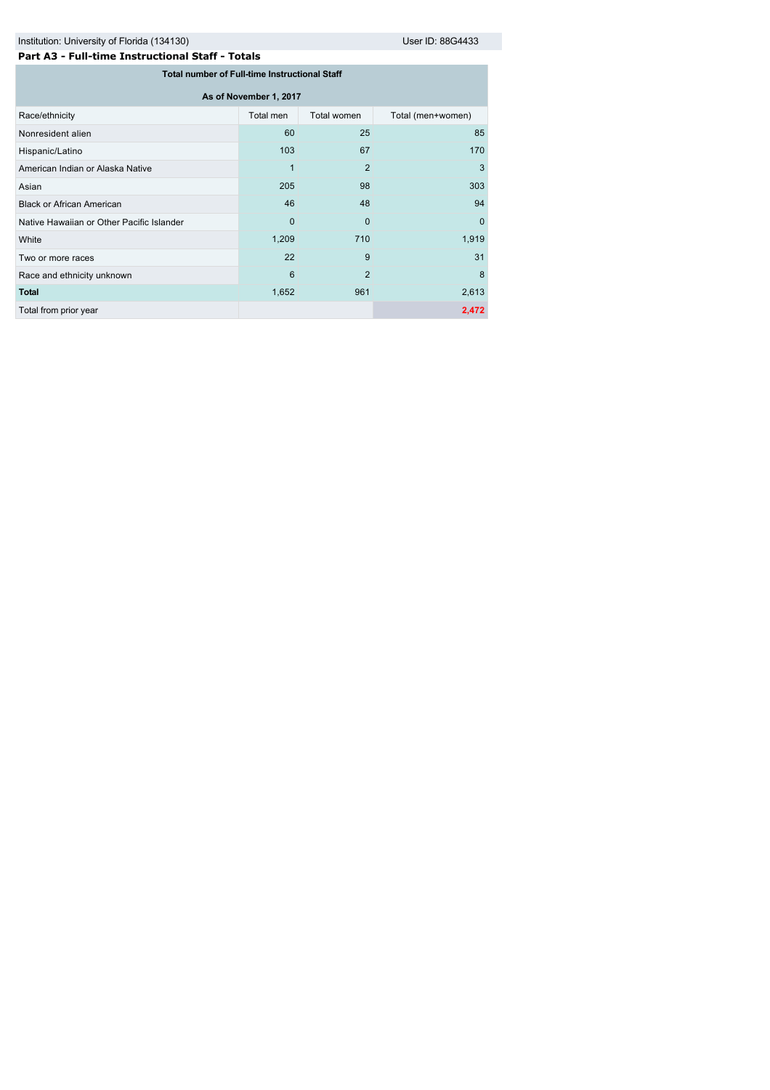| Part A3 - Full-time Instructional Staff - Totals |  |
|--------------------------------------------------|--|
|--------------------------------------------------|--|

| <b>Total number of Full-time Instructional Staff</b> |           |                |                   |  |  |  |  |
|------------------------------------------------------|-----------|----------------|-------------------|--|--|--|--|
| As of November 1, 2017                               |           |                |                   |  |  |  |  |
| Race/ethnicity                                       | Total men | Total women    | Total (men+women) |  |  |  |  |
| Nonresident alien                                    | 60        | 25             | 85                |  |  |  |  |
| Hispanic/Latino                                      | 103       | 67             | 170               |  |  |  |  |
| American Indian or Alaska Native                     | 1         | $\overline{2}$ | 3                 |  |  |  |  |
| Asian                                                | 205       | 98             | 303               |  |  |  |  |
| <b>Black or African American</b>                     | 46        | 48             | 94                |  |  |  |  |
| Native Hawaiian or Other Pacific Islander            | $\Omega$  | $\Omega$       | $\Omega$          |  |  |  |  |
| White                                                | 1,209     | 710            | 1,919             |  |  |  |  |
| Two or more races                                    | 22        | 9              | 31                |  |  |  |  |
| Race and ethnicity unknown                           | 6         | $\overline{2}$ | 8                 |  |  |  |  |
| <b>Total</b>                                         | 1,652     | 961            | 2,613             |  |  |  |  |
| Total from prior year                                |           |                | 2,472             |  |  |  |  |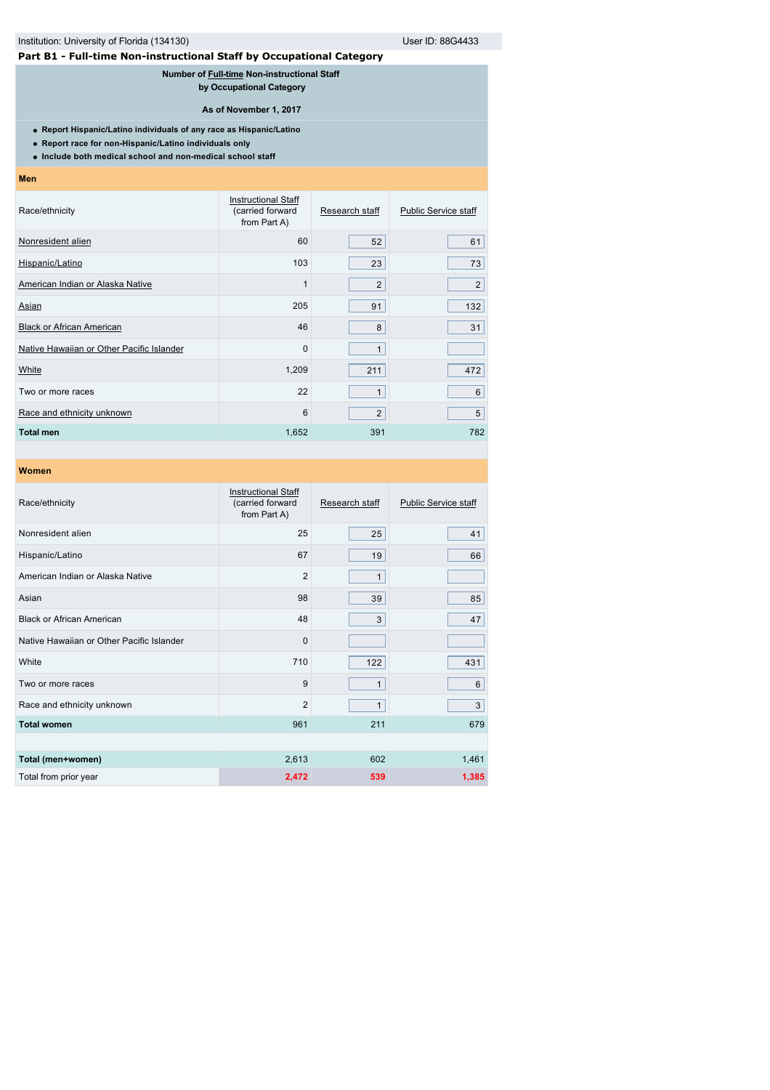# **Part B1 - Full-time Non-instructional Staff by Occupational Category**

**Number of [Full-time](javascript:openglossary(257)) Non-instructional Staff** 

**by Occupational Category**

**As of November 1, 2017**

**Report Hispanic/Latino individuals of any race as Hispanic/Latino**

**Report race for non-Hispanic/Latino individuals only**

**Include both medical school and non-medical school staff**

**Men**

| <b>Instructional Staff</b><br>(carried forward<br>from Part A) | Research staff | <b>Public Service staff</b> |
|----------------------------------------------------------------|----------------|-----------------------------|
| 60                                                             | 52             | 61                          |
| 103                                                            | 23             | 73                          |
| 1                                                              | $\overline{2}$ | $\overline{2}$              |
| 205                                                            | 91             | 132                         |
| 46                                                             | 8              | 31                          |
| $\mathbf 0$                                                    | 1              |                             |
| 1,209                                                          | 211            | 472                         |
| 22                                                             | 1              | 6                           |
| 6                                                              | 2              | 5                           |
| 1,652                                                          | 391            | 782                         |
|                                                                |                |                             |

| <b>Instructional Staff</b><br>(carried forward<br>from Part A) | Research staff | <b>Public Service staff</b> |
|----------------------------------------------------------------|----------------|-----------------------------|
| 25                                                             | 25             | 41                          |
| 67                                                             | 19             | 66                          |
| $\overline{2}$                                                 | $\mathbf{1}$   |                             |
| 98                                                             | 39             | 85                          |
| 48                                                             | 3              | 47                          |
| $\mathbf{0}$                                                   |                |                             |
| 710                                                            | 122            | 431                         |
| 9                                                              | $\mathbf{1}$   | 6                           |
| $\overline{2}$                                                 | $\mathbf{1}$   | 3                           |
| 961                                                            | 211            | 679                         |
|                                                                |                |                             |
| 2,613                                                          | 602            | 1,461                       |
| 2,472                                                          | 539            | 1,385                       |
|                                                                |                |                             |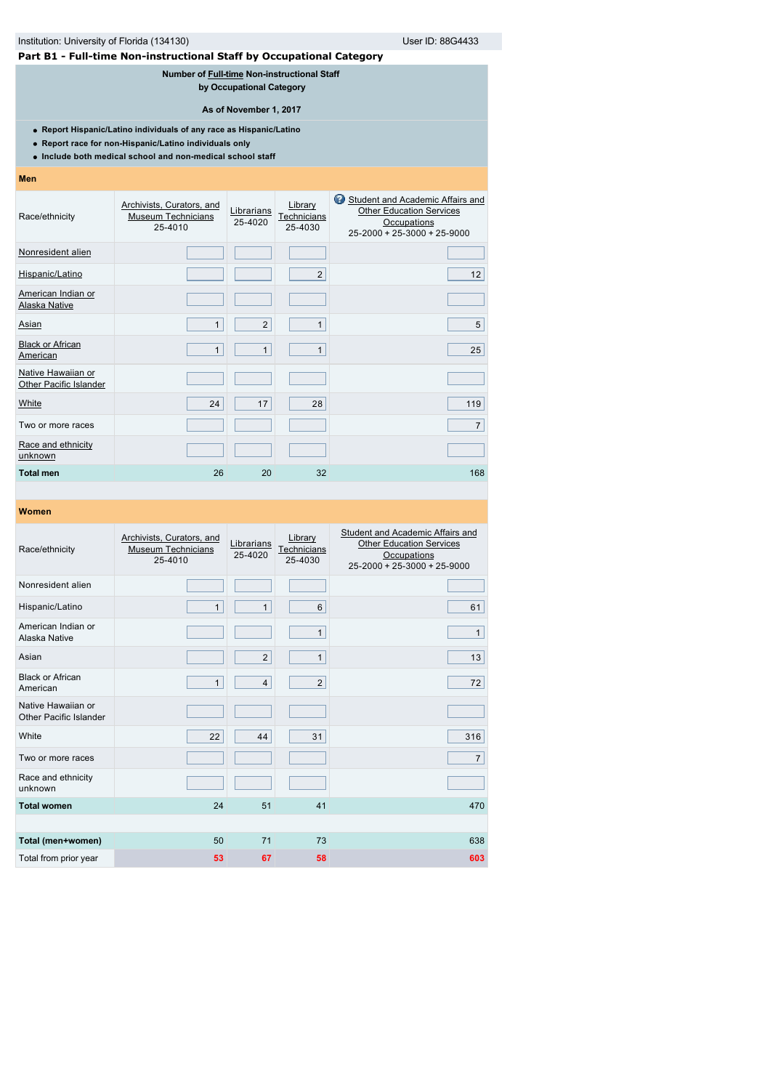| Institution: University of Florida (134130)                                                                                                                                                 |                                                                   |                       |                                   | User ID: 88G4433                                                                                                          |  |  |  |  |
|---------------------------------------------------------------------------------------------------------------------------------------------------------------------------------------------|-------------------------------------------------------------------|-----------------------|-----------------------------------|---------------------------------------------------------------------------------------------------------------------------|--|--|--|--|
| Part B1 - Full-time Non-instructional Staff by Occupational Category                                                                                                                        |                                                                   |                       |                                   |                                                                                                                           |  |  |  |  |
| <b>Number of Full-time Non-instructional Staff</b><br>by Occupational Category<br>As of November 1, 2017                                                                                    |                                                                   |                       |                                   |                                                                                                                           |  |  |  |  |
| • Report Hispanic/Latino individuals of any race as Hispanic/Latino<br>• Report race for non-Hispanic/Latino individuals only<br>• Include both medical school and non-medical school staff |                                                                   |                       |                                   |                                                                                                                           |  |  |  |  |
| <b>Men</b>                                                                                                                                                                                  |                                                                   |                       |                                   |                                                                                                                           |  |  |  |  |
| Race/ethnicity                                                                                                                                                                              | Archivists, Curators, and<br><b>Museum Technicians</b><br>25-4010 | Librarians<br>25-4020 | Library<br>Technicians<br>25-4030 | Student and Academic Affairs and<br><b>Other Education Services</b><br>Occupations<br>$25 - 2000 + 25 - 3000 + 25 - 9000$ |  |  |  |  |
| Nonresident alien                                                                                                                                                                           |                                                                   |                       |                                   |                                                                                                                           |  |  |  |  |
| Hispanic/Latino                                                                                                                                                                             |                                                                   |                       | $\overline{2}$                    | 12 <sup>2</sup>                                                                                                           |  |  |  |  |
| American Indian or<br><b>Alaska Native</b>                                                                                                                                                  |                                                                   |                       |                                   |                                                                                                                           |  |  |  |  |
| Asian                                                                                                                                                                                       | $\mathbf{1}$                                                      | $\overline{2}$        | $\mathbf{1}$                      | 5                                                                                                                         |  |  |  |  |
| <b>Black or African</b><br>American                                                                                                                                                         | $\mathbf{1}$                                                      | $\mathbf{1}$          | $\mathbf{1}$                      | 25                                                                                                                        |  |  |  |  |
| Native Hawaiian or<br>Other Pacific Islander                                                                                                                                                |                                                                   |                       |                                   |                                                                                                                           |  |  |  |  |
| White                                                                                                                                                                                       | 24                                                                | 17                    | 28                                | 119                                                                                                                       |  |  |  |  |

Two or more races **7 The contract of the contract of the contract of the contract of the contract of the contract of the contract of the contract of the contract of the contract of the contract of the contract of the con** 

**Total men** 26 20 32 20 32 20 32

# **Women**

[Race and ethnicity](javascript:openglossary(543)) unknown

| Race/ethnicity                               | Archivists, Curators, and<br><b>Museum Technicians</b><br>25-4010 | Librarians<br>25-4020 | Library<br>Technicians<br>25-4030 | Student and Academic Affairs and<br><b>Other Education Services</b><br>Occupations<br>$25 - 2000 + 25 - 3000 + 25 - 9000$ |
|----------------------------------------------|-------------------------------------------------------------------|-----------------------|-----------------------------------|---------------------------------------------------------------------------------------------------------------------------|
| Nonresident alien                            |                                                                   |                       |                                   |                                                                                                                           |
| Hispanic/Latino                              | $\mathbf{1}$                                                      | $\mathbf{1}$          | 6                                 | 61                                                                                                                        |
| American Indian or<br>Alaska Native          |                                                                   |                       | $\mathbf{1}$                      | $\mathbf{1}$                                                                                                              |
| Asian                                        |                                                                   | $\overline{2}$        | $\mathbf{1}$                      | 13                                                                                                                        |
| <b>Black or African</b><br>American          | $\mathbf{1}$                                                      | $\overline{4}$        | $\overline{2}$                    | 72                                                                                                                        |
| Native Hawaiian or<br>Other Pacific Islander |                                                                   |                       |                                   |                                                                                                                           |
| White                                        | 22                                                                | 44                    | 31                                | 316                                                                                                                       |
| Two or more races                            |                                                                   |                       |                                   | $\overline{7}$                                                                                                            |
| Race and ethnicity<br>unknown                |                                                                   |                       |                                   |                                                                                                                           |
| <b>Total women</b>                           | 24                                                                | 51                    | 41                                | 470                                                                                                                       |
|                                              |                                                                   |                       |                                   |                                                                                                                           |
| Total (men+women)                            | 50                                                                | 71                    | 73                                | 638                                                                                                                       |
| Total from prior year                        | 53                                                                | 67                    | 58                                | 603                                                                                                                       |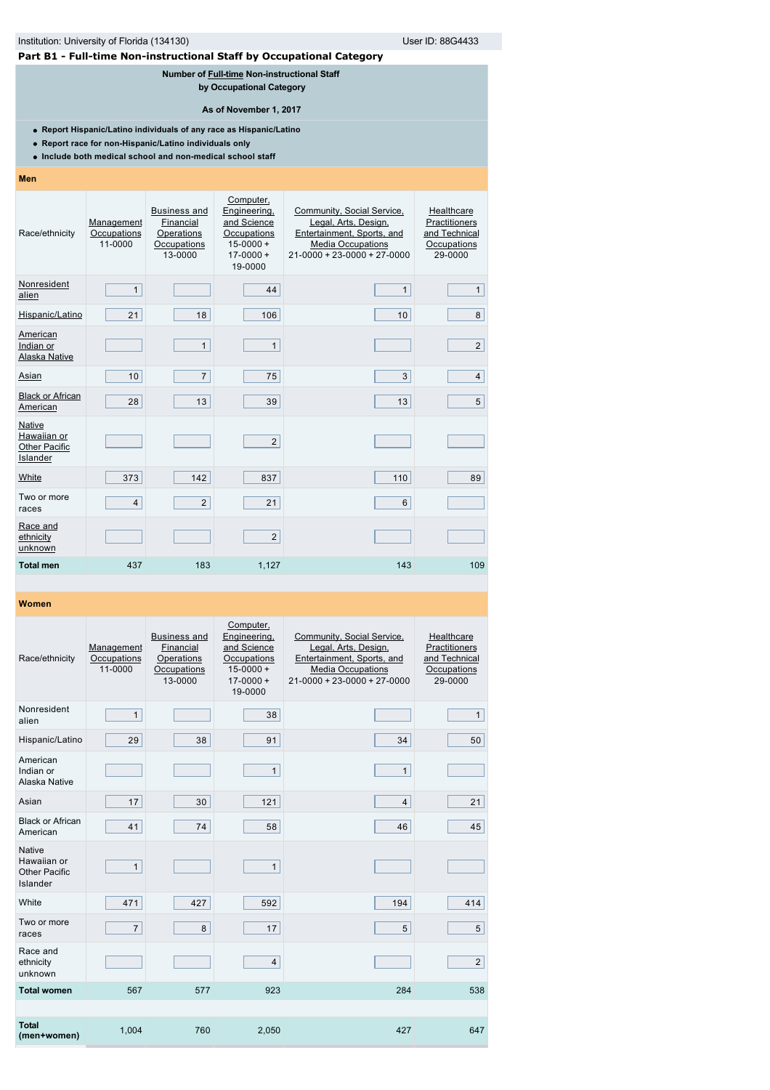| User $ID: 88G4433$<br>Institution: University of Florida (134130)                                                                                                                           |                                      |                                                                          |                                                                                                      |                                                                                                                                               |                                                                        |  |  |  |  |  |
|---------------------------------------------------------------------------------------------------------------------------------------------------------------------------------------------|--------------------------------------|--------------------------------------------------------------------------|------------------------------------------------------------------------------------------------------|-----------------------------------------------------------------------------------------------------------------------------------------------|------------------------------------------------------------------------|--|--|--|--|--|
| Part B1 - Full-time Non-instructional Staff by Occupational Category                                                                                                                        |                                      |                                                                          |                                                                                                      |                                                                                                                                               |                                                                        |  |  |  |  |  |
| Number of Full-time Non-instructional Staff<br>by Occupational Category                                                                                                                     |                                      |                                                                          |                                                                                                      |                                                                                                                                               |                                                                        |  |  |  |  |  |
| As of November 1, 2017                                                                                                                                                                      |                                      |                                                                          |                                                                                                      |                                                                                                                                               |                                                                        |  |  |  |  |  |
| • Report Hispanic/Latino individuals of any race as Hispanic/Latino<br>• Report race for non-Hispanic/Latino individuals only<br>. Include both medical school and non-medical school staff |                                      |                                                                          |                                                                                                      |                                                                                                                                               |                                                                        |  |  |  |  |  |
| Men                                                                                                                                                                                         |                                      |                                                                          |                                                                                                      |                                                                                                                                               |                                                                        |  |  |  |  |  |
| Race/ethnicity                                                                                                                                                                              | Management<br>Occupations<br>11-0000 | <b>Business and</b><br>Financial<br>Operations<br>Occupations<br>13-0000 | Computer,<br>Engineering,<br>and Science<br>Occupations<br>$15 - 0000 +$<br>$17 - 0000 +$<br>19-0000 | Community, Social Service,<br>Legal, Arts, Design,<br>Entertainment, Sports, and<br><b>Media Occupations</b><br>$21-0000 + 23-0000 + 27-0000$ | Healthcare<br>Practitioners<br>and Technical<br>Occupations<br>29-0000 |  |  |  |  |  |
| Nonresident<br>alien                                                                                                                                                                        | $\mathbf{1}$                         |                                                                          | 44                                                                                                   | $\mathbf{1}$                                                                                                                                  | $\mathbf{1}$                                                           |  |  |  |  |  |
| Hispanic/Latino                                                                                                                                                                             | 21                                   | 18                                                                       | 106                                                                                                  | 10 <sup>1</sup>                                                                                                                               | 8                                                                      |  |  |  |  |  |
| American<br>Indian or<br>Alaska Native                                                                                                                                                      |                                      | $\mathbf{1}$                                                             | $\mathbf{1}$                                                                                         |                                                                                                                                               | $\overline{2}$                                                         |  |  |  |  |  |
| Asian                                                                                                                                                                                       | 10 <sup>1</sup>                      | $\overline{7}$                                                           | 75                                                                                                   | 3                                                                                                                                             | 4                                                                      |  |  |  |  |  |
| <b>Black or African</b><br>American                                                                                                                                                         | 28                                   | 13                                                                       | 39                                                                                                   | 13                                                                                                                                            | 5                                                                      |  |  |  |  |  |
| Native<br>Hawaiian or<br><b>Other Pacific</b><br>Islander                                                                                                                                   |                                      |                                                                          | $\overline{2}$                                                                                       |                                                                                                                                               |                                                                        |  |  |  |  |  |
| White                                                                                                                                                                                       | 373                                  | 142                                                                      | 837                                                                                                  | 110                                                                                                                                           | 89                                                                     |  |  |  |  |  |
| Two or more<br>races                                                                                                                                                                        | $\overline{4}$                       | $\overline{2}$                                                           | 21                                                                                                   | 6                                                                                                                                             |                                                                        |  |  |  |  |  |
| Race and<br>ethnicity<br>unknown                                                                                                                                                            |                                      |                                                                          | $\overline{2}$                                                                                       |                                                                                                                                               |                                                                        |  |  |  |  |  |
| <b>Total men</b>                                                                                                                                                                            | 437                                  | 183                                                                      | 1,127                                                                                                | 143                                                                                                                                           | 109                                                                    |  |  |  |  |  |

| Race/ethnicity                                            | Management<br>Occupations<br>11-0000 | <b>Business and</b><br>Financial<br>Operations<br>Occupations<br>13-0000 | Computer,<br>Engineering,<br>and Science<br>Occupations<br>$15 - 0000 +$<br>$17 - 0000 +$<br>19-0000 | Community, Social Service,<br>Legal, Arts, Design,<br>Entertainment, Sports, and<br><b>Media Occupations</b><br>$21 - 0000 + 23 - 0000 + 27 - 0000$ | Healthcare<br>Practitioners<br>and Technical<br>Occupations<br>29-0000 |
|-----------------------------------------------------------|--------------------------------------|--------------------------------------------------------------------------|------------------------------------------------------------------------------------------------------|-----------------------------------------------------------------------------------------------------------------------------------------------------|------------------------------------------------------------------------|
| Nonresident<br>alien                                      | $\mathbf{1}$                         |                                                                          | 38                                                                                                   |                                                                                                                                                     | $\mathbf{1}$                                                           |
| Hispanic/Latino                                           | 29                                   | 38                                                                       | 91                                                                                                   | 34                                                                                                                                                  | 50                                                                     |
| American<br>Indian or<br>Alaska Native                    |                                      |                                                                          | 1                                                                                                    | $\mathbf{1}$                                                                                                                                        |                                                                        |
| Asian                                                     | 17                                   | 30                                                                       | 121                                                                                                  | $\overline{4}$                                                                                                                                      | 21                                                                     |
| <b>Black or African</b><br>American                       | 41                                   | 74                                                                       | 58                                                                                                   | 46                                                                                                                                                  | 45                                                                     |
| <b>Native</b><br>Hawaiian or<br>Other Pacific<br>Islander | $\mathbf{1}$                         |                                                                          | $\mathbf{1}$                                                                                         |                                                                                                                                                     |                                                                        |
| White                                                     | 471                                  | 427                                                                      | 592                                                                                                  | 194                                                                                                                                                 | 414                                                                    |
| Two or more<br>races                                      | $\overline{7}$                       | 8                                                                        | 17                                                                                                   | 5                                                                                                                                                   | 5                                                                      |
| Race and<br>ethnicity<br>unknown                          |                                      |                                                                          | $\overline{4}$                                                                                       |                                                                                                                                                     | $\overline{2}$                                                         |
| <b>Total women</b>                                        | 567                                  | 577                                                                      | 923                                                                                                  | 284                                                                                                                                                 | 538                                                                    |
|                                                           |                                      |                                                                          |                                                                                                      |                                                                                                                                                     |                                                                        |
| <b>Total</b><br>(men+women)                               | 1.004                                | 760                                                                      | 2,050                                                                                                | 427                                                                                                                                                 | 647                                                                    |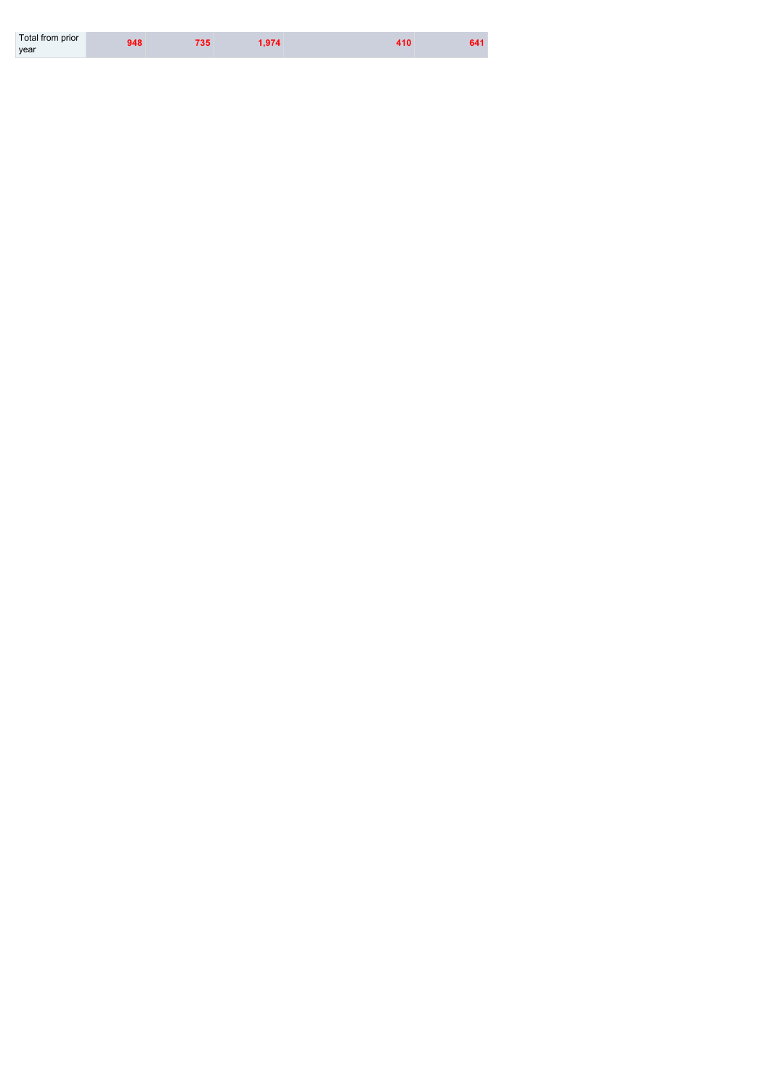| Total from prior<br>year | 948 | .974 | 110 |  |
|--------------------------|-----|------|-----|--|
|                          |     |      |     |  |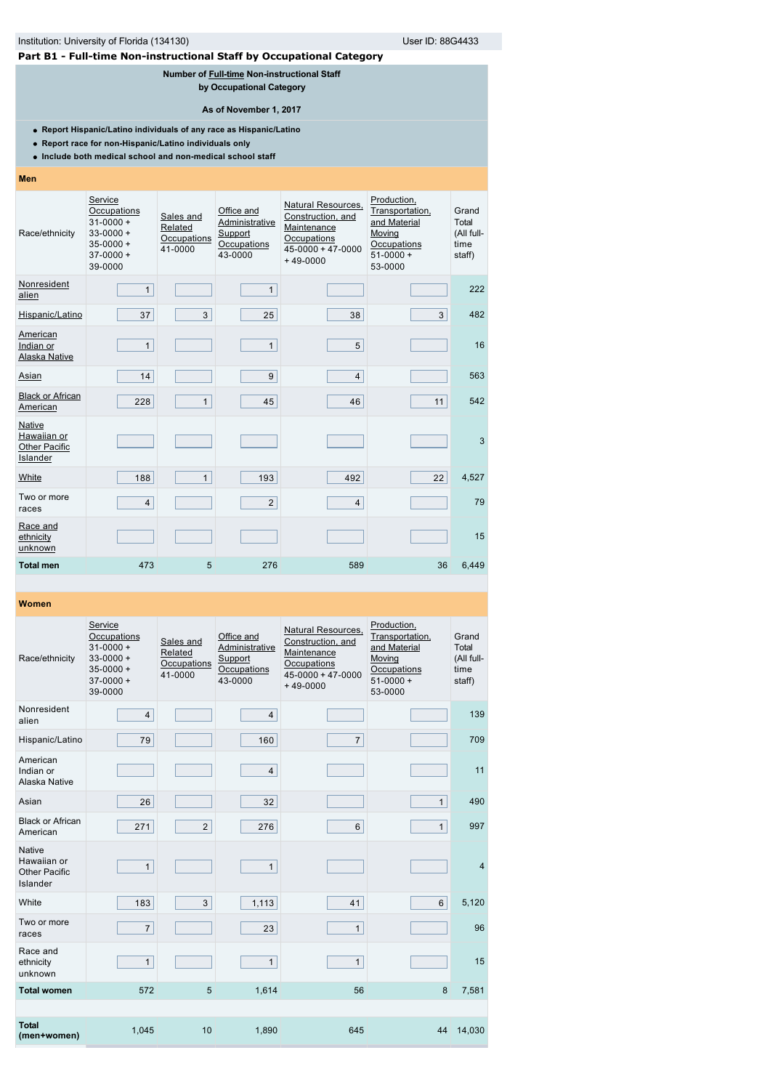# Institution: University of Florida (134130) Contract the User ID: 88G4433

# **Part B1 - Full-time Non-instructional Staff by Occupational Category**

**Number of [Full-time](javascript:openglossary(257)) Non-instructional Staff**

**by Occupational Category**

**As of November 1, 2017**

**Report Hispanic/Latino individuals of any race as Hispanic/Latino**

**Report race for non-Hispanic/Latino individuals only**

**Include both medical school and non-medical school staff**

# **Men**

| Race/ethnicity                                                   | Service<br>Occupations<br>$31 - 0000 +$<br>$33 - 0000 +$<br>$35 - 0000 +$<br>$37-0000 +$<br>39-0000 | Sales and<br>Related<br>Occupations<br>41-0000 | Office and<br>Administrative<br>Support<br>Occupations<br>43-0000 | Natural Resources,<br>Construction, and<br>Maintenance<br>Occupations<br>$45 - 0000 + 47 - 0000$<br>$+49-0000$ | Production,<br>Transportation,<br>and Material<br>Moving<br>Occupations<br>$51-0000+$<br>53-0000 | Grand<br>Total<br>(All full-<br>time<br>staff) |
|------------------------------------------------------------------|-----------------------------------------------------------------------------------------------------|------------------------------------------------|-------------------------------------------------------------------|----------------------------------------------------------------------------------------------------------------|--------------------------------------------------------------------------------------------------|------------------------------------------------|
| Nonresident<br>alien                                             | $\mathbf{1}$                                                                                        |                                                | $\mathbf{1}$                                                      |                                                                                                                |                                                                                                  | 222                                            |
| Hispanic/Latino                                                  | 37                                                                                                  | 3                                              | 25                                                                | 38                                                                                                             | 3                                                                                                | 482                                            |
| American<br>Indian or<br>Alaska Native                           | $\mathbf{1}$                                                                                        |                                                | $\mathbf{1}$                                                      | 5                                                                                                              |                                                                                                  | 16                                             |
| Asian                                                            | 14                                                                                                  |                                                | $\boldsymbol{9}$                                                  | $\overline{4}$                                                                                                 |                                                                                                  | 563                                            |
| <b>Black or African</b><br>American                              | 228                                                                                                 | $\mathbf{1}$                                   | 45                                                                | 46                                                                                                             | 11                                                                                               | 542                                            |
| Native<br>Hawaiian or<br><b>Other Pacific</b><br><b>Islander</b> |                                                                                                     |                                                |                                                                   |                                                                                                                |                                                                                                  | 3                                              |
| White                                                            | 188                                                                                                 | $\mathbf{1}$                                   | 193                                                               | 492                                                                                                            | 22                                                                                               | 4,527                                          |
| Two or more<br>races                                             | $\overline{4}$                                                                                      |                                                | $\overline{2}$                                                    | $\overline{4}$                                                                                                 |                                                                                                  | 79                                             |
| Race and<br>ethnicity<br>unknown                                 |                                                                                                     |                                                |                                                                   |                                                                                                                |                                                                                                  | 15                                             |
| <b>Total men</b>                                                 | 473                                                                                                 | 5                                              | 276                                                               | 589                                                                                                            | 36                                                                                               | 6,449                                          |

| Race/ethnicity                                            | Service<br>Occupations<br>$31 - 0000 +$<br>$33 - 0000 +$<br>$35 - 0000 +$<br>$37-0000+$<br>39-0000 | Sales and<br>Related<br>Occupations<br>41-0000 | Office and<br>Administrative<br>Support<br>Occupations<br>43-0000 | <b>Natural Resources.</b><br>Construction, and<br>Maintenance<br>Occupations<br>$45 - 0000 + 47 - 0000$<br>$+49-0000$ | Production,<br>Transportation,<br>and Material<br>Moving<br>Occupations<br>$51-0000+$<br>53-0000 | Grand<br>Total<br>(All full-<br>time<br>staff) |
|-----------------------------------------------------------|----------------------------------------------------------------------------------------------------|------------------------------------------------|-------------------------------------------------------------------|-----------------------------------------------------------------------------------------------------------------------|--------------------------------------------------------------------------------------------------|------------------------------------------------|
| Nonresident<br>alien                                      | $\overline{4}$                                                                                     |                                                | $\overline{\mathbf{4}}$                                           |                                                                                                                       |                                                                                                  | 139                                            |
| Hispanic/Latino                                           | 79                                                                                                 |                                                | 160                                                               | $\overline{7}$                                                                                                        |                                                                                                  | 709                                            |
| American<br>Indian or<br>Alaska Native                    |                                                                                                    |                                                | $\overline{4}$                                                    |                                                                                                                       |                                                                                                  | 11                                             |
| Asian                                                     | 26                                                                                                 |                                                | 32                                                                |                                                                                                                       | $\mathbf{1}$                                                                                     | 490                                            |
| <b>Black or African</b><br>American                       | 271                                                                                                | 2                                              | 276                                                               | 6                                                                                                                     | $\mathbf{1}$                                                                                     | 997                                            |
| <b>Native</b><br>Hawaiian or<br>Other Pacific<br>Islander | $\mathbf{1}$                                                                                       |                                                | $\mathbf{1}$                                                      |                                                                                                                       |                                                                                                  | $\overline{4}$                                 |
| White                                                     | 183                                                                                                | 3                                              | 1,113                                                             | 41                                                                                                                    | 6                                                                                                | 5,120                                          |
| Two or more<br>races                                      | $\overline{7}$                                                                                     |                                                | 23                                                                | $\mathbf{1}$                                                                                                          |                                                                                                  | 96                                             |
| Race and<br>ethnicity<br>unknown                          | $\mathbf{1}$                                                                                       |                                                | $\mathbf{1}$                                                      | $\mathbf{1}$                                                                                                          |                                                                                                  | 15                                             |
| <b>Total women</b>                                        | 572                                                                                                | 5                                              | 1,614                                                             | 56                                                                                                                    | 8                                                                                                | 7,581                                          |
|                                                           |                                                                                                    |                                                |                                                                   |                                                                                                                       |                                                                                                  |                                                |
| <b>Total</b><br>(men+women)                               | 1,045                                                                                              | 10                                             | 1,890                                                             | 645                                                                                                                   | 44                                                                                               | 14,030                                         |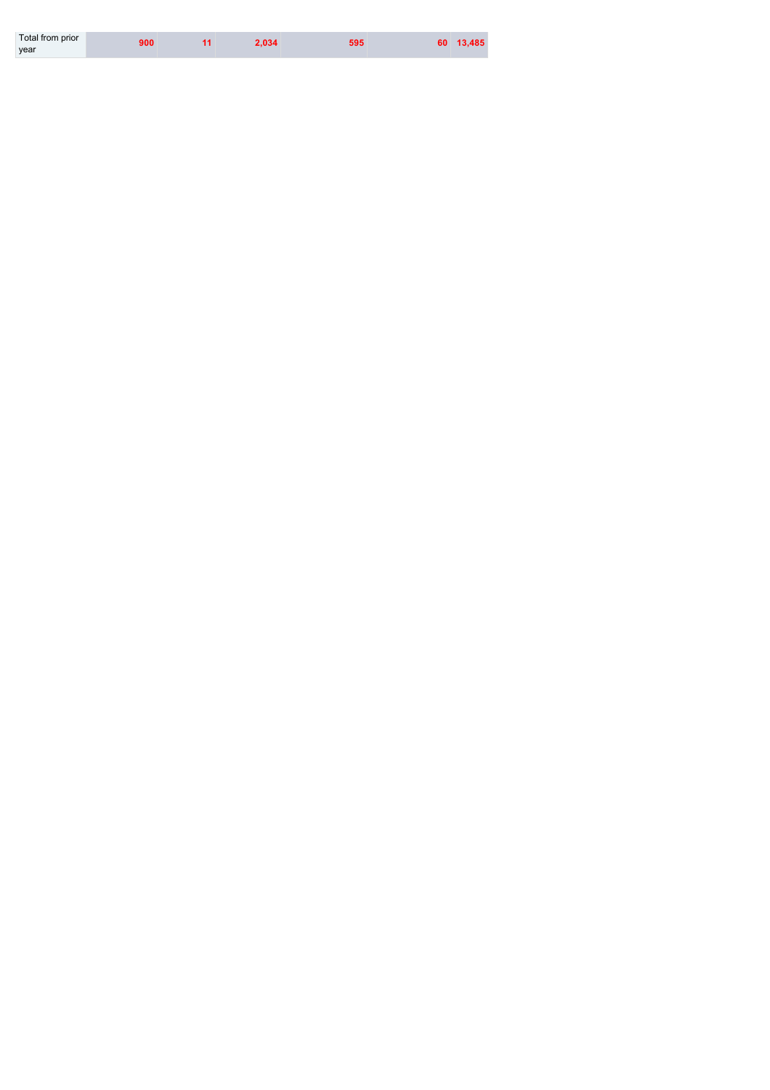| Total from prior<br>year |  |  | $S_0$ 13,485 |
|--------------------------|--|--|--------------|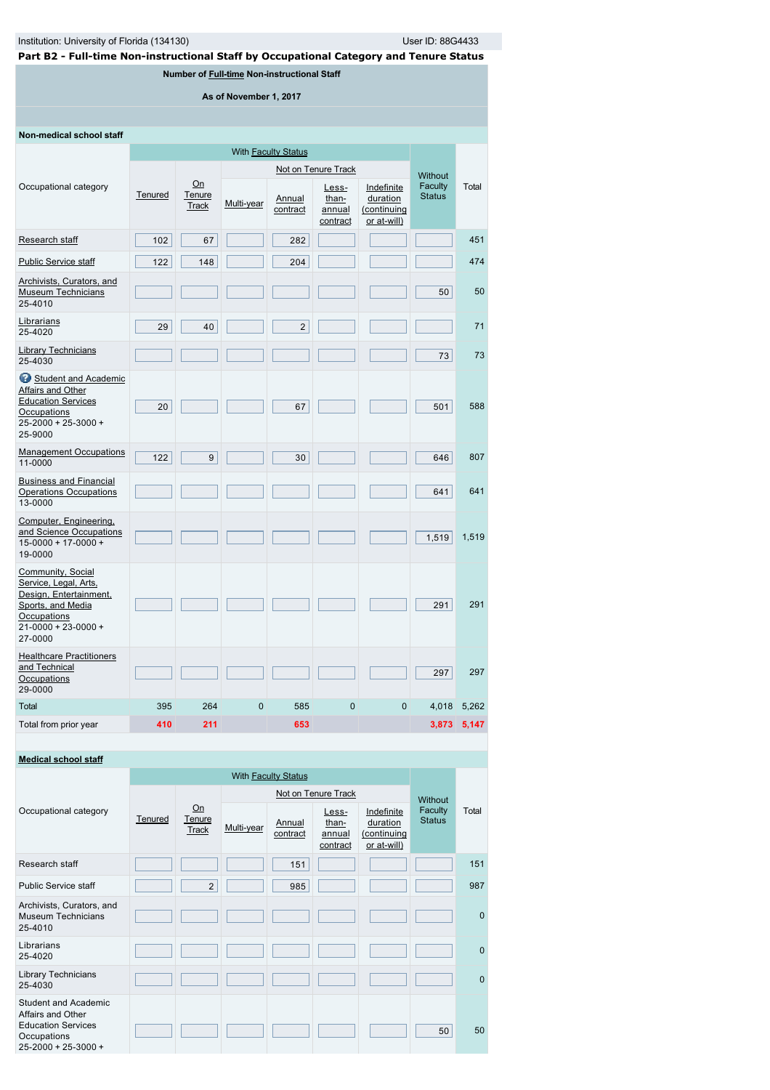| Part B2 - Full-time Non-instructional Staff by Occupational Category and Tenure Status |  |
|----------------------------------------------------------------------------------------|--|
|                                                                                        |  |

**Number of [Full-time](javascript:openglossary(257)) Non-instructional Staff**

**As of November 1, 2017**

| Non-medical school staff                                                                                                                         |         |                       |                     |                           |                                      |                                                      |                          |             |
|--------------------------------------------------------------------------------------------------------------------------------------------------|---------|-----------------------|---------------------|---------------------------|--------------------------------------|------------------------------------------------------|--------------------------|-------------|
|                                                                                                                                                  |         |                       |                     | With Faculty Status       |                                      |                                                      |                          |             |
|                                                                                                                                                  |         |                       | Not on Tenure Track |                           |                                      |                                                      | Without                  |             |
| Occupational category                                                                                                                            | Tenured | On<br>Tenure<br>Track | Multi-year          | <b>Annual</b><br>contract | Less-<br>than-<br>annual<br>contract | Indefinite<br>duration<br>(continuing<br>or at-will) | Faculty<br><b>Status</b> | Total       |
| Research staff                                                                                                                                   | 102     | 67                    |                     | 282                       |                                      |                                                      |                          | 451         |
| <b>Public Service staff</b>                                                                                                                      | 122     | 148                   |                     | 204                       |                                      |                                                      |                          | 474         |
| Archivists, Curators, and<br><b>Museum Technicians</b><br>25-4010                                                                                |         |                       |                     |                           |                                      |                                                      | 50                       | 50          |
| Librarians<br>25-4020                                                                                                                            | 29      | 40                    |                     | $\overline{2}$            |                                      |                                                      |                          | 71          |
| <b>Library Technicians</b><br>25-4030                                                                                                            |         |                       |                     |                           |                                      |                                                      | 73                       | 73          |
| Student and Academic<br>Affairs and Other<br><b>Education Services</b><br>Occupations<br>$25 - 2000 + 25 - 3000 +$<br>25-9000                    | 20      |                       |                     | 67                        |                                      |                                                      | 501                      | 588         |
| <b>Management Occupations</b><br>11-0000                                                                                                         | 122     | 9                     |                     | 30                        |                                      |                                                      | 646                      | 807         |
| <b>Business and Financial</b><br><b>Operations Occupations</b><br>13-0000                                                                        |         |                       |                     |                           |                                      |                                                      | 641                      | 641         |
| Computer, Engineering,<br>and Science Occupations<br>$15 - 0000 + 17 - 0000 +$<br>19-0000                                                        |         |                       |                     |                           |                                      |                                                      | 1,519                    | 1,519       |
| Community, Social<br>Service, Legal, Arts,<br>Design, Entertainment,<br>Sports, and Media<br>Occupations<br>$21 - 0000 + 23 - 0000 +$<br>27-0000 |         |                       |                     |                           |                                      |                                                      | 291                      | 291         |
| <b>Healthcare Practitioners</b><br>and Technical<br>Occupations<br>29-0000                                                                       |         |                       |                     |                           |                                      |                                                      | 297                      | 297         |
| Total                                                                                                                                            | 395     | 264                   | $\overline{0}$      | 585                       | $\overline{0}$                       | $\mathbf 0$                                          | 4,018                    | 5,262       |
| Total from prior year                                                                                                                            | 410     | 211                   |                     | 653                       |                                      |                                                      |                          | 3,873 5,147 |

# **[Medical school staff](javascript:openglossary(393))**

|                                                                                                                     | With Faculty Status |                              |            |                    |                                      |                                                      |                          |              |
|---------------------------------------------------------------------------------------------------------------------|---------------------|------------------------------|------------|--------------------|--------------------------------------|------------------------------------------------------|--------------------------|--------------|
|                                                                                                                     |                     |                              |            |                    | Not on Tenure Track                  |                                                      | <b>Without</b>           |              |
| Occupational category                                                                                               | Tenured             | On<br>Tenure<br><b>Track</b> | Multi-year | Annual<br>contract | Less-<br>than-<br>annual<br>contract | Indefinite<br>duration<br>(continuing<br>or at-will) | Faculty<br><b>Status</b> | Total        |
| Research staff                                                                                                      |                     |                              |            | 151                |                                      |                                                      |                          | 151          |
| <b>Public Service staff</b>                                                                                         |                     | $\overline{2}$               |            | 985                |                                      |                                                      |                          | 987          |
| Archivists, Curators, and<br><b>Museum Technicians</b><br>25-4010                                                   |                     |                              |            |                    |                                      |                                                      |                          | $\mathbf{0}$ |
| Librarians<br>25-4020                                                                                               |                     |                              |            |                    |                                      |                                                      |                          | $\mathbf{0}$ |
| <b>Library Technicians</b><br>25-4030                                                                               |                     |                              |            |                    |                                      |                                                      |                          | $\mathbf{0}$ |
| <b>Student and Academic</b><br>Affairs and Other<br><b>Education Services</b><br>Occupations<br>25-2000 + 25-3000 + |                     |                              |            |                    |                                      |                                                      | 50                       | 50           |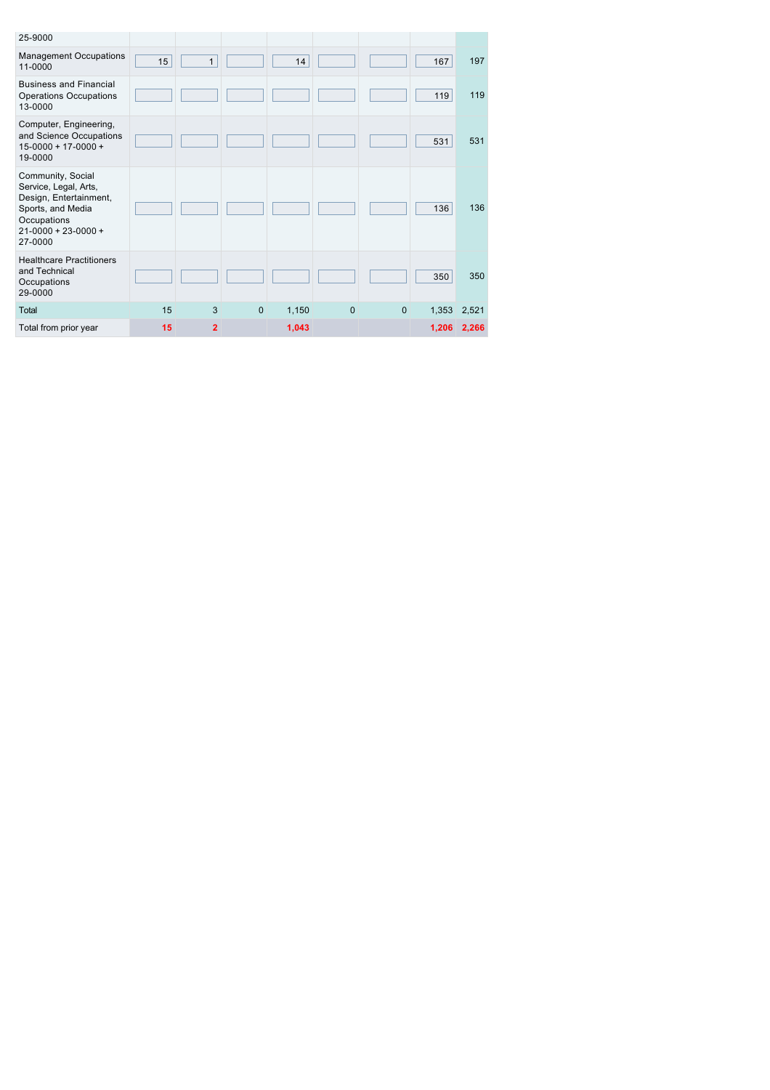| 25-9000                                                                                                                                          |    |                |              |       |          |              |       |             |
|--------------------------------------------------------------------------------------------------------------------------------------------------|----|----------------|--------------|-------|----------|--------------|-------|-------------|
| <b>Management Occupations</b><br>11-0000                                                                                                         | 15 | $\mathbf{1}$   |              | 14    |          |              | 167   | 197         |
| <b>Business and Financial</b><br><b>Operations Occupations</b><br>13-0000                                                                        |    |                |              |       |          |              | 119   | 119         |
| Computer, Engineering,<br>and Science Occupations<br>$15 - 0000 + 17 - 0000 +$<br>19-0000                                                        |    |                |              |       |          |              | 531   | 531         |
| Community, Social<br>Service, Legal, Arts,<br>Design, Entertainment,<br>Sports, and Media<br>Occupations<br>$21 - 0000 + 23 - 0000 +$<br>27-0000 |    |                |              |       |          |              | 136   | 136         |
| <b>Healthcare Practitioners</b><br>and Technical<br>Occupations<br>29-0000                                                                       |    |                |              |       |          |              | 350   | 350         |
| Total                                                                                                                                            | 15 | 3              | $\mathbf{0}$ | 1,150 | $\Omega$ | $\mathbf{0}$ | 1,353 | 2,521       |
| Total from prior year                                                                                                                            | 15 | $\overline{2}$ |              | 1,043 |          |              |       | 1,206 2,266 |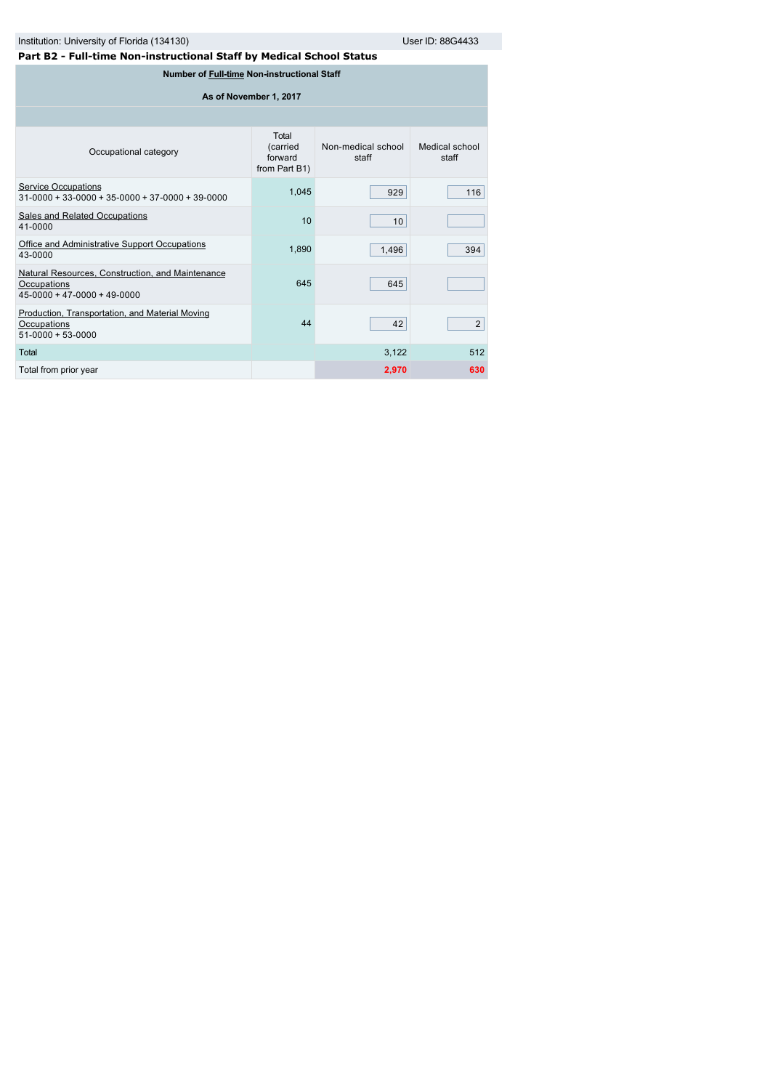| User ID: 88G4433<br>Institution: University of Florida (134130)                              |                                               |                             |                         |  |  |  |  |  |  |  |  |
|----------------------------------------------------------------------------------------------|-----------------------------------------------|-----------------------------|-------------------------|--|--|--|--|--|--|--|--|
| Part B2 - Full-time Non-instructional Staff by Medical School Status                         |                                               |                             |                         |  |  |  |  |  |  |  |  |
| Number of Full-time Non-instructional Staff                                                  |                                               |                             |                         |  |  |  |  |  |  |  |  |
| As of November 1, 2017                                                                       |                                               |                             |                         |  |  |  |  |  |  |  |  |
|                                                                                              |                                               |                             |                         |  |  |  |  |  |  |  |  |
| Occupational category                                                                        | Total<br>(carried<br>forward<br>from Part B1) | Non-medical school<br>staff | Medical school<br>staff |  |  |  |  |  |  |  |  |
| <b>Service Occupations</b><br>$31-0000 + 33-0000 + 35-0000 + 37-0000 + 39-0000$              | 1,045                                         | 929                         | 116                     |  |  |  |  |  |  |  |  |
| Sales and Related Occupations<br>41-0000                                                     | 10                                            | 10                          |                         |  |  |  |  |  |  |  |  |
| Office and Administrative Support Occupations<br>43-0000                                     | 1,890                                         | 1,496                       | 394                     |  |  |  |  |  |  |  |  |
| Natural Resources, Construction, and Maintenance<br>Occupations<br>$45-0000+47-0000+49-0000$ | 645                                           | 645                         |                         |  |  |  |  |  |  |  |  |
| Production, Transportation, and Material Moving<br>Occupations<br>$51-0000+53-0000$          | 44                                            | 42                          | $\overline{2}$          |  |  |  |  |  |  |  |  |
| Total                                                                                        |                                               | 3,122                       | 512                     |  |  |  |  |  |  |  |  |
| Total from prior year                                                                        |                                               | 2,970                       | 630                     |  |  |  |  |  |  |  |  |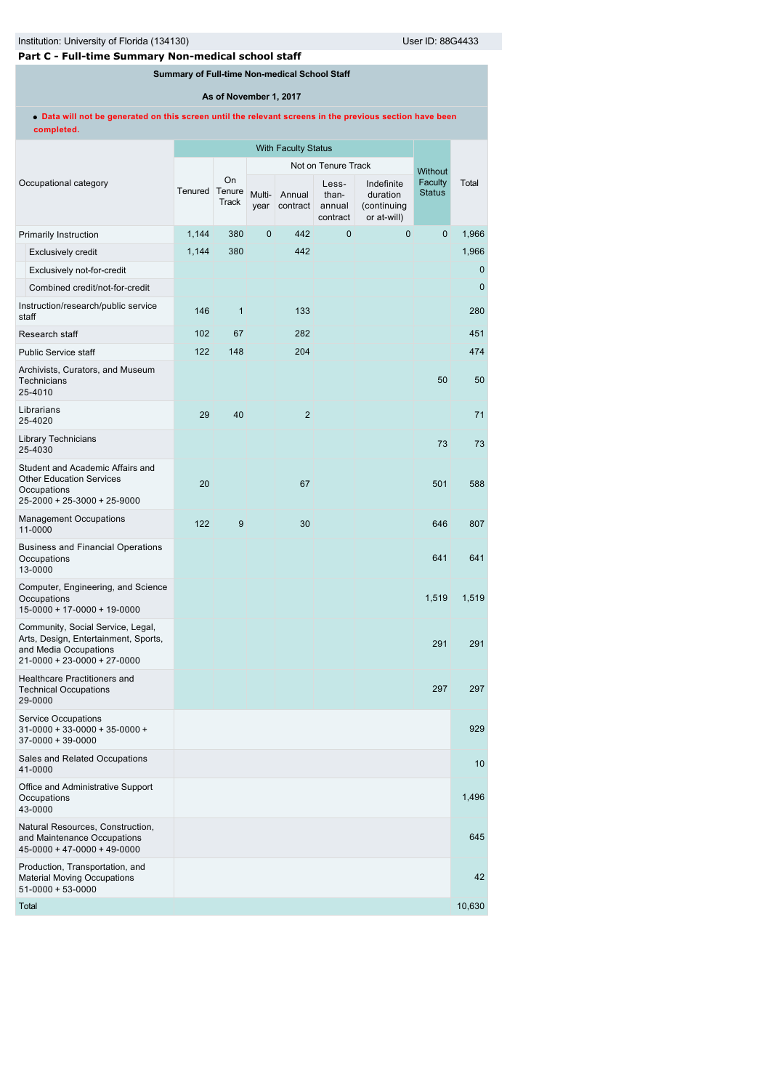# **Part C - Full-time Summary Non-medical school staff**

# **Summary of Full-time Non-medical School Staff**

## **As of November 1, 2017**

#### **Data will not be generated on this screen until the relevant screens in the previous section have been completed.**

|                                                                                                                                     | <b>With Faculty Status</b> |                       |                |                    |                                      |                                                      |                                            |              |
|-------------------------------------------------------------------------------------------------------------------------------------|----------------------------|-----------------------|----------------|--------------------|--------------------------------------|------------------------------------------------------|--------------------------------------------|--------------|
|                                                                                                                                     |                            |                       |                |                    | Not on Tenure Track                  |                                                      |                                            |              |
| Occupational category                                                                                                               | Tenured                    | On<br>Tenure<br>Track | Multi-<br>year | Annual<br>contract | Less-<br>than-<br>annual<br>contract | Indefinite<br>duration<br>(continuing<br>or at-will) | <b>Without</b><br>Faculty<br><b>Status</b> | Total        |
| Primarily Instruction                                                                                                               | 1,144                      | 380                   | $\overline{0}$ | 442                | $\mathbf 0$                          | $\mathbf{0}$                                         | $\mathbf{0}$                               | 1,966        |
| <b>Exclusively credit</b>                                                                                                           | 1,144                      | 380                   |                | 442                |                                      |                                                      |                                            | 1,966        |
| Exclusively not-for-credit                                                                                                          |                            |                       |                |                    |                                      |                                                      |                                            | $\mathbf{0}$ |
| Combined credit/not-for-credit                                                                                                      |                            |                       |                |                    |                                      |                                                      |                                            | $\mathbf{0}$ |
| Instruction/research/public service<br>staff                                                                                        | 146                        | $\mathbf{1}$          |                | 133                |                                      |                                                      |                                            | 280          |
| Research staff                                                                                                                      | 102                        | 67                    |                | 282                |                                      |                                                      |                                            | 451          |
| <b>Public Service staff</b>                                                                                                         | 122                        | 148                   |                | 204                |                                      |                                                      |                                            | 474          |
| Archivists, Curators, and Museum<br>Technicians<br>25-4010                                                                          |                            |                       |                |                    |                                      |                                                      | 50                                         | 50           |
| Librarians<br>25-4020                                                                                                               | 29                         | 40                    |                | $\overline{2}$     |                                      |                                                      |                                            | 71           |
| <b>Library Technicians</b><br>25-4030                                                                                               |                            |                       |                |                    |                                      |                                                      | 73                                         | 73           |
| Student and Academic Affairs and<br><b>Other Education Services</b><br>Occupations<br>25-2000 + 25-3000 + 25-9000                   | 20                         |                       |                | 67                 |                                      |                                                      | 501                                        | 588          |
| <b>Management Occupations</b><br>11-0000                                                                                            | 122                        | 9                     |                | 30                 |                                      |                                                      | 646                                        | 807          |
| <b>Business and Financial Operations</b><br>Occupations<br>13-0000                                                                  |                            |                       |                |                    |                                      |                                                      | 641                                        | 641          |
| Computer, Engineering, and Science<br>Occupations<br>$15-0000 + 17-0000 + 19-0000$                                                  |                            |                       |                |                    |                                      |                                                      | 1,519                                      | 1,519        |
| Community, Social Service, Legal,<br>Arts, Design, Entertainment, Sports,<br>and Media Occupations<br>$21-0000 + 23-0000 + 27-0000$ |                            |                       |                |                    |                                      |                                                      | 291                                        | 291          |
| <b>Healthcare Practitioners and</b><br><b>Technical Occupations</b><br>29-0000                                                      |                            |                       |                |                    |                                      |                                                      | 297                                        | 297          |
| Service Occupations<br>$31-0000 + 33-0000 + 35-0000 +$<br>$37-0000 + 39-0000$                                                       |                            |                       |                |                    |                                      |                                                      |                                            | 929          |
| Sales and Related Occupations<br>41-0000                                                                                            |                            |                       |                |                    |                                      |                                                      |                                            | 10           |
| Office and Administrative Support<br>Occupations<br>43-0000                                                                         |                            |                       |                |                    |                                      |                                                      |                                            | 1,496        |
| Natural Resources, Construction,<br>and Maintenance Occupations<br>$45-0000 + 47-0000 + 49-0000$                                    |                            |                       |                |                    |                                      |                                                      |                                            | 645          |
| Production, Transportation, and<br><b>Material Moving Occupations</b><br>$51-0000+53-0000$                                          |                            |                       |                |                    |                                      |                                                      |                                            | 42           |
| Total                                                                                                                               |                            |                       |                |                    |                                      |                                                      |                                            | 10,630       |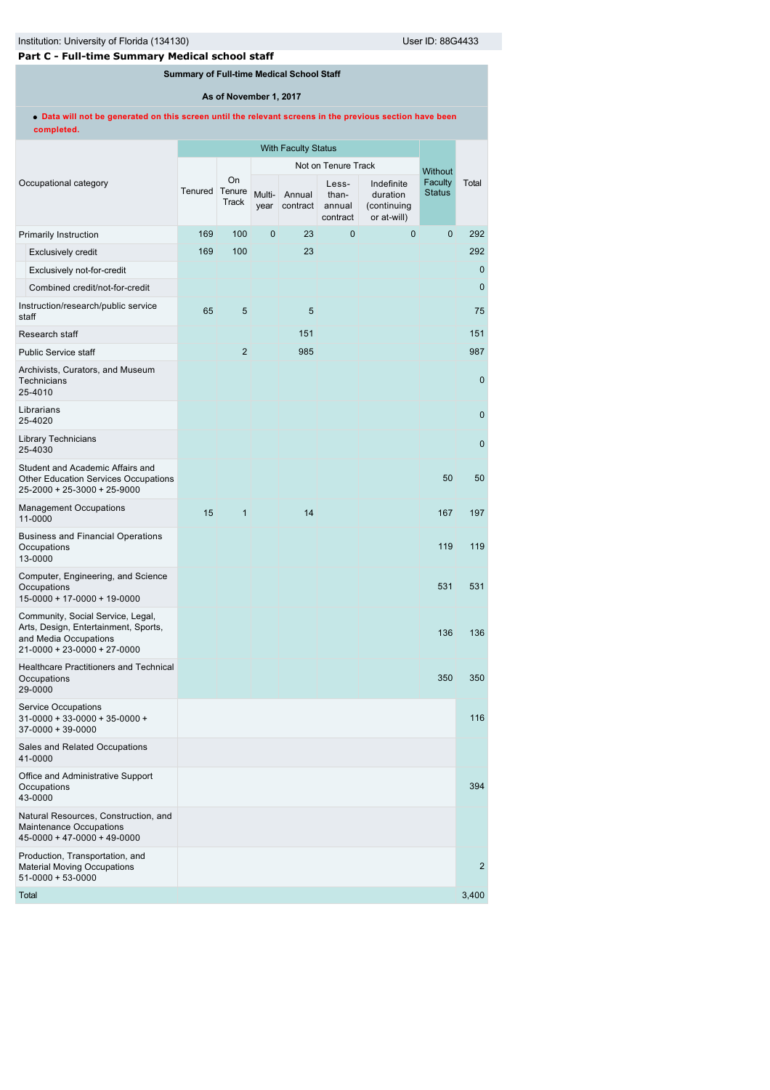# **Part C - Full-time Summary Medical school staff**

**Summary of Full-time Medical School Staff**

## **As of November 1, 2017**

**Data will not be generated on this screen until the relevant screens in the previous section have been completed.**

|                                                                                                                                     |         | <b>With Faculty Status</b>   |                     |                    |                                      |                                                      |                          |              |
|-------------------------------------------------------------------------------------------------------------------------------------|---------|------------------------------|---------------------|--------------------|--------------------------------------|------------------------------------------------------|--------------------------|--------------|
|                                                                                                                                     |         |                              | Not on Tenure Track |                    |                                      |                                                      | <b>Without</b>           |              |
| Occupational category                                                                                                               | Tenured | <b>On</b><br>Tenure<br>Track | Multi-<br>year      | Annual<br>contract | Less-<br>than-<br>annual<br>contract | Indefinite<br>duration<br>(continuing<br>or at-will) | Faculty<br><b>Status</b> | Total        |
| Primarily Instruction                                                                                                               | 169     | 100                          | $\mathbf{0}$        | 23                 | $\mathbf{0}$                         | $\overline{0}$                                       | $\mathbf{0}$             | 292          |
| <b>Exclusively credit</b>                                                                                                           | 169     | 100                          |                     | 23                 |                                      |                                                      |                          | 292          |
| Exclusively not-for-credit                                                                                                          |         |                              |                     |                    |                                      |                                                      |                          | $\mathbf{0}$ |
| Combined credit/not-for-credit                                                                                                      |         |                              |                     |                    |                                      |                                                      |                          | $\mathbf{0}$ |
| Instruction/research/public service<br>staff                                                                                        | 65      | 5                            |                     | 5                  |                                      |                                                      |                          | 75           |
| Research staff                                                                                                                      |         |                              |                     | 151                |                                      |                                                      |                          | 151          |
| <b>Public Service staff</b>                                                                                                         |         | $\overline{2}$               |                     | 985                |                                      |                                                      |                          | 987          |
| Archivists, Curators, and Museum<br>Technicians<br>25-4010                                                                          |         |                              |                     |                    |                                      |                                                      |                          | $\mathbf{0}$ |
| Librarians<br>25-4020                                                                                                               |         |                              |                     |                    |                                      |                                                      |                          | $\mathbf 0$  |
| <b>Library Technicians</b><br>25-4030                                                                                               |         |                              |                     |                    |                                      |                                                      |                          | $\mathbf{0}$ |
| Student and Academic Affairs and<br><b>Other Education Services Occupations</b><br>25-2000 + 25-3000 + 25-9000                      |         |                              |                     |                    |                                      |                                                      | 50                       | 50           |
| <b>Management Occupations</b><br>11-0000                                                                                            | 15      | $\mathbf{1}$                 |                     | 14                 |                                      |                                                      | 167                      | 197          |
| <b>Business and Financial Operations</b><br>Occupations<br>13-0000                                                                  |         |                              |                     |                    |                                      |                                                      | 119                      | 119          |
| Computer, Engineering, and Science<br>Occupations<br>$15-0000 + 17-0000 + 19-0000$                                                  |         |                              |                     |                    |                                      |                                                      | 531                      | 531          |
| Community, Social Service, Legal,<br>Arts, Design, Entertainment, Sports,<br>and Media Occupations<br>$21-0000 + 23-0000 + 27-0000$ |         |                              |                     |                    |                                      |                                                      | 136                      | 136          |
| <b>Healthcare Practitioners and Technical</b><br>Occupations<br>29-0000                                                             |         |                              |                     |                    |                                      |                                                      | 350                      | 350          |
| Service Occupations<br>$31-0000+33-0000+35-0000+$<br>$37-0000+39-0000$                                                              |         |                              |                     |                    |                                      |                                                      |                          | 116          |
| Sales and Related Occupations<br>41-0000                                                                                            |         |                              |                     |                    |                                      |                                                      |                          |              |
| Office and Administrative Support<br>Occupations<br>43-0000                                                                         |         |                              |                     |                    |                                      |                                                      |                          | 394          |
| Natural Resources, Construction, and<br>Maintenance Occupations<br>$45-0000 + 47-0000 + 49-0000$                                    |         |                              |                     |                    |                                      |                                                      |                          |              |
| Production, Transportation, and<br><b>Material Moving Occupations</b><br>$51-0000+53-0000$                                          |         |                              |                     |                    |                                      |                                                      |                          | 2            |
| Total                                                                                                                               |         |                              |                     |                    |                                      |                                                      |                          | 3,400        |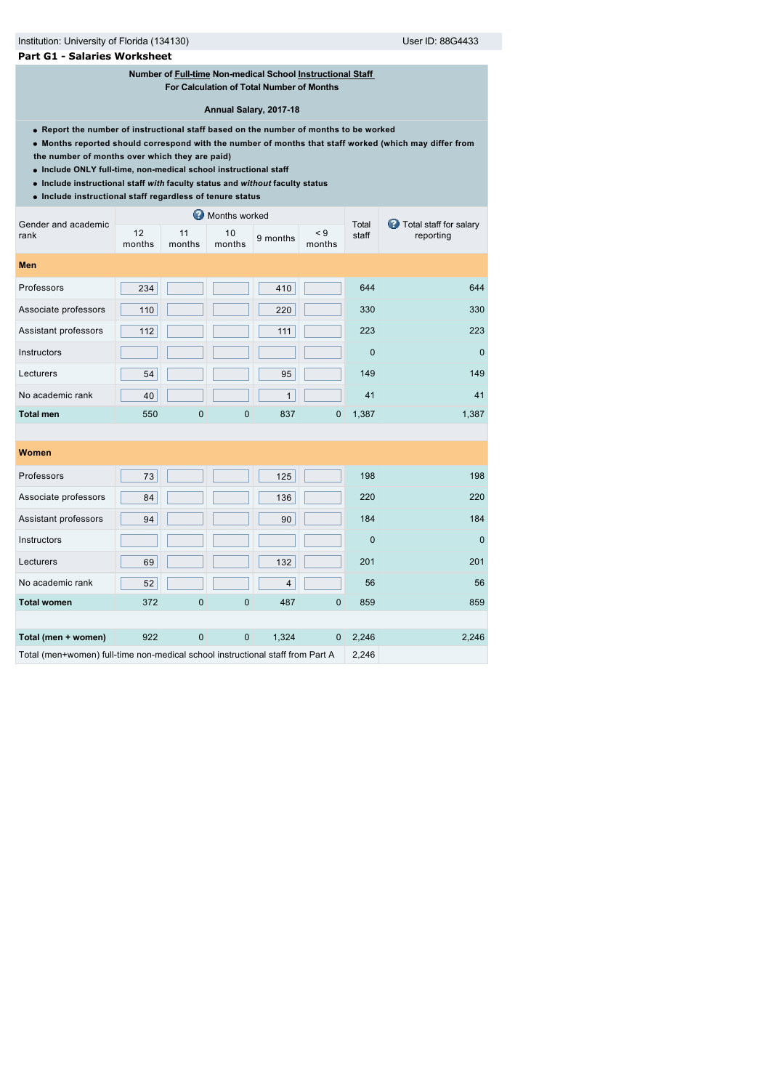## **Part G1 - Salaries Worksheet**

## **Number of [Full-time](javascript:openglossary(257)) Non-medical School [Instructional Staff](javascript:openglossary(996))**

**For Calculation of Total Number of Months**

## **Annual Salary, 2017-18**

- **Report the number of instructional staff based on the number of months to be worked**
- **Months reported should correspond with the number of months that staff worked (which may differ from**
- **the number of months over which they are paid)**
- **Include ONLY full-time, non-medical school instructional staff**
- **Include instructional staff** *with* **faculty status and** *without* **faculty status**
- **Include instructional staff regardless of tenure status**

| Gender and academic                                                            |              |              | Months worked |                         |               | Total          | Total staff for salary |  |
|--------------------------------------------------------------------------------|--------------|--------------|---------------|-------------------------|---------------|----------------|------------------------|--|
| rank                                                                           | 12<br>months | 11<br>months | 10<br>months  | 9 months                | < 9<br>months | staff          | reporting              |  |
| <b>Men</b>                                                                     |              |              |               |                         |               |                |                        |  |
| Professors                                                                     | 234          |              |               | 410                     |               | 644            | 644                    |  |
| Associate professors                                                           | 110          |              |               | 220                     |               | 330            | 330                    |  |
| Assistant professors                                                           | 112          |              |               | 111                     |               | 223            | 223                    |  |
| Instructors                                                                    |              |              |               |                         |               | $\overline{0}$ | $\mathbf 0$            |  |
| Lecturers                                                                      | 54           |              |               | 95                      |               | 149            | 149                    |  |
| No academic rank                                                               | 40           |              |               | $\mathbf{1}$            |               | 41             | 41                     |  |
| <b>Total men</b>                                                               | 550          | $\mathbf 0$  | $\mathbf{0}$  | 837                     | $\mathbf 0$   | 1,387          | 1,387                  |  |
|                                                                                |              |              |               |                         |               |                |                        |  |
| Women                                                                          |              |              |               |                         |               |                |                        |  |
| Professors                                                                     | 73           |              |               | 125                     |               | 198            | 198                    |  |
| Associate professors                                                           | 84           |              |               | 136                     |               | 220            | 220                    |  |
| Assistant professors                                                           | 94           |              |               | 90                      |               | 184            | 184                    |  |
| Instructors                                                                    |              |              |               |                         |               | $\overline{0}$ | $\Omega$               |  |
| Lecturers                                                                      | 69           |              |               | 132                     |               | 201            | 201                    |  |
| No academic rank                                                               | 52           |              |               | $\overline{\mathbf{4}}$ |               | 56             | 56                     |  |
| <b>Total women</b>                                                             | 372          | $\mathbf 0$  | $\mathbf{0}$  | 487                     | $\mathbf{0}$  | 859            | 859                    |  |
|                                                                                |              |              |               |                         |               |                |                        |  |
| Total (men + women)                                                            | 922          | $\mathbf 0$  | $\mathbf{0}$  | 1,324                   | $\mathbf{0}$  | 2,246          | 2,246                  |  |
| Total (men+women) full-time non-medical school instructional staff from Part A |              |              |               |                         |               | 2,246          |                        |  |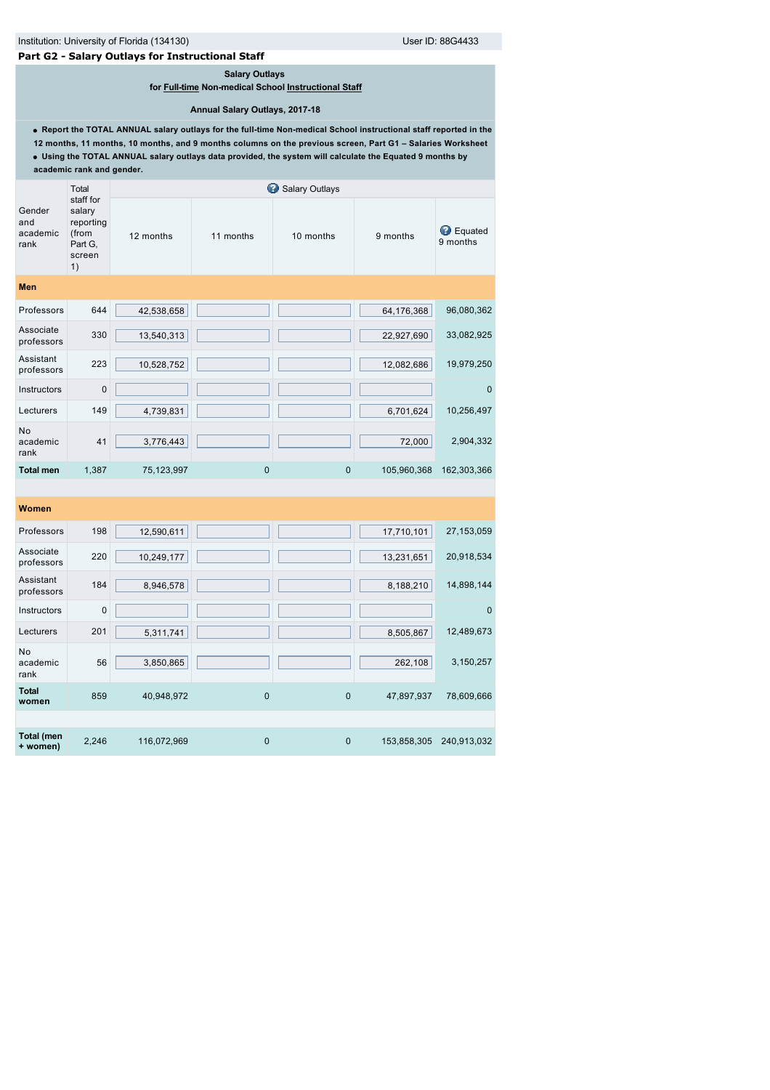# **Part G2 - Salary Outlays for Instructional Staff Salary Outlays**

**for [Full-time](javascript:openglossary(257)) Non-medical School [Instructional Staff](javascript:openglossary(996))**

## **Annual Salary Outlays, 2017-18**

**Report the TOTAL ANNUAL salary outlays for the full-time Non-medical School instructional staff reported in the 12 months, 11 months, 10 months, and 9 months columns on the previous screen, Part G1 – Salaries Worksheet Using the TOTAL ANNUAL salary outlays data provided, the system will calculate the Equated 9 months by**

|                                   | academic rank and gender.                                            |             |             |                |             |                              |
|-----------------------------------|----------------------------------------------------------------------|-------------|-------------|----------------|-------------|------------------------------|
|                                   | Total                                                                |             |             | Salary Outlays |             |                              |
| Gender<br>and<br>academic<br>rank | staff for<br>salary<br>reporting<br>(from<br>Part G.<br>screen<br>1) | 12 months   | 11 months   | 10 months      | 9 months    | <b>B</b> Equated<br>9 months |
| Men                               |                                                                      |             |             |                |             |                              |
| Professors                        | 644                                                                  | 42,538,658  |             |                | 64,176,368  | 96,080,362                   |
| Associate<br>professors           | 330                                                                  | 13,540,313  |             |                | 22,927,690  | 33,082,925                   |
| Assistant<br>professors           | 223                                                                  | 10,528,752  |             |                | 12,082,686  | 19,979,250                   |
| Instructors                       | $\mathbf 0$                                                          |             |             |                |             | $\mathbf{0}$                 |
| Lecturers                         | 149                                                                  | 4,739,831   |             |                | 6,701,624   | 10,256,497                   |
| No<br>academic<br>rank            | 41                                                                   | 3,776,443   |             |                | 72,000      | 2,904,332                    |
| <b>Total men</b>                  | 1,387                                                                | 75,123,997  | $\mathbf 0$ | $\pmb{0}$      | 105,960,368 | 162,303,366                  |
|                                   |                                                                      |             |             |                |             |                              |
| Women                             |                                                                      |             |             |                |             |                              |
| Professors                        | 198                                                                  | 12,590,611  |             |                | 17,710,101  | 27, 153, 059                 |
| Associate<br>professors           | 220                                                                  | 10,249,177  |             |                | 13,231,651  | 20,918,534                   |
| Assistant<br>professors           | 184                                                                  | 8,946,578   |             |                | 8,188,210   | 14,898,144                   |
| Instructors                       | $\mathbf 0$                                                          |             |             |                |             | $\mathbf{0}$                 |
| Lecturers                         | 201                                                                  | 5,311,741   |             |                | 8,505,867   | 12,489,673                   |
| No<br>academic<br>rank            | 56                                                                   | 3,850,865   |             |                | 262,108     | 3,150,257                    |
| Total<br>women                    | 859                                                                  | 40,948,972  | $\mathbf 0$ | $\pmb{0}$      | 47,897,937  | 78,609,666                   |
|                                   |                                                                      |             |             |                |             |                              |
| Total (men<br>+ women)            | 2,246                                                                | 116,072,969 | $\mathbf 0$ | $\mathbf 0$    | 153,858,305 | 240,913,032                  |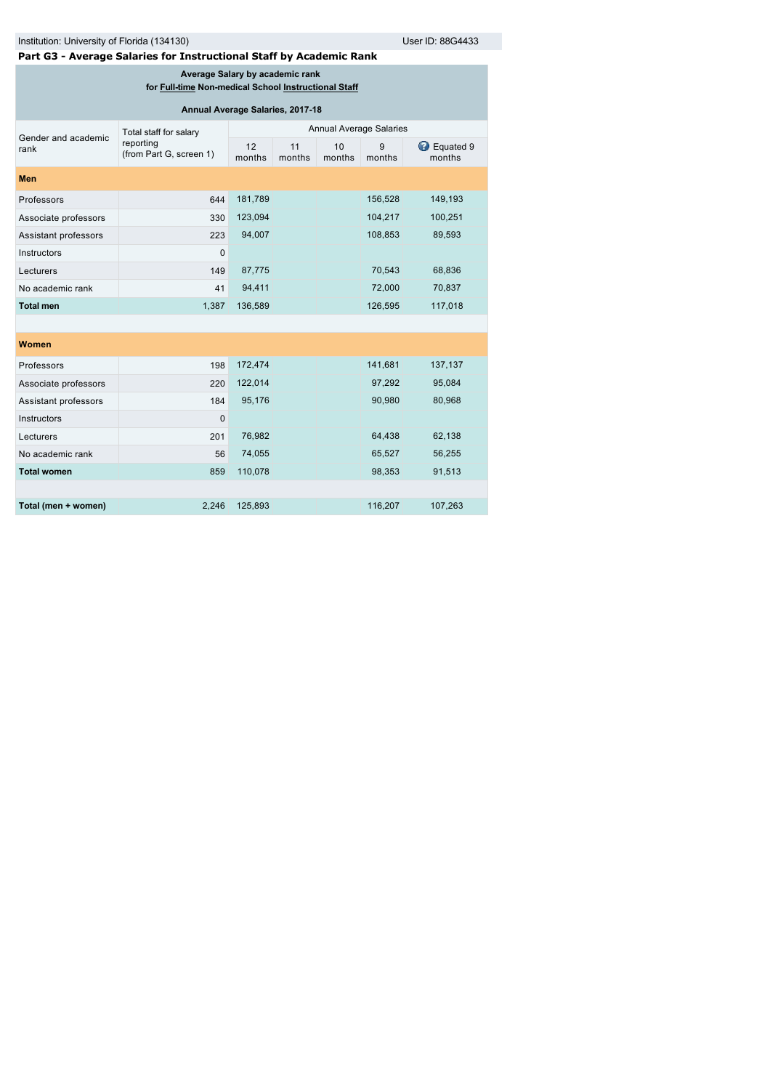# Institution: University of Florida (134130) Contract the User ID: 88G4433

# **Part G3 - Average Salaries for Instructional Staff by Academic Rank**

**Average Salary by academic rank** 

# **for [Full-time](javascript:openglossary(257)) Non-medical School [Instructional Staff](javascript:openglossary(996))**

| <b>Annual Average Salaries, 2017-18</b> |                                      |                                |              |              |             |                              |  |  |  |
|-----------------------------------------|--------------------------------------|--------------------------------|--------------|--------------|-------------|------------------------------|--|--|--|
| Gender and academic                     | Total staff for salary               | <b>Annual Average Salaries</b> |              |              |             |                              |  |  |  |
| rank                                    | reporting<br>(from Part G, screen 1) | 12<br>months                   | 11<br>months | 10<br>months | 9<br>months | <b>B</b> Equated 9<br>months |  |  |  |
| Men                                     |                                      |                                |              |              |             |                              |  |  |  |
| Professors                              | 644                                  | 181,789                        |              |              | 156,528     | 149,193                      |  |  |  |
| Associate professors                    | 330                                  | 123,094                        |              |              | 104,217     | 100,251                      |  |  |  |
| Assistant professors                    | 223                                  | 94,007                         |              |              | 108,853     | 89,593                       |  |  |  |
| Instructors                             | $\mathbf 0$                          |                                |              |              |             |                              |  |  |  |
| Lecturers                               | 149                                  | 87,775                         |              |              | 70,543      | 68,836                       |  |  |  |
| No academic rank                        | 41                                   | 94,411                         |              |              | 72,000      | 70,837                       |  |  |  |
| <b>Total men</b>                        | 1,387                                | 136,589                        |              |              | 126,595     | 117,018                      |  |  |  |
|                                         |                                      |                                |              |              |             |                              |  |  |  |
| Women                                   |                                      |                                |              |              |             |                              |  |  |  |
| Professors                              | 198                                  | 172,474                        |              |              | 141,681     | 137,137                      |  |  |  |
| Associate professors                    | 220                                  | 122,014                        |              |              | 97,292      | 95,084                       |  |  |  |
| Assistant professors                    | 184                                  | 95,176                         |              |              | 90,980      | 80,968                       |  |  |  |
| Instructors                             | $\mathbf 0$                          |                                |              |              |             |                              |  |  |  |
| Lecturers                               | 201                                  | 76,982                         |              |              | 64,438      | 62,138                       |  |  |  |
| No academic rank                        | 56                                   | 74,055                         |              |              | 65,527      | 56,255                       |  |  |  |
| <b>Total women</b>                      | 859                                  | 110,078                        |              |              | 98,353      | 91,513                       |  |  |  |
|                                         |                                      |                                |              |              |             |                              |  |  |  |

**Total (men + women)** 2,246 125,893 116,207 107,263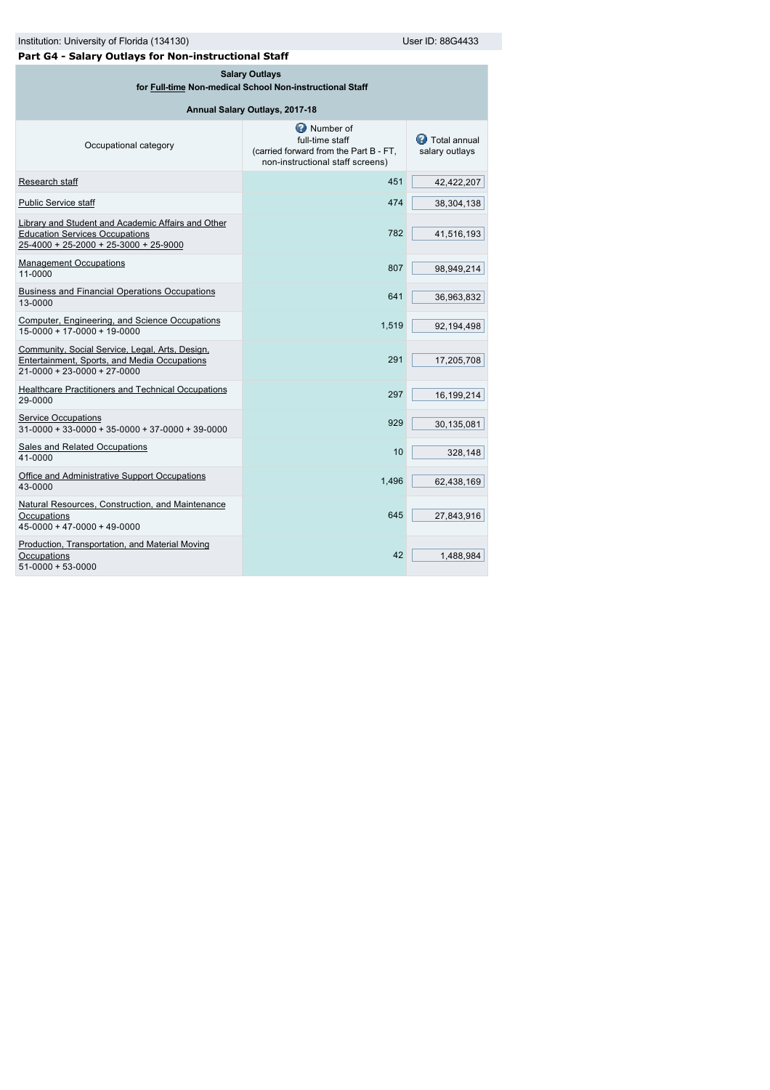| Part G4 - Salary Outlays for Non-instructional Staff                                                                                   |                                                                                                                     |                                         |  |  |  |  |  |
|----------------------------------------------------------------------------------------------------------------------------------------|---------------------------------------------------------------------------------------------------------------------|-----------------------------------------|--|--|--|--|--|
|                                                                                                                                        | <b>Salary Outlays</b><br>for Full-time Non-medical School Non-instructional Staff                                   |                                         |  |  |  |  |  |
|                                                                                                                                        | Annual Salary Outlays, 2017-18                                                                                      |                                         |  |  |  |  |  |
| Occupational category                                                                                                                  | <b>O</b> Number of<br>full-time staff<br>(carried forward from the Part B - FT,<br>non-instructional staff screens) | <b>D</b> Total annual<br>salary outlays |  |  |  |  |  |
| Research staff                                                                                                                         | 451                                                                                                                 | 42,422,207                              |  |  |  |  |  |
| <b>Public Service staff</b>                                                                                                            | 474                                                                                                                 | 38,304,138                              |  |  |  |  |  |
| Library and Student and Academic Affairs and Other<br><b>Education Services Occupations</b><br>$25-4000 + 25-2000 + 25-3000 + 25-9000$ | 782                                                                                                                 | 41,516,193                              |  |  |  |  |  |
| <b>Management Occupations</b><br>11-0000                                                                                               | 807                                                                                                                 | 98,949,214                              |  |  |  |  |  |
| <b>Business and Financial Operations Occupations</b><br>13-0000                                                                        | 641                                                                                                                 | 36,963,832                              |  |  |  |  |  |
| Computer, Engineering, and Science Occupations<br>$15 - 0000 + 17 - 0000 + 19 - 0000$                                                  | 1,519                                                                                                               | 92,194,498                              |  |  |  |  |  |
| Community, Social Service, Legal, Arts, Design,<br>Entertainment, Sports, and Media Occupations<br>$21-0000 + 23-0000 + 27-0000$       | 291                                                                                                                 | 17,205,708                              |  |  |  |  |  |
| <b>Healthcare Practitioners and Technical Occupations</b><br>29-0000                                                                   | 297                                                                                                                 | 16,199,214                              |  |  |  |  |  |
| <b>Service Occupations</b><br>$31-0000 + 33-0000 + 35-0000 + 37-0000 + 39-0000$                                                        | 929                                                                                                                 | 30,135,081                              |  |  |  |  |  |
| Sales and Related Occupations<br>41-0000                                                                                               | 10                                                                                                                  | 328,148                                 |  |  |  |  |  |
| Office and Administrative Support Occupations<br>43-0000                                                                               | 1,496                                                                                                               | 62,438,169                              |  |  |  |  |  |
| Natural Resources, Construction, and Maintenance<br>Occupations<br>$45-0000 + 47-0000 + 49-0000$                                       | 645                                                                                                                 | 27,843,916                              |  |  |  |  |  |
| Production, Transportation, and Material Moving<br>Occupations<br>$51-0000+53-0000$                                                    | 42                                                                                                                  | 1,488,984                               |  |  |  |  |  |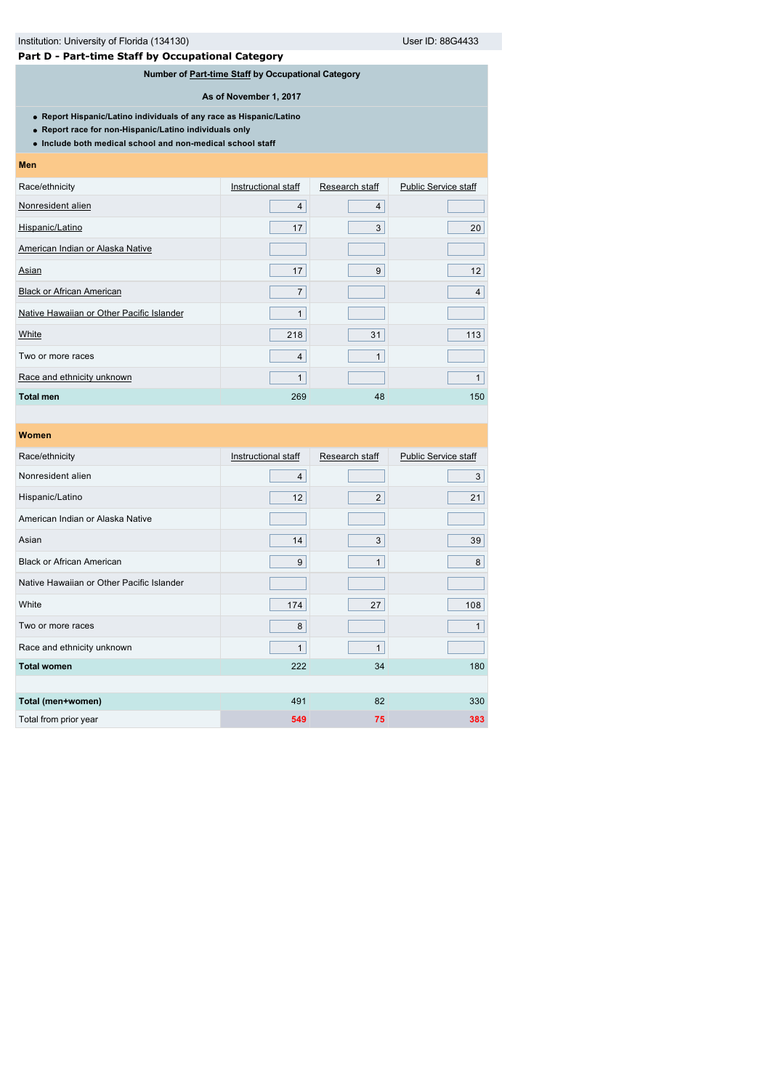# **Part D - Part-time Staff by Occupational Category**

**Number of [Part-time Staff](javascript:openglossary(467)) by Occupational Category**

#### **As of November 1, 2017**

**Report Hispanic/Latino individuals of any race as Hispanic/Latino**

- **Report race for non-Hispanic/Latino individuals only**
- **Include both medical school and non-medical school staff**

#### **Men**

Race/ethnicity **[Instructional staff](javascript:openglossary(996))** [Research staff](javascript:openglossary(991)) [Public Service staff](javascript:openglossary(992)) [Nonresident alien](javascript:openglossary(419)) 4 4 [Hispanic/Latino](javascript:openglossary(909)) 20 3 20 [American Indian or Alaska Native](javascript:openglossary(907)) [Asian](javascript:openglossary(908)) 12 17 9 17 17 17 18 18 19 19 12 [Black or African American](javascript:openglossary(906)) **1986** [Native Hawaiian or Other Pacific Islander](javascript:openglossary(910)) 1 [White](javascript:openglossary(911)) 218 31 113 Two or more races 4 1 [Race and ethnicity unknown](javascript:openglossary(543)) and the control of the control of the control of the control of the control of the control of the control of the control of the control of the control of the control of the control of the control **Total men** 269 48 150

| Women                                     |                     |                |                             |
|-------------------------------------------|---------------------|----------------|-----------------------------|
| Race/ethnicity                            | Instructional staff | Research staff | <b>Public Service staff</b> |
| Nonresident alien                         | $\overline{4}$      |                | 3                           |
| Hispanic/Latino                           | 12                  | $\overline{2}$ | 21                          |
| American Indian or Alaska Native          |                     |                |                             |
| Asian                                     | 14                  | 3              | 39                          |
| <b>Black or African American</b>          | 9                   | 1              | 8                           |
| Native Hawaiian or Other Pacific Islander |                     |                |                             |
| White                                     | 174                 | 27             | 108                         |
| Two or more races                         | 8                   |                | 1                           |
| Race and ethnicity unknown                | $\mathbf{1}$        | $\mathbf{1}$   |                             |
| <b>Total women</b>                        | 222                 | 34             | 180                         |
|                                           |                     |                |                             |
| Total (men+women)                         | 491                 | 82             | 330                         |
| Total from prior year                     | 549                 | 75             | 383                         |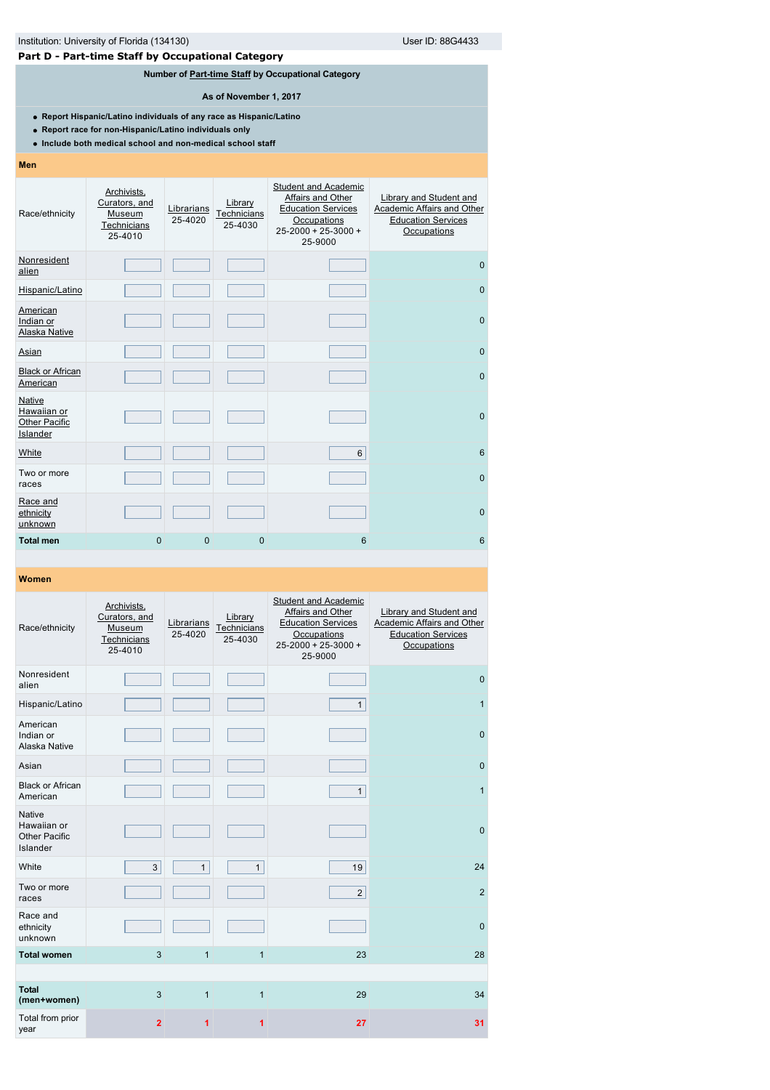# **Part D - Part-time Staff by Occupational Category**

# **Number of [Part-time Staff](javascript:openglossary(467)) by Occupational Category**

**As of November 1, 2017**

**Report Hispanic/Latino individuals of any race as Hispanic/Latino**

- **Report race for non-Hispanic/Latino individuals only**
- **Include both medical school and non-medical school staff**

## **Men**

| Race/ethnicity                                                   | Archivists,<br>Curators, and<br>Museum<br>Technicians<br>25-4010 | Librarians<br>25-4020 | Library<br>Technicians<br>25-4030 | Student and Academic<br>Affairs and Other<br><b>Education Services</b><br>Occupations<br>$25 - 2000 + 25 - 3000 +$<br>25-9000 | Library and Student and<br>Academic Affairs and Other<br><b>Education Services</b><br>Occupations |
|------------------------------------------------------------------|------------------------------------------------------------------|-----------------------|-----------------------------------|-------------------------------------------------------------------------------------------------------------------------------|---------------------------------------------------------------------------------------------------|
| Nonresident<br>alien                                             |                                                                  |                       |                                   |                                                                                                                               | $\mathbf{0}$                                                                                      |
| Hispanic/Latino                                                  |                                                                  |                       |                                   |                                                                                                                               | $\mathbf{0}$                                                                                      |
| American<br>Indian or<br><b>Alaska Native</b>                    |                                                                  |                       |                                   |                                                                                                                               | $\mathbf{0}$                                                                                      |
| Asian                                                            |                                                                  |                       |                                   |                                                                                                                               | $\mathbf{0}$                                                                                      |
| <b>Black or African</b><br>American                              |                                                                  |                       |                                   |                                                                                                                               | $\mathbf 0$                                                                                       |
| <b>Native</b><br>Hawaiian or<br><b>Other Pacific</b><br>Islander |                                                                  |                       |                                   |                                                                                                                               | $\mathbf{0}$                                                                                      |
| White                                                            |                                                                  |                       |                                   | 6                                                                                                                             | 6                                                                                                 |
| Two or more<br>races                                             |                                                                  |                       |                                   |                                                                                                                               | $\mathbf{0}$                                                                                      |
| Race and<br>ethnicity<br>unknown                                 |                                                                  |                       |                                   |                                                                                                                               | $\mathbf{0}$                                                                                      |
| <b>Total men</b>                                                 | $\mathbf 0$                                                      | 0                     | $\mathbf{0}$                      | 6                                                                                                                             | $6\phantom{1}6$                                                                                   |

| Race/ethnicity                                                   | Archivists,<br>Curators, and<br>Museum<br>Technicians<br>25-4010 | Librarians<br>25-4020 | Library<br>Technicians<br>25-4030 | <b>Student and Academic</b><br>Affairs and Other<br><b>Education Services</b><br>Occupations<br>25-2000 + 25-3000 +<br>25-9000 | <b>Library and Student and</b><br>Academic Affairs and Other<br><b>Education Services</b><br>Occupations |
|------------------------------------------------------------------|------------------------------------------------------------------|-----------------------|-----------------------------------|--------------------------------------------------------------------------------------------------------------------------------|----------------------------------------------------------------------------------------------------------|
| Nonresident<br>alien                                             |                                                                  |                       |                                   |                                                                                                                                | $\mathbf 0$                                                                                              |
| Hispanic/Latino                                                  |                                                                  |                       |                                   | $\mathbf{1}$                                                                                                                   | $\mathbf{1}$                                                                                             |
| American<br>Indian or<br>Alaska Native                           |                                                                  |                       |                                   |                                                                                                                                | $\mathbf{0}$                                                                                             |
| Asian                                                            |                                                                  |                       |                                   |                                                                                                                                | $\mathbf 0$                                                                                              |
| <b>Black or African</b><br>American                              |                                                                  |                       |                                   | $\mathbf{1}$                                                                                                                   | $\mathbf{1}$                                                                                             |
| <b>Native</b><br>Hawaiian or<br><b>Other Pacific</b><br>Islander |                                                                  |                       |                                   |                                                                                                                                | $\mathbf{0}$                                                                                             |
| White                                                            | 3                                                                | $\mathbf{1}$          | $\mathbf{1}$                      | 19                                                                                                                             | 24                                                                                                       |
| Two or more<br>races                                             |                                                                  |                       |                                   | 2                                                                                                                              | 2                                                                                                        |
| Race and<br>ethnicity<br>unknown                                 |                                                                  |                       |                                   |                                                                                                                                | $\mathbf{0}$                                                                                             |
| <b>Total women</b>                                               | 3                                                                | $\mathbf{1}$          | $\mathbf{1}$                      | 23                                                                                                                             | 28                                                                                                       |
|                                                                  |                                                                  |                       |                                   |                                                                                                                                |                                                                                                          |
| <b>Total</b><br>(men+women)                                      | 3                                                                | $\mathbf{1}$          | $\mathbf{1}$                      | 29                                                                                                                             | 34                                                                                                       |
| Total from prior<br>year                                         | $\overline{2}$                                                   | 1                     | 1                                 | 27                                                                                                                             | 31                                                                                                       |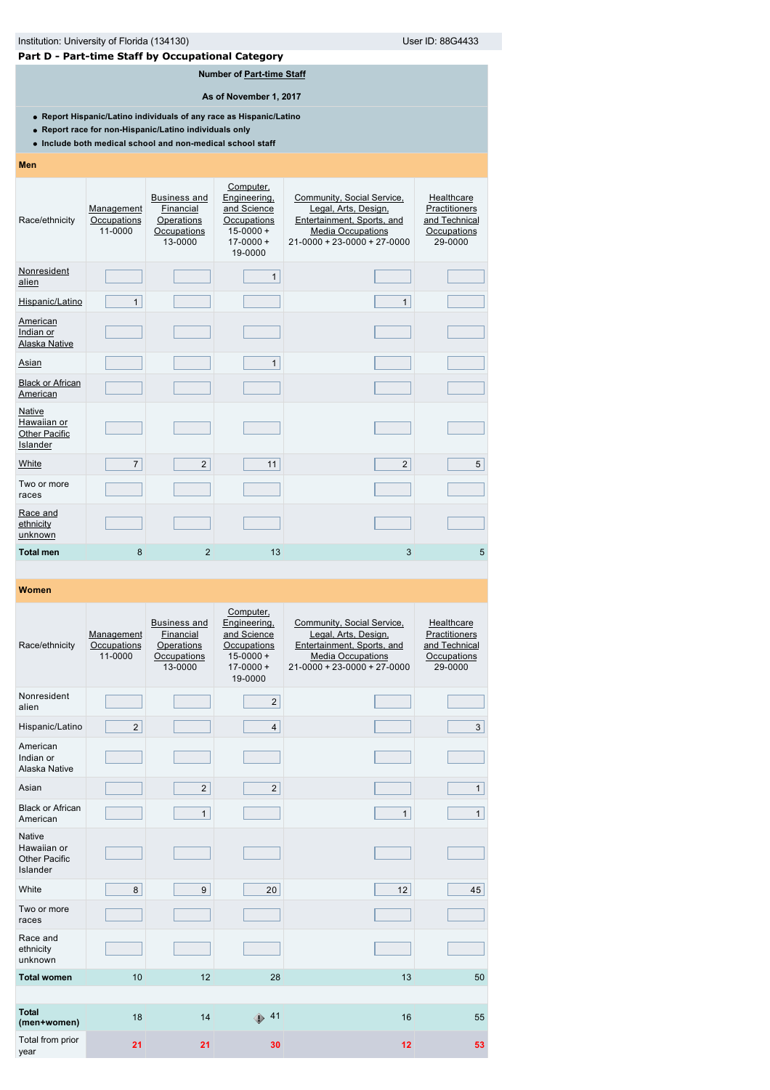|                                                                                                                                                                                             | User ID: 88G4433<br>Institution: University of Florida (134130) |                                                                          |                                                                                                      |                                                                                                                                               |                                                                        |  |  |  |  |
|---------------------------------------------------------------------------------------------------------------------------------------------------------------------------------------------|-----------------------------------------------------------------|--------------------------------------------------------------------------|------------------------------------------------------------------------------------------------------|-----------------------------------------------------------------------------------------------------------------------------------------------|------------------------------------------------------------------------|--|--|--|--|
| Part D - Part-time Staff by Occupational Category                                                                                                                                           |                                                                 |                                                                          |                                                                                                      |                                                                                                                                               |                                                                        |  |  |  |  |
| Number of Part-time Staff                                                                                                                                                                   |                                                                 |                                                                          |                                                                                                      |                                                                                                                                               |                                                                        |  |  |  |  |
|                                                                                                                                                                                             |                                                                 |                                                                          | As of November 1, 2017                                                                               |                                                                                                                                               |                                                                        |  |  |  |  |
| • Report Hispanic/Latino individuals of any race as Hispanic/Latino<br>• Report race for non-Hispanic/Latino individuals only<br>. Include both medical school and non-medical school staff |                                                                 |                                                                          |                                                                                                      |                                                                                                                                               |                                                                        |  |  |  |  |
| <b>Men</b>                                                                                                                                                                                  |                                                                 |                                                                          |                                                                                                      |                                                                                                                                               |                                                                        |  |  |  |  |
| Race/ethnicity                                                                                                                                                                              | Management<br>Occupations<br>11-0000                            | <b>Business and</b><br>Financial<br>Operations<br>Occupations<br>13-0000 | Computer,<br>Engineering,<br>and Science<br>Occupations<br>$15 - 0000 +$<br>$17 - 0000 +$<br>19-0000 | Community, Social Service,<br>Legal, Arts, Design,<br>Entertainment, Sports, and<br><b>Media Occupations</b><br>$21-0000 + 23-0000 + 27-0000$ | Healthcare<br>Practitioners<br>and Technical<br>Occupations<br>29-0000 |  |  |  |  |
| Nonresident<br>alien                                                                                                                                                                        |                                                                 |                                                                          | $\mathbf{1}$                                                                                         |                                                                                                                                               |                                                                        |  |  |  |  |
| Hispanic/Latino                                                                                                                                                                             | $\mathbf{1}$                                                    |                                                                          |                                                                                                      | $\mathbf{1}$                                                                                                                                  |                                                                        |  |  |  |  |
| <b>American</b><br>Indian or<br>Alaska Native                                                                                                                                               |                                                                 |                                                                          |                                                                                                      |                                                                                                                                               |                                                                        |  |  |  |  |
| Asian                                                                                                                                                                                       |                                                                 |                                                                          | $\mathbf{1}$                                                                                         |                                                                                                                                               |                                                                        |  |  |  |  |
| <b>Black or African</b><br>American                                                                                                                                                         |                                                                 |                                                                          |                                                                                                      |                                                                                                                                               |                                                                        |  |  |  |  |
| Native<br>Hawaiian or<br><b>Other Pacific</b><br>Islander                                                                                                                                   |                                                                 |                                                                          |                                                                                                      |                                                                                                                                               |                                                                        |  |  |  |  |
| White                                                                                                                                                                                       | $\overline{7}$                                                  | $\overline{2}$                                                           | 11                                                                                                   | $\overline{2}$                                                                                                                                | 5                                                                      |  |  |  |  |
| Two or more<br>races                                                                                                                                                                        |                                                                 |                                                                          |                                                                                                      |                                                                                                                                               |                                                                        |  |  |  |  |
| Race and<br>ethnicity                                                                                                                                                                       |                                                                 |                                                                          |                                                                                                      |                                                                                                                                               |                                                                        |  |  |  |  |

# **Women**

ethnicity unknown

| Race/ethnicity                                                   | Management<br>Occupations<br>11-0000 | <b>Business and</b><br>Financial<br>Operations<br>Occupations<br>13-0000 | Computer,<br>Engineering,<br>and Science<br>Occupations<br>$15 - 0000 +$<br>$17 - 0000 +$<br>19-0000 | Community, Social Service,<br>Legal, Arts, Design,<br>Entertainment, Sports, and<br><b>Media Occupations</b><br>$21 - 0000 + 23 - 0000 + 27 - 0000$ | Healthcare<br>Practitioners<br>and Technical<br>Occupations<br>29-0000 |
|------------------------------------------------------------------|--------------------------------------|--------------------------------------------------------------------------|------------------------------------------------------------------------------------------------------|-----------------------------------------------------------------------------------------------------------------------------------------------------|------------------------------------------------------------------------|
| Nonresident<br>alien                                             |                                      |                                                                          | $\overline{2}$                                                                                       |                                                                                                                                                     |                                                                        |
| Hispanic/Latino                                                  | 2                                    |                                                                          | $\overline{4}$                                                                                       |                                                                                                                                                     | 3                                                                      |
| American<br>Indian or<br>Alaska Native                           |                                      |                                                                          |                                                                                                      |                                                                                                                                                     |                                                                        |
| Asian                                                            |                                      | $\overline{2}$                                                           | $\overline{2}$                                                                                       |                                                                                                                                                     | 1                                                                      |
| <b>Black or African</b><br>American                              |                                      | $\mathbf{1}$                                                             |                                                                                                      | $\mathbf{1}$                                                                                                                                        | $\mathbf{1}$                                                           |
| <b>Native</b><br>Hawaiian or<br><b>Other Pacific</b><br>Islander |                                      |                                                                          |                                                                                                      |                                                                                                                                                     |                                                                        |
| White                                                            | 8                                    | 9                                                                        | 20                                                                                                   | 12                                                                                                                                                  | 45                                                                     |
| Two or more<br>races                                             |                                      |                                                                          |                                                                                                      |                                                                                                                                                     |                                                                        |
| Race and<br>ethnicity<br>unknown                                 |                                      |                                                                          |                                                                                                      |                                                                                                                                                     |                                                                        |
| <b>Total women</b>                                               | 10                                   | 12                                                                       | 28                                                                                                   | 13                                                                                                                                                  | 50                                                                     |
|                                                                  |                                      |                                                                          |                                                                                                      |                                                                                                                                                     |                                                                        |
| <b>Total</b><br>(men+women)                                      | 18                                   | 14                                                                       | 41<br>4                                                                                              | 16                                                                                                                                                  | 55                                                                     |
| Total from prior<br>year                                         | 21                                   | 21                                                                       | 30                                                                                                   | 12                                                                                                                                                  | 53                                                                     |

**Total men** 8 3 3 3 3 3 5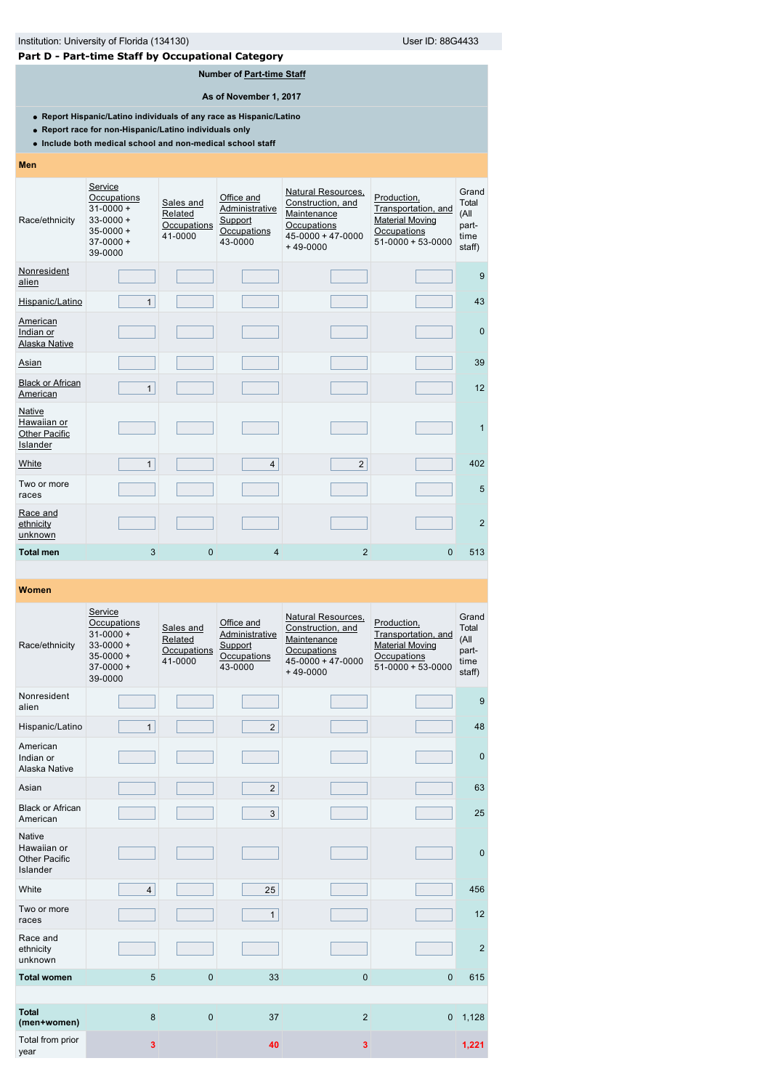# Institution: University of Florida (134130) Contract the User ID: 88G4433

# **Part D - Part-time Staff by Occupational Category**

**Number of [Part-time Staff](javascript:openglossary(467))**

**As of November 1, 2017**

**Report Hispanic/Latino individuals of any race as Hispanic/Latino**

**Report race for non-Hispanic/Latino individuals only**

**Include both medical school and non-medical school staff**

## **Men**

| Race/ethnicity                                                   | Service<br>Occupations<br>$31 - 0000 +$<br>$33 - 0000 +$<br>$35 - 0000 +$<br>$37-0000+$<br>39-0000 | Sales and<br>Related<br>Occupations<br>41-0000 | Office and<br>Administrative<br>Support<br>Occupations<br>43-0000 | Natural Resources,<br>Construction, and<br>Maintenance<br>Occupations<br>$45 - 0000 + 47 - 0000$<br>$+49-0000$ | Production,<br>Transportation, and<br><b>Material Moving</b><br>Occupations<br>$51-0000+53-0000$ | Grand<br>Total<br>(All<br>part-<br>time<br>staff) |
|------------------------------------------------------------------|----------------------------------------------------------------------------------------------------|------------------------------------------------|-------------------------------------------------------------------|----------------------------------------------------------------------------------------------------------------|--------------------------------------------------------------------------------------------------|---------------------------------------------------|
| Nonresident<br>alien                                             |                                                                                                    |                                                |                                                                   |                                                                                                                |                                                                                                  | 9                                                 |
| Hispanic/Latino                                                  | $\mathbf{1}$                                                                                       |                                                |                                                                   |                                                                                                                |                                                                                                  | 43                                                |
| American<br>Indian or<br>Alaska Native                           |                                                                                                    |                                                |                                                                   |                                                                                                                |                                                                                                  | $\mathbf{0}$                                      |
| Asian                                                            |                                                                                                    |                                                |                                                                   |                                                                                                                |                                                                                                  | 39                                                |
| <b>Black or African</b><br>American                              | $\mathbf{1}$                                                                                       |                                                |                                                                   |                                                                                                                |                                                                                                  | 12                                                |
| <b>Native</b><br>Hawaiian or<br><b>Other Pacific</b><br>Islander |                                                                                                    |                                                |                                                                   |                                                                                                                |                                                                                                  | $\mathbf{1}$                                      |
| White                                                            | $\mathbf{1}$                                                                                       |                                                | $\overline{4}$                                                    | 2                                                                                                              |                                                                                                  | 402                                               |
| Two or more<br>races                                             |                                                                                                    |                                                |                                                                   |                                                                                                                |                                                                                                  | 5                                                 |
| Race and<br>ethnicity<br>unknown                                 |                                                                                                    |                                                |                                                                   |                                                                                                                |                                                                                                  | $\overline{2}$                                    |
| <b>Total men</b>                                                 | 3                                                                                                  | 0                                              | 4                                                                 | $\overline{2}$                                                                                                 | $\mathbf{0}$                                                                                     | 513                                               |

| Race/ethnicity                                                   | Service<br>Occupations<br>$31 - 0000 +$<br>$33 - 0000 +$<br>$35 - 0000 +$<br>$37-0000+$<br>39-0000 | Sales and<br>Related<br>Occupations<br>41-0000 | Office and<br>Administrative<br>Support<br>Occupations<br>43-0000 | Natural Resources,<br>Construction, and<br>Maintenance<br>Occupations<br>$45 - 0000 + 47 - 0000$<br>$+49-0000$ | Production,<br>Transportation, and<br><b>Material Moving</b><br>Occupations<br>$51 - 0000 + 53 - 0000$ | Grand<br>Total<br>(All<br>part-<br>time<br>staff) |
|------------------------------------------------------------------|----------------------------------------------------------------------------------------------------|------------------------------------------------|-------------------------------------------------------------------|----------------------------------------------------------------------------------------------------------------|--------------------------------------------------------------------------------------------------------|---------------------------------------------------|
| Nonresident<br>alien                                             |                                                                                                    |                                                |                                                                   |                                                                                                                |                                                                                                        | 9                                                 |
| Hispanic/Latino                                                  | $\mathbf{1}$                                                                                       |                                                | $\mathbf{2}$                                                      |                                                                                                                |                                                                                                        | 48                                                |
| American<br>Indian or<br>Alaska Native                           |                                                                                                    |                                                |                                                                   |                                                                                                                |                                                                                                        | $\mathbf{0}$                                      |
| Asian                                                            |                                                                                                    |                                                | $\overline{2}$                                                    |                                                                                                                |                                                                                                        | 63                                                |
| <b>Black or African</b><br>American                              |                                                                                                    |                                                | 3                                                                 |                                                                                                                |                                                                                                        | 25                                                |
| <b>Native</b><br>Hawaiian or<br><b>Other Pacific</b><br>Islander |                                                                                                    |                                                |                                                                   |                                                                                                                |                                                                                                        | $\mathbf{0}$                                      |
| White                                                            | $\overline{4}$                                                                                     |                                                | 25                                                                |                                                                                                                |                                                                                                        | 456                                               |
| Two or more<br>races                                             |                                                                                                    |                                                | $\mathbf{1}$                                                      |                                                                                                                |                                                                                                        | 12                                                |
| Race and<br>ethnicity<br>unknown                                 |                                                                                                    |                                                |                                                                   |                                                                                                                |                                                                                                        | $\overline{2}$                                    |
| <b>Total women</b>                                               | 5                                                                                                  | $\mathbf 0$                                    | 33                                                                | $\overline{0}$                                                                                                 | $\Omega$                                                                                               | 615                                               |
|                                                                  |                                                                                                    |                                                |                                                                   |                                                                                                                |                                                                                                        |                                                   |
| <b>Total</b><br>(men+women)                                      | 8                                                                                                  | $\mathbf{0}$                                   | 37                                                                | $\overline{2}$                                                                                                 | $\mathbf{0}$                                                                                           | 1,128                                             |
| Total from prior<br>year                                         | 3                                                                                                  |                                                | 40                                                                | 3                                                                                                              |                                                                                                        | 1,221                                             |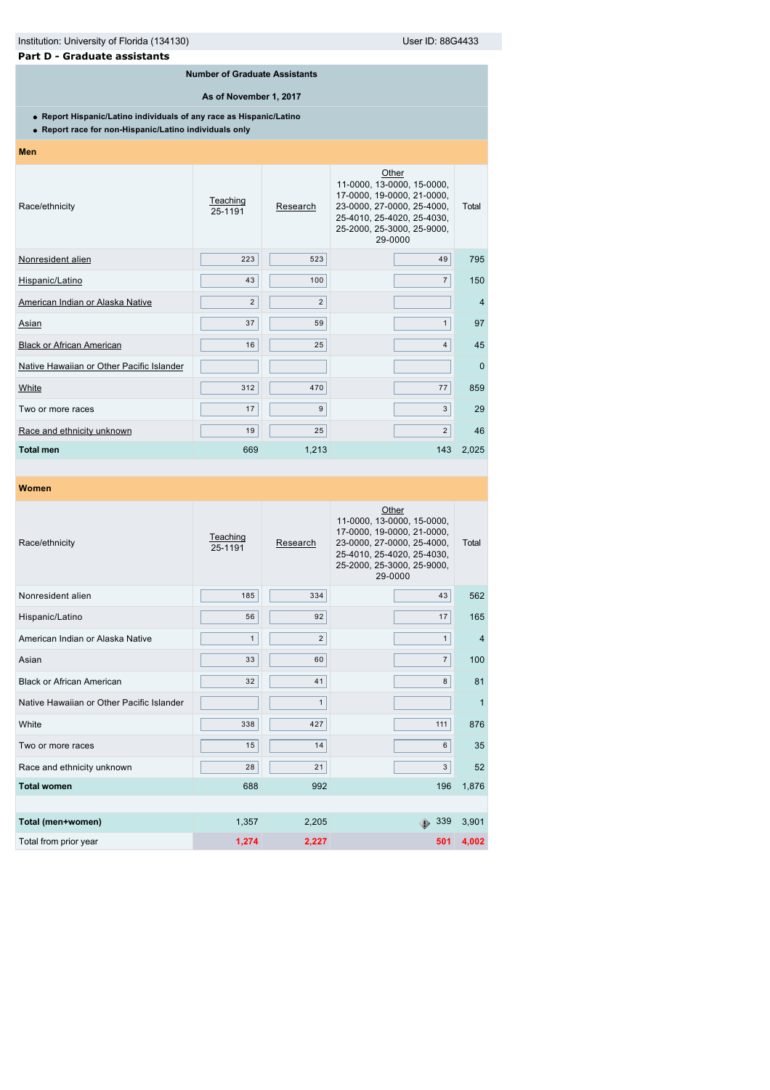# **Part D - Graduate assistants**

## **Number of Graduate Assistants**

**As of November 1, 2017**

**Report Hispanic/Latino individuals of any race as Hispanic/Latino**

**Report race for non-Hispanic/Latino individuals only**

## **Men**

| Race/ethnicity                            | Teaching<br>25-1191 | Research       | Other<br>11-0000, 13-0000, 15-0000,<br>17-0000, 19-0000, 21-0000,<br>23-0000, 27-0000, 25-4000,<br>25-4010, 25-4020, 25-4030,<br>25-2000, 25-3000, 25-9000,<br>29-0000 | Total          |
|-------------------------------------------|---------------------|----------------|------------------------------------------------------------------------------------------------------------------------------------------------------------------------|----------------|
| Nonresident alien                         | 223                 | 523            | 49                                                                                                                                                                     | 795            |
| Hispanic/Latino                           | 43                  | 100            | 7 <sup>1</sup>                                                                                                                                                         | 150            |
| American Indian or Alaska Native          | $\overline{2}$      | $\overline{2}$ |                                                                                                                                                                        | $\overline{4}$ |
| Asian                                     | 37                  | 59             | $\mathbf{1}$                                                                                                                                                           | 97             |
| <b>Black or African American</b>          | 16                  | 25             | $\overline{4}$                                                                                                                                                         | 45             |
| Native Hawaiian or Other Pacific Islander |                     |                |                                                                                                                                                                        | $\Omega$       |
| White                                     | 312                 | 470            | 77                                                                                                                                                                     | 859            |
| Two or more races                         | 17                  | 9              | 3                                                                                                                                                                      | 29             |
| Race and ethnicity unknown                | 19                  | 25             | $\overline{2}$                                                                                                                                                         | 46             |
| <b>Total men</b>                          | 669                 | 1,213          | 143                                                                                                                                                                    | 2,025          |

| Race/ethnicity                            | Teaching<br>25-1191 | Research       | Other<br>11-0000, 13-0000, 15-0000,<br>17-0000, 19-0000, 21-0000,<br>23-0000, 27-0000, 25-4000,<br>25-4010, 25-4020, 25-4030,<br>25-2000, 25-3000, 25-9000,<br>29-0000 | Total          |
|-------------------------------------------|---------------------|----------------|------------------------------------------------------------------------------------------------------------------------------------------------------------------------|----------------|
| Nonresident alien                         | 185                 | 334            | 43                                                                                                                                                                     | 562            |
| Hispanic/Latino                           | 56                  | 92             | 17                                                                                                                                                                     | 165            |
| American Indian or Alaska Native          | $\mathbf{1}$        | $\overline{2}$ | $\mathbf{1}$                                                                                                                                                           | $\overline{4}$ |
| Asian                                     | 33                  | 60             | 7 <sup>1</sup>                                                                                                                                                         | 100            |
| <b>Black or African American</b>          | 32                  | 41             | 8                                                                                                                                                                      | 81             |
| Native Hawaiian or Other Pacific Islander |                     | $\mathbf{1}$   |                                                                                                                                                                        | $\mathbf{1}$   |
| White                                     | 338                 | 427            | 111                                                                                                                                                                    | 876            |
| Two or more races                         | 15                  | 14             | 6                                                                                                                                                                      | 35             |
| Race and ethnicity unknown                | 28                  | 21             | 3                                                                                                                                                                      | 52             |
| <b>Total women</b>                        | 688                 | 992            | 196                                                                                                                                                                    | 1,876          |
|                                           |                     |                |                                                                                                                                                                        |                |
| Total (men+women)                         | 1,357               | 2,205          | 339<br>                                                                                                                                                                | 3,901          |
| Total from prior year                     | 1,274               | 2,227          | 501                                                                                                                                                                    | 4,002          |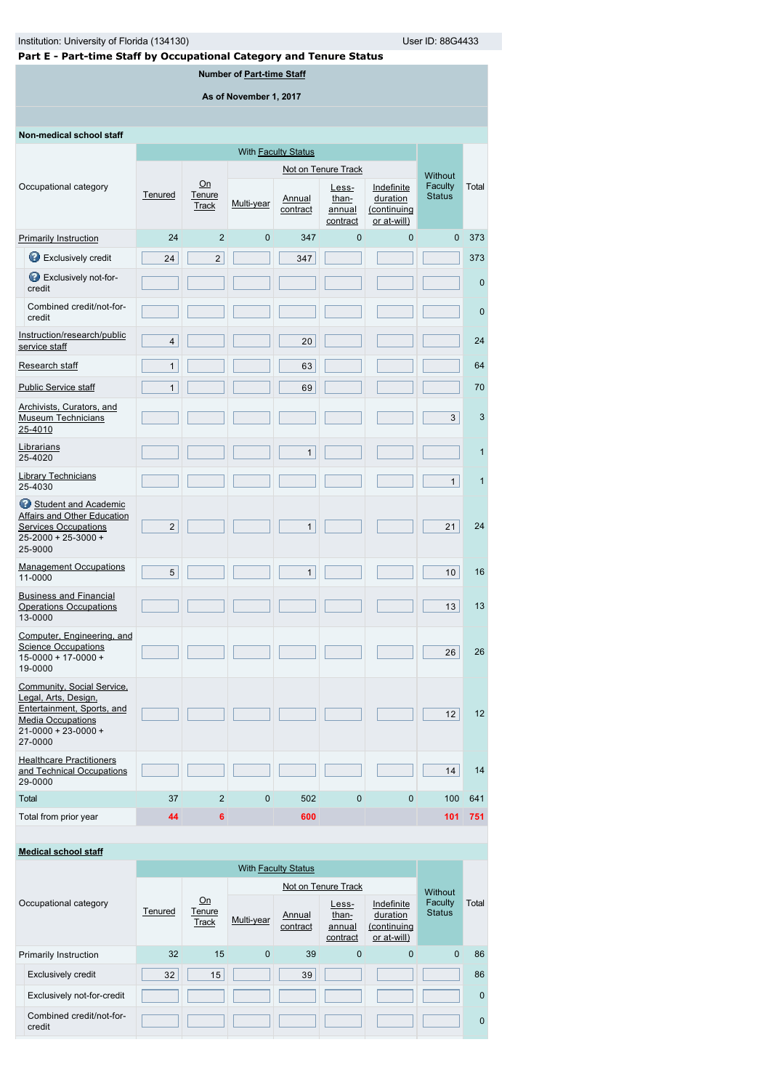| Institution: University of Florida (134130)<br>Part E - Part-time Staff by Occupational Category and Tenure Status                                   |                            |                              |                        |                    |                                      |                                                      |                          |                 |  |  |
|------------------------------------------------------------------------------------------------------------------------------------------------------|----------------------------|------------------------------|------------------------|--------------------|--------------------------------------|------------------------------------------------------|--------------------------|-----------------|--|--|
| Number of Part-time Staff                                                                                                                            |                            |                              |                        |                    |                                      |                                                      |                          |                 |  |  |
|                                                                                                                                                      |                            |                              | As of November 1, 2017 |                    |                                      |                                                      |                          |                 |  |  |
| Non-medical school staff                                                                                                                             |                            |                              |                        |                    |                                      |                                                      |                          |                 |  |  |
|                                                                                                                                                      | With <b>Faculty Status</b> |                              |                        |                    |                                      |                                                      |                          |                 |  |  |
|                                                                                                                                                      |                            |                              |                        |                    | Not on Tenure Track                  |                                                      | Without                  |                 |  |  |
| Occupational category                                                                                                                                | Tenured                    | Qn<br>Tenure<br><b>Track</b> | Multi-year             | Annual<br>contract | Less-<br>than-<br>annual<br>contract | Indefinite<br>duration<br>(continuing<br>or at-will) | Faculty<br><b>Status</b> | Total           |  |  |
| <b>Primarily Instruction</b>                                                                                                                         | 24                         | $\overline{2}$               | $\mathbf{0}$           | 347                | $\mathbf{0}$                         | $\mathbf{0}$                                         | $\mathbf{0}$             | 373             |  |  |
| Exclusively credit                                                                                                                                   | 24                         | $\overline{2}$               |                        | 347                |                                      |                                                      |                          | 373             |  |  |
| Exclusively not-for-<br>credit                                                                                                                       |                            |                              |                        |                    |                                      |                                                      |                          | $\mathbf{0}$    |  |  |
| Combined credit/not-for-<br>credit                                                                                                                   |                            |                              |                        |                    |                                      |                                                      |                          | $\mathbf{0}$    |  |  |
| Instruction/research/public<br>service staff                                                                                                         | $\overline{4}$             |                              |                        | 20                 |                                      |                                                      |                          | 24              |  |  |
| Research staff                                                                                                                                       | $\mathbf{1}$               |                              |                        | 63                 |                                      |                                                      |                          | 64              |  |  |
| <b>Public Service staff</b>                                                                                                                          | $\mathbf{1}$               |                              |                        | 69                 |                                      |                                                      |                          | 70              |  |  |
| Archivists, Curators, and<br><b>Museum Technicians</b><br>25-4010                                                                                    |                            |                              |                        |                    |                                      |                                                      | 3                        | 3               |  |  |
| Librarians<br>25-4020                                                                                                                                |                            |                              |                        | $\mathbf{1}$       |                                      |                                                      |                          | 1               |  |  |
| <b>Library Technicians</b><br>25-4030                                                                                                                |                            |                              |                        |                    |                                      |                                                      | $\mathbf{1}$             | $\mathbf{1}$    |  |  |
| Student and Academic<br>Affairs and Other Education<br><b>Services Occupations</b><br>25-2000 + 25-3000 +<br>25-9000                                 | $\overline{a}$             |                              |                        | $\mathbf{1}$       |                                      |                                                      | 21                       | 24              |  |  |
| <b>Management Occupations</b><br>11-0000                                                                                                             | 5 <sup>1</sup>             |                              |                        | 1                  |                                      |                                                      | 10 <sup>1</sup>          | 16              |  |  |
| <b>Business and Financial</b><br><b>Operations Occupations</b><br>13-0000                                                                            |                            |                              |                        |                    |                                      |                                                      | 13                       | 13              |  |  |
| Computer, Engineering, and<br><b>Science Occupations</b><br>$15 - 0000 + 17 - 0000 +$<br>19-0000                                                     |                            |                              |                        |                    |                                      |                                                      | 26                       | 26              |  |  |
| Community, Social Service,<br>Legal, Arts, Design,<br>Entertainment, Sports, and<br><b>Media Occupations</b><br>$21 - 0000 + 23 - 0000 +$<br>27-0000 |                            |                              |                        |                    |                                      |                                                      | 12                       | 12 <sup>2</sup> |  |  |
| <b>Healthcare Practitioners</b><br>and Technical Occupations<br>29-0000                                                                              |                            |                              |                        |                    |                                      |                                                      | 14                       | 14              |  |  |
| Total                                                                                                                                                | 37                         | $\overline{2}$               | $\pmb{0}$              | 502                | $\pmb{0}$                            | 0                                                    | 100                      | 641             |  |  |
| Total from prior year                                                                                                                                | 44                         | 6                            |                        | 600                |                                      |                                                      | 101                      | 751             |  |  |

**[Medical school staff](javascript:openglossary(393))** Occupational category With **[Faculty Status](javascript:openglossary(1009))** Without Faculty Status Total **[Tenured](javascript:openglossary(639))**  $Qn$ [Tenure](javascript:openglossary(641)) **Track** [Not on Tenure Track](javascript:openglossary(966)) [Multi-year](javascript:openglossary(981)) Annual **[contract](javascript:openglossary(979))** Lessthanannual [contract](javascript:openglossary(980)) **Indefinite duration** [\(continuing](javascript:openglossary(1075)) or at-will) Primarily Instruction **32 15 0 39 0 0 0 86** Exclusively credit 32 15 15 39 39 30 Exclusively not-for-credit 0 Combined credit/not-forcredit<sup>0</sup>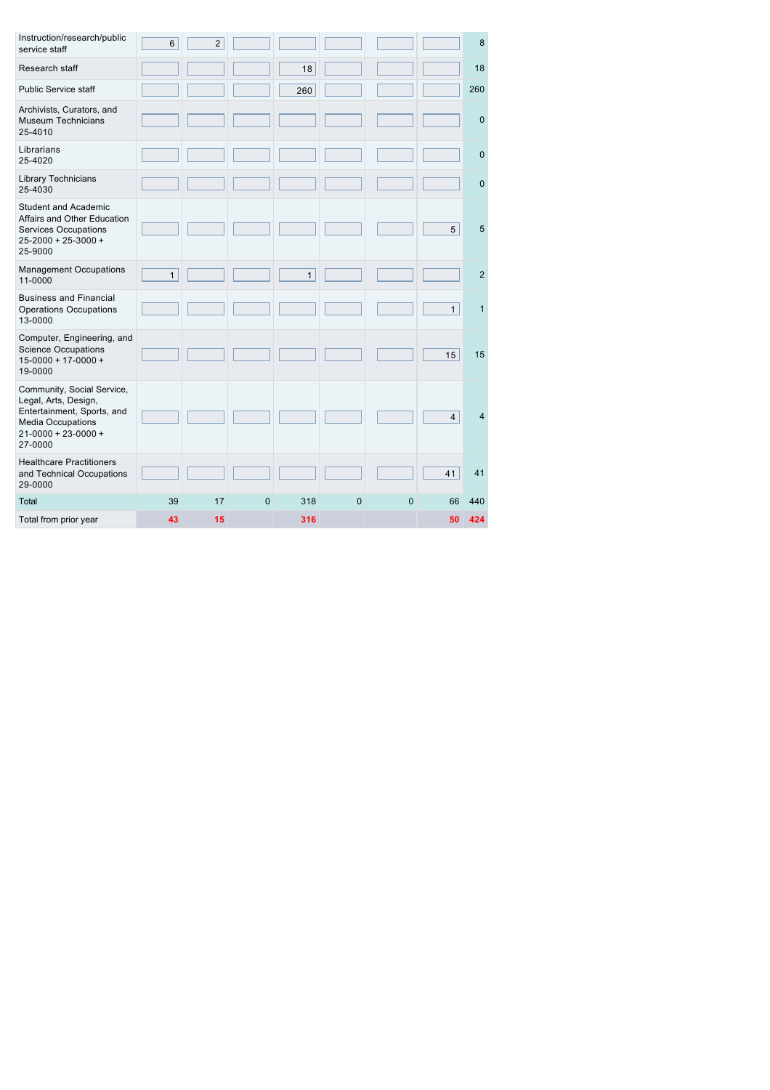| Instruction/research/public<br>service staff                                                                                                         | $6\phantom{1}$ | $\overline{2}$ |   |              |                |   |                | 8              |
|------------------------------------------------------------------------------------------------------------------------------------------------------|----------------|----------------|---|--------------|----------------|---|----------------|----------------|
| Research staff                                                                                                                                       |                |                |   | 18           |                |   |                | 18             |
| <b>Public Service staff</b>                                                                                                                          |                |                |   | 260          |                |   |                | 260            |
| Archivists, Curators, and<br><b>Museum Technicians</b><br>25-4010                                                                                    |                |                |   |              |                |   |                | $\mathbf 0$    |
| Librarians<br>25-4020                                                                                                                                |                |                |   |              |                |   |                | $\mathbf 0$    |
| Library Technicians<br>25-4030                                                                                                                       |                |                |   |              |                |   |                | $\mathbf 0$    |
| <b>Student and Academic</b><br>Affairs and Other Education<br><b>Services Occupations</b><br>25-2000 + 25-3000 +<br>25-9000                          |                |                |   |              |                |   | 5              | 5              |
| <b>Management Occupations</b><br>11-0000                                                                                                             | $\mathbf{1}$   |                |   | $\mathbf{1}$ |                |   |                | $\overline{2}$ |
| <b>Business and Financial</b><br><b>Operations Occupations</b><br>13-0000                                                                            |                |                |   |              |                |   | $\mathbf{1}$   | $\mathbf{1}$   |
| Computer, Engineering, and<br><b>Science Occupations</b><br>$15 - 0000 + 17 - 0000 +$<br>19-0000                                                     |                |                |   |              |                |   | 15             | 15             |
| Community, Social Service,<br>Legal, Arts, Design,<br>Entertainment, Sports, and<br><b>Media Occupations</b><br>$21 - 0000 + 23 - 0000 +$<br>27-0000 |                |                |   |              |                |   | 4 <sup>1</sup> | $\overline{4}$ |
| <b>Healthcare Practitioners</b><br>and Technical Occupations<br>29-0000                                                                              |                |                |   |              |                |   | 41             | 41             |
| Total                                                                                                                                                | 39             | 17             | 0 | 318          | $\overline{0}$ | 0 | 66             | 440            |
| Total from prior year                                                                                                                                | 43             | 15             |   | 316          |                |   | 50             | 424            |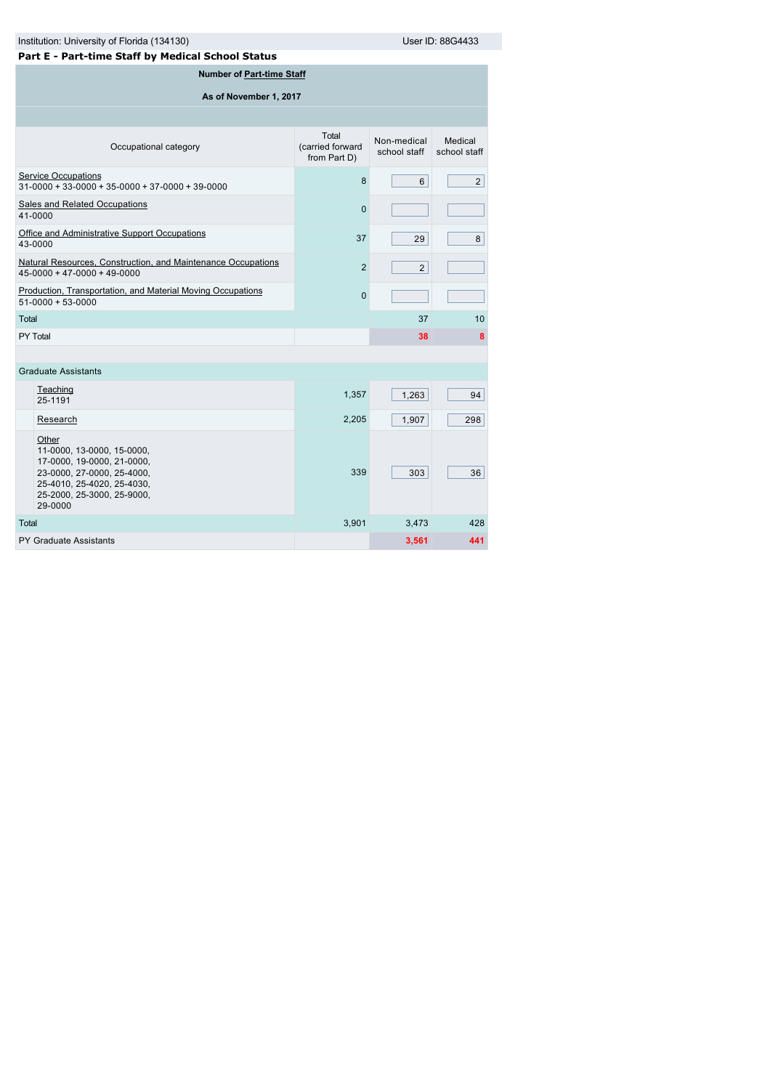| Institution: University of Florida (134130)<br>Part E - Part-time Staff by Medical School Status                                                                       |                                           |                             | User ID: 88G4433        |  |  |  |  |  |
|------------------------------------------------------------------------------------------------------------------------------------------------------------------------|-------------------------------------------|-----------------------------|-------------------------|--|--|--|--|--|
| <b>Number of Part-time Staff</b>                                                                                                                                       |                                           |                             |                         |  |  |  |  |  |
| As of November 1, 2017                                                                                                                                                 |                                           |                             |                         |  |  |  |  |  |
|                                                                                                                                                                        |                                           |                             |                         |  |  |  |  |  |
| Occupational category                                                                                                                                                  | Total<br>(carried forward<br>from Part D) | Non-medical<br>school staff | Medical<br>school staff |  |  |  |  |  |
| Service Occupations<br>$31-0000 + 33-0000 + 35-0000 + 37-0000 + 39-0000$                                                                                               | 8                                         | 6                           | $\overline{2}$          |  |  |  |  |  |
| <b>Sales and Related Occupations</b><br>41-0000                                                                                                                        | $\Omega$                                  |                             |                         |  |  |  |  |  |
| Office and Administrative Support Occupations<br>43-0000                                                                                                               | 37                                        | 29                          | 8                       |  |  |  |  |  |
| Natural Resources, Construction, and Maintenance Occupations<br>$45 - 0000 + 47 - 0000 + 49 - 0000$                                                                    | $\overline{2}$                            | $\overline{2}$              |                         |  |  |  |  |  |
| Production, Transportation, and Material Moving Occupations<br>$51-0000+53-0000$                                                                                       | $\Omega$                                  |                             |                         |  |  |  |  |  |
| Total                                                                                                                                                                  |                                           | 37                          | 10                      |  |  |  |  |  |
| PY Total                                                                                                                                                               |                                           | 38                          | 8                       |  |  |  |  |  |
| <b>Graduate Assistants</b>                                                                                                                                             |                                           |                             |                         |  |  |  |  |  |
| Teaching<br>25-1191                                                                                                                                                    | 1,357                                     | 1,263                       | 94                      |  |  |  |  |  |
| Research                                                                                                                                                               | 2,205                                     | 1,907                       | 298                     |  |  |  |  |  |
| Other<br>11-0000, 13-0000, 15-0000,<br>17-0000, 19-0000, 21-0000,<br>23-0000, 27-0000, 25-4000,<br>25-4010, 25-4020, 25-4030,<br>25-2000, 25-3000, 25-9000,<br>29-0000 | 339                                       | 303                         | 36                      |  |  |  |  |  |
| Total                                                                                                                                                                  | 3,901                                     | 3,473                       | 428                     |  |  |  |  |  |
| <b>PY Graduate Assistants</b>                                                                                                                                          |                                           | 3.561                       | 441                     |  |  |  |  |  |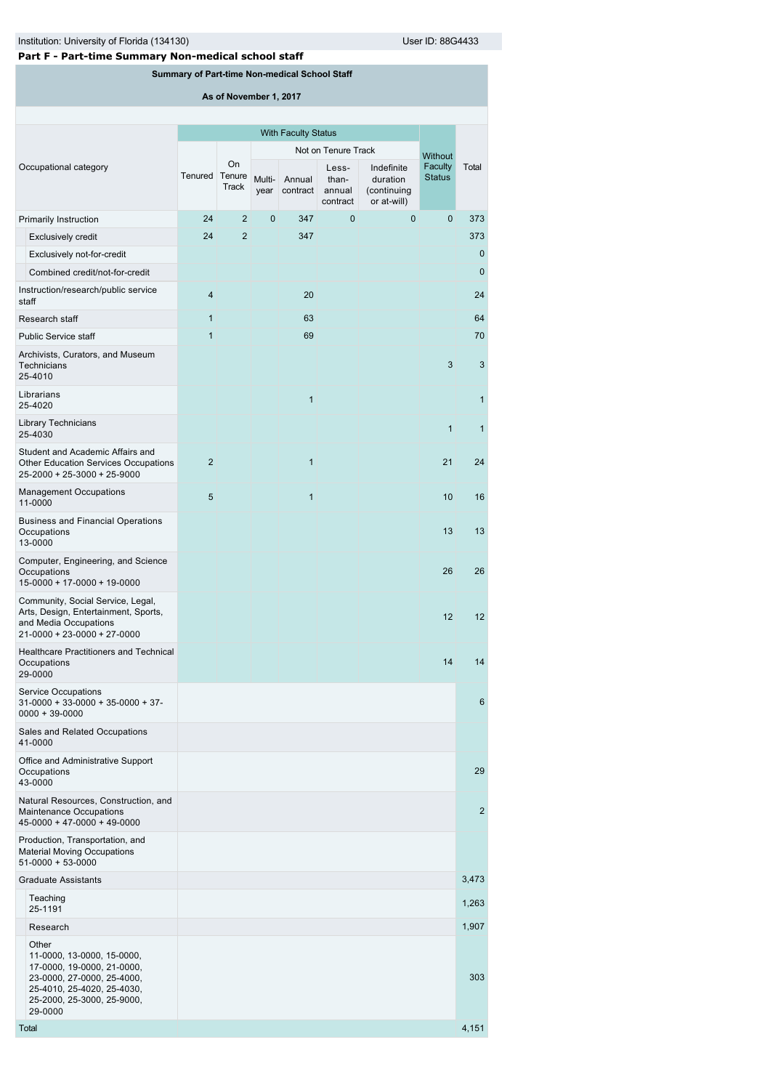**Part F - Part-time Summary Non-medical school staff**

**Summary of Part-time Non-medical School Staff**

|                                                                                                                                                             |                | As of November 1, 2017 |                |                            |                                      |                                                      |                          |              |
|-------------------------------------------------------------------------------------------------------------------------------------------------------------|----------------|------------------------|----------------|----------------------------|--------------------------------------|------------------------------------------------------|--------------------------|--------------|
|                                                                                                                                                             |                |                        |                |                            |                                      |                                                      |                          |              |
|                                                                                                                                                             |                |                        |                | <b>With Faculty Status</b> |                                      |                                                      |                          |              |
|                                                                                                                                                             |                |                        |                |                            | Not on Tenure Track                  |                                                      | <b>Without</b>           |              |
| Occupational category                                                                                                                                       | Tenured        | On<br>Tenure<br>Track  | Multi-<br>year | Annual<br>contract         | Less-<br>than-<br>annual<br>contract | Indefinite<br>duration<br>(continuing<br>or at-will) | Faculty<br><b>Status</b> | Total        |
| Primarily Instruction                                                                                                                                       | 24             | 2                      | $\mathbf{0}$   | 347                        | $\mathbf 0$                          | $\mathbf 0$                                          | $\mathbf{0}$             | 373          |
| <b>Exclusively credit</b>                                                                                                                                   | 24             | $\overline{2}$         |                | 347                        |                                      |                                                      |                          | 373          |
| Exclusively not-for-credit                                                                                                                                  |                |                        |                |                            |                                      |                                                      |                          | $\mathbf 0$  |
| Combined credit/not-for-credit                                                                                                                              |                |                        |                |                            |                                      |                                                      |                          | $\mathbf 0$  |
| Instruction/research/public service<br>staff                                                                                                                | 4              |                        |                | 20                         |                                      |                                                      |                          | 24           |
| Research staff                                                                                                                                              | $\mathbf{1}$   |                        |                | 63                         |                                      |                                                      |                          | 64           |
| <b>Public Service staff</b>                                                                                                                                 | $\mathbf{1}$   |                        |                | 69                         |                                      |                                                      |                          | 70           |
| Archivists, Curators, and Museum<br>Technicians<br>25-4010                                                                                                  |                |                        |                |                            |                                      |                                                      | 3                        | 3            |
| Librarians<br>25-4020                                                                                                                                       |                |                        |                | $\mathbf{1}$               |                                      |                                                      |                          | $\mathbf{1}$ |
| <b>Library Technicians</b><br>25-4030                                                                                                                       |                |                        |                |                            |                                      |                                                      | $\mathbf{1}$             | $\mathbf{1}$ |
| Student and Academic Affairs and<br><b>Other Education Services Occupations</b><br>25-2000 + 25-3000 + 25-9000                                              | $\overline{2}$ |                        |                | $\mathbf{1}$               |                                      |                                                      | 21                       | 24           |
| <b>Management Occupations</b><br>11-0000                                                                                                                    | 5              |                        |                | $\mathbf{1}$               |                                      |                                                      | 10                       | 16           |
| <b>Business and Financial Operations</b><br>Occupations<br>13-0000                                                                                          |                |                        |                |                            |                                      |                                                      | 13                       | 13           |
| Computer, Engineering, and Science<br>Occupations<br>15-0000 + 17-0000 + 19-0000                                                                            |                |                        |                |                            |                                      |                                                      | 26                       | 26           |
| Community, Social Service, Legal,<br>Arts, Design, Entertainment, Sports,<br>and Media Occupations<br>$21 - 0000 + 23 - 0000 + 27 - 0000$                   |                |                        |                |                            |                                      |                                                      | 12                       | 12           |
| <b>Healthcare Practitioners and Technical</b><br>Occupations<br>29-0000                                                                                     |                |                        |                |                            |                                      |                                                      | 14                       | 14           |
| Service Occupations<br>$31-0000 + 33-0000 + 35-0000 + 37-$<br>$0000 + 39 - 0000$                                                                            |                |                        |                |                            |                                      |                                                      |                          | 6            |
| Sales and Related Occupations<br>41-0000                                                                                                                    |                |                        |                |                            |                                      |                                                      |                          |              |
| Office and Administrative Support<br>Occupations<br>43-0000                                                                                                 |                |                        |                |                            |                                      |                                                      |                          | 29           |
| Natural Resources, Construction, and<br>Maintenance Occupations<br>$45-0000 + 47-0000 + 49-0000$                                                            |                |                        |                |                            |                                      |                                                      |                          | 2            |
| Production, Transportation, and<br><b>Material Moving Occupations</b><br>$51-0000 + 53-0000$                                                                |                |                        |                |                            |                                      |                                                      |                          |              |
| <b>Graduate Assistants</b>                                                                                                                                  |                |                        |                |                            |                                      |                                                      |                          | 3,473        |
| Teaching<br>25-1191                                                                                                                                         |                |                        |                |                            |                                      |                                                      |                          | 1,263        |
| Research                                                                                                                                                    |                |                        |                |                            |                                      |                                                      |                          | 1,907        |
| Other<br>11-0000, 13-0000, 15-0000,<br>17-0000, 19-0000, 21-0000,<br>23-0000, 27-0000, 25-4000,<br>25-4010, 25-4020, 25-4030,<br>25-2000, 25-3000, 25-9000, |                |                        |                |                            |                                      |                                                      |                          | 303          |
| 29-0000<br>Total                                                                                                                                            |                |                        |                |                            |                                      |                                                      |                          | 4,151        |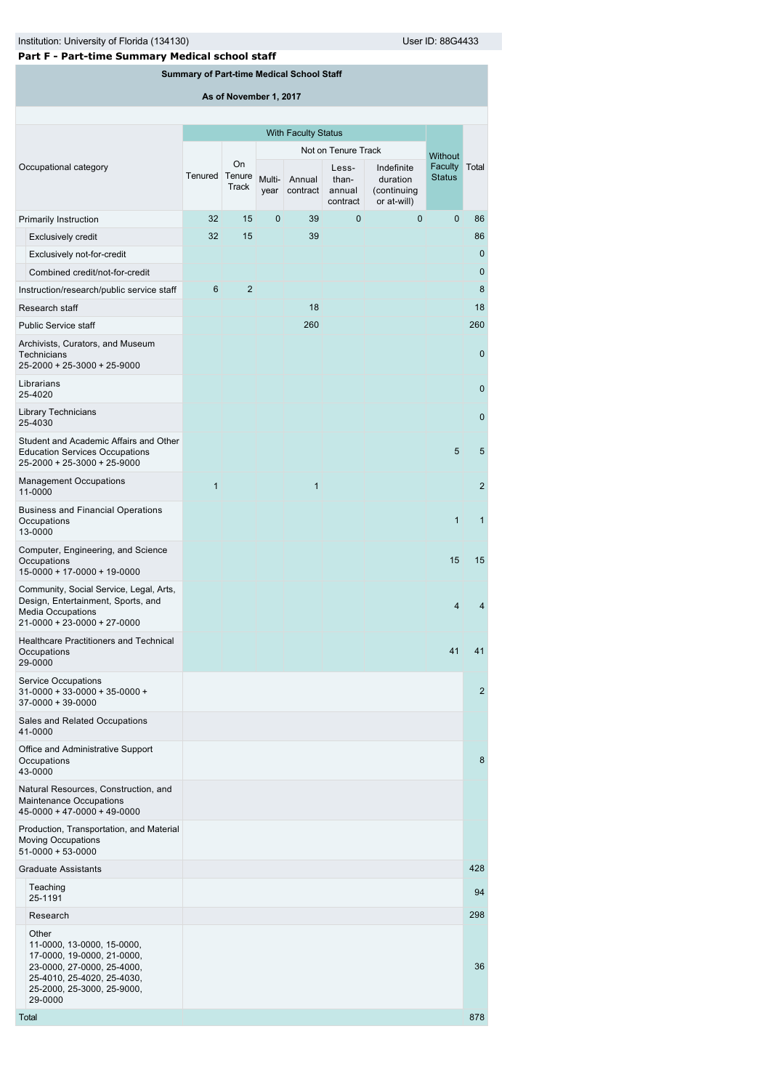| Part F - Part-time Summary Medical school staff |  |  |
|-------------------------------------------------|--|--|
|-------------------------------------------------|--|--|

**Summary of Part-time Medical School Staff**

| As of November 1, 2017 |                                                                                                                                                             |              |                              |                |                            |                                                             |                                                      |                                            |                |
|------------------------|-------------------------------------------------------------------------------------------------------------------------------------------------------------|--------------|------------------------------|----------------|----------------------------|-------------------------------------------------------------|------------------------------------------------------|--------------------------------------------|----------------|
|                        |                                                                                                                                                             |              |                              |                |                            |                                                             |                                                      |                                            |                |
|                        |                                                                                                                                                             |              |                              |                | <b>With Faculty Status</b> |                                                             |                                                      |                                            |                |
|                        | Occupational category                                                                                                                                       | Tenured      | <b>On</b><br>Tenure<br>Track | Multi-<br>year | Annual<br>contract         | Not on Tenure Track<br>Less-<br>than-<br>annual<br>contract | Indefinite<br>duration<br>(continuing<br>or at-will) | <b>Without</b><br>Faculty<br><b>Status</b> | Total          |
|                        | Primarily Instruction                                                                                                                                       | 32           | 15                           | $\mathbf{0}$   | 39                         | $\Omega$                                                    | $\mathbf{0}$                                         | $\mathbf{0}$                               | 86             |
|                        | <b>Exclusively credit</b>                                                                                                                                   | 32           | 15                           |                | 39                         |                                                             |                                                      |                                            | 86             |
|                        | Exclusively not-for-credit                                                                                                                                  |              |                              |                |                            |                                                             |                                                      |                                            | $\mathbf{0}$   |
|                        | Combined credit/not-for-credit                                                                                                                              |              |                              |                |                            |                                                             |                                                      |                                            | $\mathbf{0}$   |
|                        | Instruction/research/public service staff                                                                                                                   | 6            | $\overline{2}$               |                |                            |                                                             |                                                      |                                            | 8              |
|                        | Research staff                                                                                                                                              |              |                              |                | 18                         |                                                             |                                                      |                                            | 18             |
|                        | <b>Public Service staff</b>                                                                                                                                 |              |                              |                | 260                        |                                                             |                                                      |                                            | 260            |
|                        | Archivists, Curators, and Museum<br><b>Technicians</b><br>25-2000 + 25-3000 + 25-9000                                                                       |              |                              |                |                            |                                                             |                                                      |                                            | 0              |
|                        | Librarians<br>25-4020                                                                                                                                       |              |                              |                |                            |                                                             |                                                      |                                            | $\mathbf{0}$   |
|                        | <b>Library Technicians</b><br>25-4030                                                                                                                       |              |                              |                |                            |                                                             |                                                      |                                            | $\mathbf{0}$   |
|                        | Student and Academic Affairs and Other<br><b>Education Services Occupations</b><br>25-2000 + 25-3000 + 25-9000                                              |              |                              |                |                            |                                                             |                                                      | 5                                          | 5              |
|                        | <b>Management Occupations</b><br>11-0000                                                                                                                    | $\mathbf{1}$ |                              |                | $\mathbf{1}$               |                                                             |                                                      |                                            | $\overline{2}$ |
|                        | <b>Business and Financial Operations</b><br>Occupations<br>13-0000                                                                                          |              |                              |                |                            |                                                             |                                                      | $\mathbf{1}$                               | $\mathbf{1}$   |
|                        | Computer, Engineering, and Science<br>Occupations<br>15-0000 + 17-0000 + 19-0000                                                                            |              |                              |                |                            |                                                             |                                                      | 15                                         | 15             |
|                        | Community, Social Service, Legal, Arts,<br>Design, Entertainment, Sports, and<br><b>Media Occupations</b><br>$21-0000 + 23-0000 + 27-0000$                  |              |                              |                |                            |                                                             |                                                      | $\overline{4}$                             | 4              |
|                        | <b>Healthcare Practitioners and Technical</b><br>Occupations<br>29-0000                                                                                     |              |                              |                |                            |                                                             |                                                      | 41                                         | 41             |
|                        | <b>Service Occupations</b><br>$31 - 0000 + 33 - 0000 + 35 - 0000 +$<br>$37-0000 + 39-0000$                                                                  |              |                              |                |                            |                                                             |                                                      |                                            | $\overline{2}$ |
|                        | Sales and Related Occupations<br>41-0000                                                                                                                    |              |                              |                |                            |                                                             |                                                      |                                            |                |
|                        | Office and Administrative Support<br>Occupations<br>43-0000                                                                                                 |              |                              |                |                            |                                                             |                                                      |                                            | 8              |
|                        | Natural Resources, Construction, and<br>Maintenance Occupations<br>$45-0000 + 47-0000 + 49-0000$                                                            |              |                              |                |                            |                                                             |                                                      |                                            |                |
|                        | Production, Transportation, and Material<br><b>Moving Occupations</b><br>$51-0000+53-0000$                                                                  |              |                              |                |                            |                                                             |                                                      |                                            |                |
|                        | <b>Graduate Assistants</b>                                                                                                                                  |              |                              |                |                            |                                                             |                                                      |                                            | 428            |
|                        | Teaching<br>25-1191                                                                                                                                         |              |                              |                |                            |                                                             |                                                      |                                            | 94             |
|                        | Research                                                                                                                                                    |              |                              |                |                            |                                                             |                                                      |                                            | 298            |
|                        | Other<br>11-0000, 13-0000, 15-0000,<br>17-0000, 19-0000, 21-0000,<br>23-0000, 27-0000, 25-4000,<br>25-4010, 25-4020, 25-4030,<br>25-2000, 25-3000, 25-9000, |              |                              |                |                            |                                                             |                                                      |                                            | 36             |
|                        | 29-0000<br>Total                                                                                                                                            |              |                              |                |                            |                                                             |                                                      |                                            | 878            |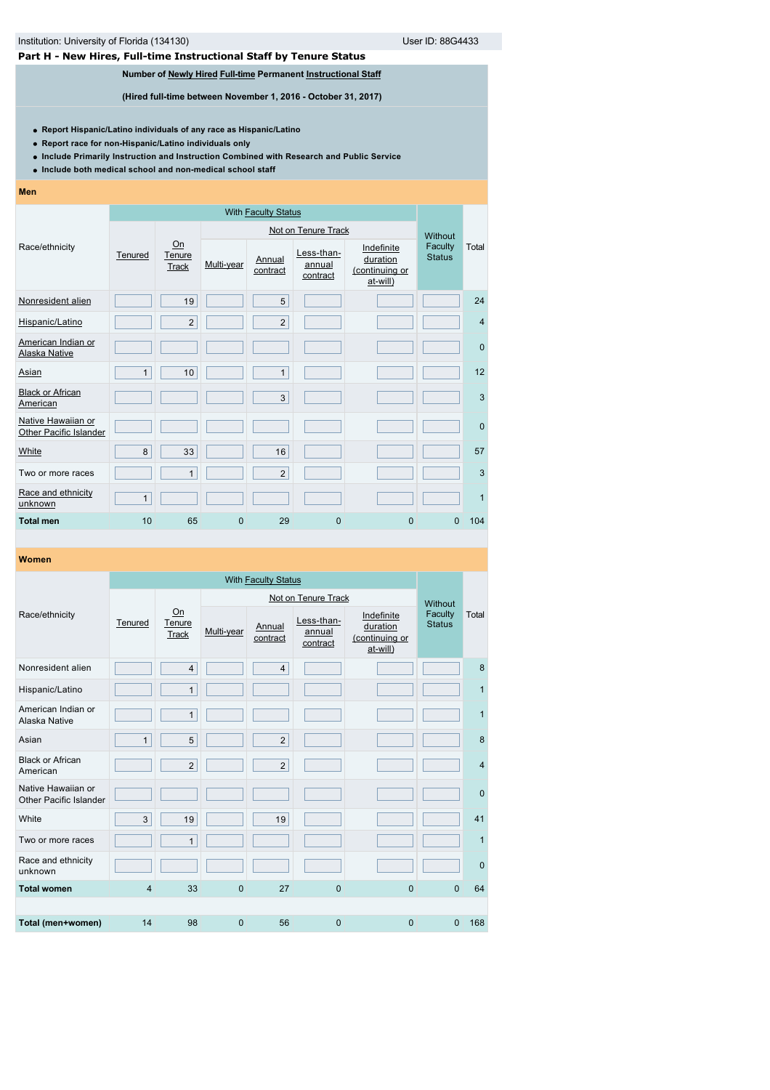# **Part H - New Hires, Full-time Instructional Staff by Tenure Status**

# **Number of [Newly Hired](javascript:openglossary(407)) [Full-time](javascript:openglossary(257)) Permanent [Instructional Staff](javascript:openglossary(996))**

**(Hired full-time between November 1, 2016 - October 31, 2017)**

- **Report Hispanic/Latino individuals of any race as Hispanic/Latino**
- **Report race for non-Hispanic/Latino individuals only**
- **Include Primarily Instruction and Instruction Combined with Research and Public Service**
- **Include both medical school and non-medical school staff**

## **Men**

|                                              |              |                       |             |                    | Not on Tenure Track              |                                                      | Without                  |                |
|----------------------------------------------|--------------|-----------------------|-------------|--------------------|----------------------------------|------------------------------------------------------|--------------------------|----------------|
| Race/ethnicity                               | Tenured      | Qn<br>Tenure<br>Track | Multi-year  | Annual<br>contract | Less-than-<br>annual<br>contract | Indefinite<br>duration<br>(continuing or<br>at-will) | Faculty<br><b>Status</b> | Total          |
| Nonresident alien                            |              | 19                    |             | 5                  |                                  |                                                      |                          | 24             |
| Hispanic/Latino                              |              | $\overline{2}$        |             | $\overline{2}$     |                                  |                                                      |                          | $\overline{4}$ |
| American Indian or<br><b>Alaska Native</b>   |              |                       |             |                    |                                  |                                                      |                          | $\mathbf 0$    |
| Asian                                        | $\mathbf{1}$ | 10                    |             | $\mathbf{1}$       |                                  |                                                      |                          | 12             |
| <b>Black or African</b><br>American          |              |                       |             | 3                  |                                  |                                                      |                          | 3              |
| Native Hawaiian or<br>Other Pacific Islander |              |                       |             |                    |                                  |                                                      |                          | $\mathbf{0}$   |
| White                                        | 8            | 33                    |             | 16                 |                                  |                                                      |                          | 57             |
| Two or more races                            |              | $\mathbf{1}$          |             | $\overline{2}$     |                                  |                                                      |                          | 3              |
| Race and ethnicity<br>unknown                | $\mathbf{1}$ |                       |             |                    |                                  |                                                      |                          | $\mathbf{1}$   |
| <b>Total men</b>                             | 10           | 65                    | $\mathbf 0$ | 29                 | $\overline{0}$                   | $\overline{0}$                                       | $\mathbf{0}$             | 104            |

|                                              |                |                              |              |                    | Not on Tenure Track              |                                                      | Without                  |                |
|----------------------------------------------|----------------|------------------------------|--------------|--------------------|----------------------------------|------------------------------------------------------|--------------------------|----------------|
| Race/ethnicity                               | Tenured        | On<br>Tenure<br><b>Track</b> | Multi-year   | Annual<br>contract | Less-than-<br>annual<br>contract | Indefinite<br>duration<br>(continuing or<br>at-will) | Faculty<br><b>Status</b> | Total          |
| Nonresident alien                            |                | $\overline{4}$               |              | $\overline{4}$     |                                  |                                                      |                          | 8              |
| Hispanic/Latino                              |                | $\mathbf{1}$                 |              |                    |                                  |                                                      |                          | $\mathbf{1}$   |
| American Indian or<br>Alaska Native          |                | $\mathbf{1}$                 |              |                    |                                  |                                                      |                          | $\mathbf{1}$   |
| Asian                                        | $\mathbf{1}$   | 5                            |              | $\overline{2}$     |                                  |                                                      |                          | 8              |
| <b>Black or African</b><br>American          |                | $\overline{2}$               |              | $\overline{2}$     |                                  |                                                      |                          | $\overline{4}$ |
| Native Hawaiian or<br>Other Pacific Islander |                |                              |              |                    |                                  |                                                      |                          | $\mathbf 0$    |
| White                                        | 3              | 19                           |              | 19                 |                                  |                                                      |                          | 41             |
| Two or more races                            |                | $\mathbf{1}$                 |              |                    |                                  |                                                      |                          | $\mathbf{1}$   |
| Race and ethnicity<br>unknown                |                |                              |              |                    |                                  |                                                      |                          | $\mathbf{0}$   |
| <b>Total women</b>                           | $\overline{4}$ | 33                           | $\mathbf{0}$ | 27                 | $\mathbf{0}$                     | $\overline{0}$                                       | $\mathbf{0}$             | 64             |
|                                              |                |                              |              |                    |                                  |                                                      |                          |                |
| Total (men+women)                            | 14             | 98                           | $\Omega$     | 56                 | $\Omega$                         | $\Omega$                                             | $\Omega$                 | 168            |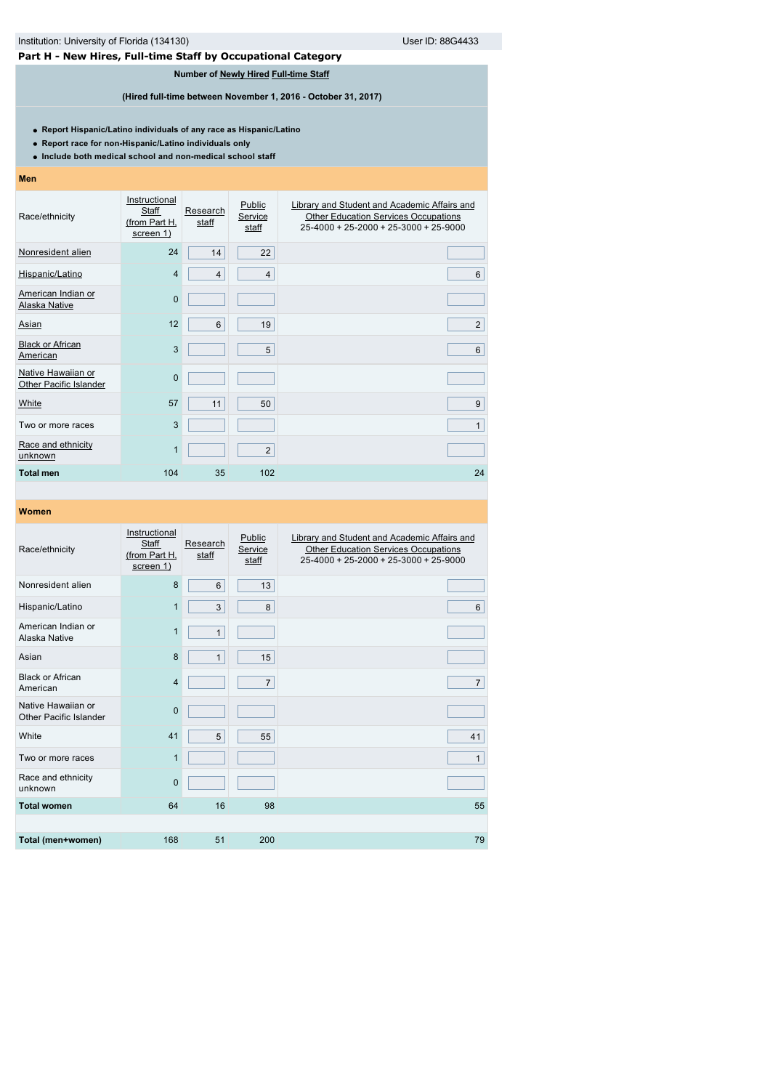# **Part H - New Hires, Full-time Staff by Occupational Category**

**Number of [Newly Hired](javascript:openglossary(407)) [Full-time Staff](javascript:openglossary(257))**

**(Hired full-time between November 1, 2016 - October 31, 2017)**

**Report Hispanic/Latino individuals of any race as Hispanic/Latino**

**Report race for non-Hispanic/Latino individuals only**

**Include both medical school and non-medical school staff**

## **Men**

| Race/ethnicity                               | Instructional<br>Staff<br>(from Part H,<br>screen 1) | Research<br>staff | Public<br>Service<br>staff | Library and Student and Academic Affairs and<br><b>Other Education Services Occupations</b><br>25-4000 + 25-2000 + 25-3000 + 25-9000 |
|----------------------------------------------|------------------------------------------------------|-------------------|----------------------------|--------------------------------------------------------------------------------------------------------------------------------------|
| Nonresident alien                            | 24                                                   | 14                | 22                         |                                                                                                                                      |
| Hispanic/Latino                              | $\overline{4}$                                       | $\overline{4}$    | $\overline{4}$             | 6                                                                                                                                    |
| American Indian or<br><b>Alaska Native</b>   | $\overline{0}$                                       |                   |                            |                                                                                                                                      |
| Asian                                        | 12                                                   | 6                 | 19                         | $\overline{2}$                                                                                                                       |
| <b>Black or African</b><br><b>American</b>   | 3                                                    |                   | 5                          | 6                                                                                                                                    |
| Native Hawaiian or<br>Other Pacific Islander | $\mathbf 0$                                          |                   |                            |                                                                                                                                      |
| White                                        | 57                                                   | 11                | 50                         | 9                                                                                                                                    |
| Two or more races                            | 3                                                    |                   |                            | $\mathbf{1}$                                                                                                                         |
| Race and ethnicity<br>unknown                | 1                                                    |                   | $\overline{2}$             |                                                                                                                                      |
| <b>Total men</b>                             | 104                                                  | 35                | 102                        | 24                                                                                                                                   |

| Race/ethnicity                               | Instructional<br>Staff<br>(from Part H,<br>screen 1) | Research<br>staff | Public<br>Service<br>staff | Library and Student and Academic Affairs and<br><b>Other Education Services Occupations</b><br>25-4000 + 25-2000 + 25-3000 + 25-9000 |
|----------------------------------------------|------------------------------------------------------|-------------------|----------------------------|--------------------------------------------------------------------------------------------------------------------------------------|
| Nonresident alien                            | 8                                                    | 6                 | 13                         |                                                                                                                                      |
| Hispanic/Latino                              | $\mathbf{1}$                                         | 3                 | 8                          | 6                                                                                                                                    |
| American Indian or<br>Alaska Native          | $\mathbf{1}$                                         | $\mathbf{1}$      |                            |                                                                                                                                      |
| Asian                                        | 8                                                    | $\mathbf{1}$      | 15                         |                                                                                                                                      |
| <b>Black or African</b><br>American          | $\overline{4}$                                       |                   | $\overline{7}$             | $\overline{7}$                                                                                                                       |
| Native Hawaiian or<br>Other Pacific Islander | $\overline{0}$                                       |                   |                            |                                                                                                                                      |
| White                                        | 41                                                   | 5                 | 55                         | 41                                                                                                                                   |
| Two or more races                            | $\mathbf{1}$                                         |                   |                            | 1                                                                                                                                    |
| Race and ethnicity<br>unknown                | $\overline{0}$                                       |                   |                            |                                                                                                                                      |
| <b>Total women</b>                           | 64                                                   | 16                | 98                         | 55                                                                                                                                   |
|                                              |                                                      |                   |                            |                                                                                                                                      |
| Total (men+women)                            | 168                                                  | 51                | 200                        | 79                                                                                                                                   |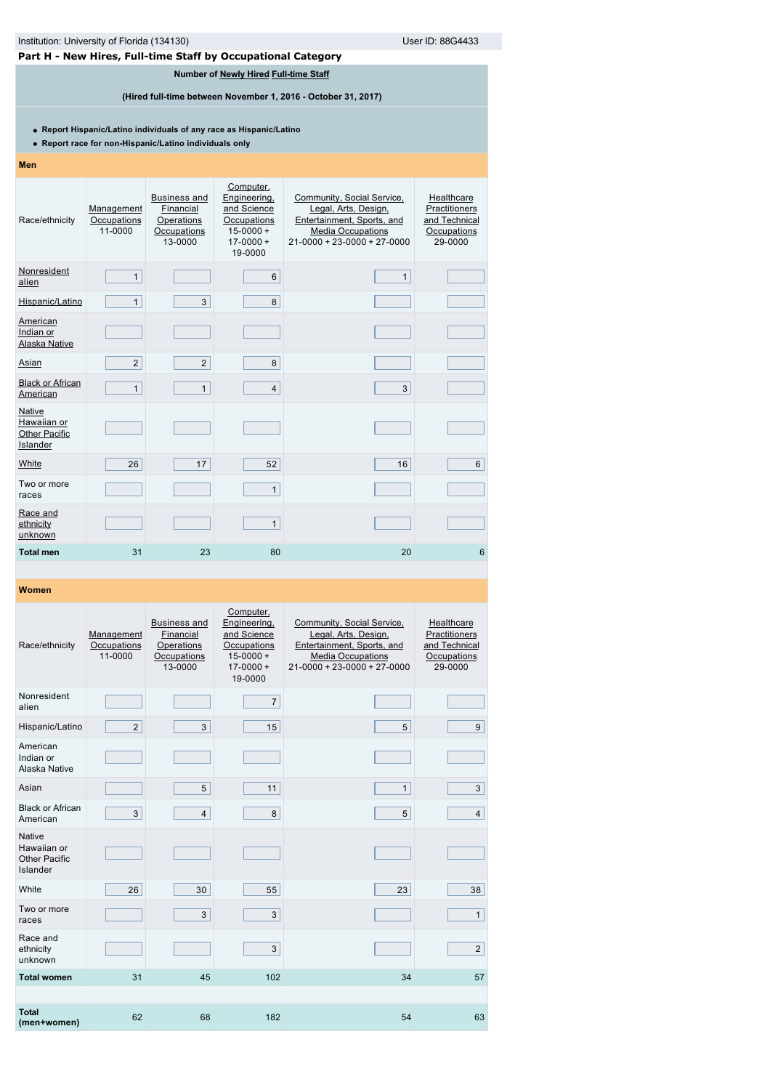| Institution: University of Florida (134130)<br>User ID: 88G4433                                                               |                                      |                                                                          |                                                                                                      |                                                                                                                                             |                                                                        |  |  |  |  |
|-------------------------------------------------------------------------------------------------------------------------------|--------------------------------------|--------------------------------------------------------------------------|------------------------------------------------------------------------------------------------------|---------------------------------------------------------------------------------------------------------------------------------------------|------------------------------------------------------------------------|--|--|--|--|
| Part H - New Hires, Full-time Staff by Occupational Category                                                                  |                                      |                                                                          |                                                                                                      |                                                                                                                                             |                                                                        |  |  |  |  |
| Number of Newly Hired Full-time Staff                                                                                         |                                      |                                                                          |                                                                                                      |                                                                                                                                             |                                                                        |  |  |  |  |
| (Hired full-time between November 1, 2016 - October 31, 2017)                                                                 |                                      |                                                                          |                                                                                                      |                                                                                                                                             |                                                                        |  |  |  |  |
| • Report Hispanic/Latino individuals of any race as Hispanic/Latino<br>• Report race for non-Hispanic/Latino individuals only |                                      |                                                                          |                                                                                                      |                                                                                                                                             |                                                                        |  |  |  |  |
| Men                                                                                                                           |                                      |                                                                          |                                                                                                      |                                                                                                                                             |                                                                        |  |  |  |  |
| Race/ethnicity                                                                                                                | Management<br>Occupations<br>11-0000 | <b>Business and</b><br>Financial<br>Operations<br>Occupations<br>13-0000 | Computer,<br>Engineering,<br>and Science<br>Occupations<br>$15 - 0000 +$<br>$17 - 0000 +$<br>19-0000 | Community, Social Service,<br>Legal, Arts, Design,<br>Entertainment, Sports, and<br><b>Media Occupations</b><br>21-0000 + 23-0000 + 27-0000 | Healthcare<br>Practitioners<br>and Technical<br>Occupations<br>29-0000 |  |  |  |  |
| Nonresident<br>alien                                                                                                          | $\mathbf{1}$                         |                                                                          | 6                                                                                                    | $\mathbf{1}$                                                                                                                                |                                                                        |  |  |  |  |
| Hispanic/Latino                                                                                                               | $\mathbf{1}$                         | 3                                                                        | 8                                                                                                    |                                                                                                                                             |                                                                        |  |  |  |  |
| American<br>Indian or<br>Alaska Native                                                                                        |                                      |                                                                          |                                                                                                      |                                                                                                                                             |                                                                        |  |  |  |  |
| <u>Asian</u>                                                                                                                  | $\overline{2}$                       | $\overline{2}$                                                           | 8                                                                                                    |                                                                                                                                             |                                                                        |  |  |  |  |
| <b>Black or African</b><br>American                                                                                           | $\mathbf{1}$                         | $\mathbf{1}$                                                             | 4                                                                                                    | 3                                                                                                                                           |                                                                        |  |  |  |  |
| Native<br>Hawaiian or<br>Other Pacific<br>Islander                                                                            |                                      |                                                                          |                                                                                                      |                                                                                                                                             |                                                                        |  |  |  |  |
| White                                                                                                                         | 26                                   | 17                                                                       | 52                                                                                                   | 16                                                                                                                                          | 6                                                                      |  |  |  |  |
| Two or more<br>races                                                                                                          |                                      |                                                                          | $\mathbf{1}$                                                                                         |                                                                                                                                             |                                                                        |  |  |  |  |
| Race and<br>ethnicity<br>unknown                                                                                              |                                      |                                                                          | $\mathbf{1}$                                                                                         |                                                                                                                                             |                                                                        |  |  |  |  |

# **Women**

| Race/ethnicity                                                   | Management<br>Occupations<br>11-0000 | <b>Business and</b><br>Financial<br>Operations<br>Occupations<br>13-0000 | Computer,<br>Engineering,<br>and Science<br>Occupations<br>$15 - 0000 +$<br>$17-0000+$<br>19-0000 | Community, Social Service,<br>Legal, Arts, Design,<br>Entertainment, Sports, and<br><b>Media Occupations</b><br>$21-0000 + 23-0000 + 27-0000$ | Healthcare<br>Practitioners<br>and Technical<br>Occupations<br>29-0000 |
|------------------------------------------------------------------|--------------------------------------|--------------------------------------------------------------------------|---------------------------------------------------------------------------------------------------|-----------------------------------------------------------------------------------------------------------------------------------------------|------------------------------------------------------------------------|
| Nonresident<br>alien                                             |                                      |                                                                          | $\overline{7}$                                                                                    |                                                                                                                                               |                                                                        |
| Hispanic/Latino                                                  | $\overline{2}$                       | 3                                                                        | 15                                                                                                | 5                                                                                                                                             | $9\,$                                                                  |
| American<br>Indian or<br>Alaska Native                           |                                      |                                                                          |                                                                                                   |                                                                                                                                               |                                                                        |
| Asian                                                            |                                      | 5                                                                        | 11                                                                                                | $\mathbf{1}$                                                                                                                                  | 3                                                                      |
| <b>Black or African</b><br>American                              | 3                                    | $\overline{4}$                                                           | 8                                                                                                 | 5                                                                                                                                             | $\overline{4}$                                                         |
| <b>Native</b><br>Hawaiian or<br><b>Other Pacific</b><br>Islander |                                      |                                                                          |                                                                                                   |                                                                                                                                               |                                                                        |
| White                                                            | 26                                   | 30                                                                       | 55                                                                                                | 23                                                                                                                                            | 38                                                                     |
| Two or more<br>races                                             |                                      | 3                                                                        | 3                                                                                                 |                                                                                                                                               | $\mathbf{1}$                                                           |
| Race and<br>ethnicity<br>unknown                                 |                                      |                                                                          | 3                                                                                                 |                                                                                                                                               | $\sqrt{2}$                                                             |
| <b>Total women</b>                                               | 31                                   | 45                                                                       | 102                                                                                               | 34                                                                                                                                            | 57                                                                     |
|                                                                  |                                      |                                                                          |                                                                                                   |                                                                                                                                               |                                                                        |
| <b>Total</b><br>(men+women)                                      | 62                                   | 68                                                                       | 182                                                                                               | 54                                                                                                                                            | 63                                                                     |

**Total men** 31 23 80 20 20 30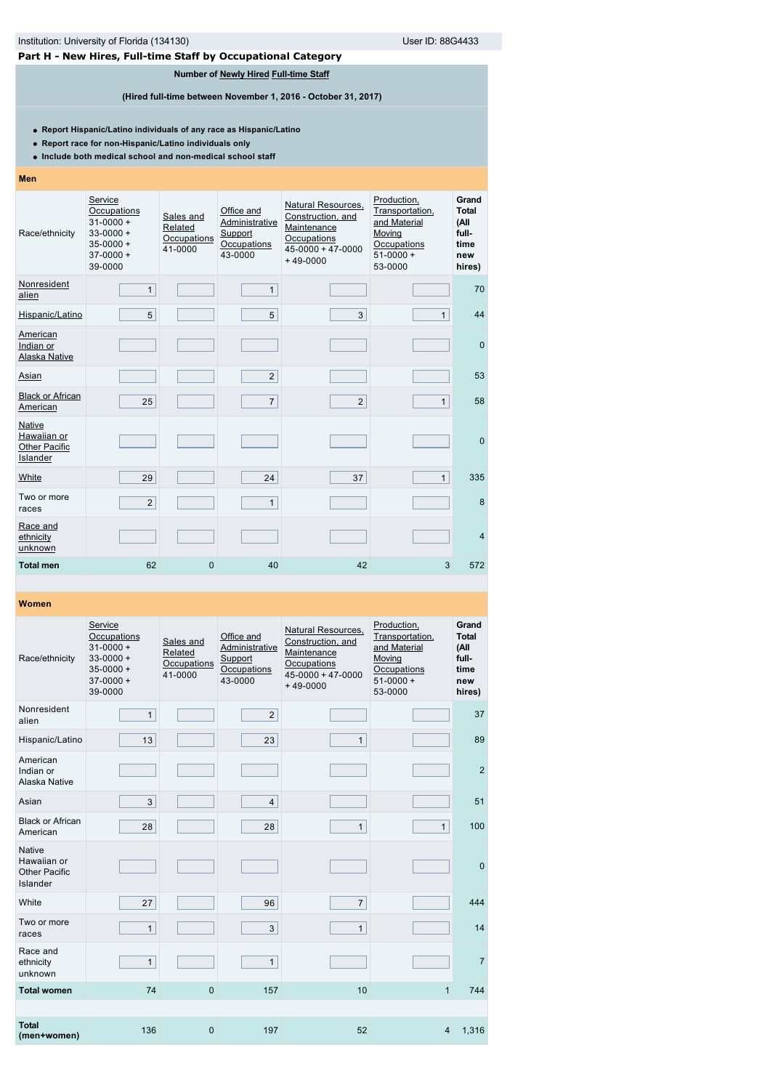# **Part H - New Hires, Full-time Staff by Occupational Category**

**Number of [Newly Hired](javascript:openglossary(407)) [Full-time Staff](javascript:openglossary(257))**

**(Hired full-time between November 1, 2016 - October 31, 2017)**

**Report Hispanic/Latino individuals of any race as Hispanic/Latino**

**Report race for non-Hispanic/Latino individuals only**

**Include both medical school and non-medical school staff**

# **Men**

| Race/ethnicity                                            | Service<br>Occupations<br>$31 - 0000 +$<br>$33 - 0000 +$<br>$35 - 0000 +$<br>$37-0000+$<br>39-0000 | Sales and<br>Related<br>Occupations<br>41-0000 | Office and<br>Administrative<br>Support<br>Occupations<br>43-0000 | Natural Resources,<br>Construction, and<br>Maintenance<br>Occupations<br>$45 - 0000 + 47 - 0000$<br>$+49-0000$ | Production,<br>Transportation,<br>and Material<br>Moving<br>Occupations<br>$51 - 0000 +$<br>53-0000 | Grand<br><b>Total</b><br>(All<br>full-<br>time<br>new<br>hires) |
|-----------------------------------------------------------|----------------------------------------------------------------------------------------------------|------------------------------------------------|-------------------------------------------------------------------|----------------------------------------------------------------------------------------------------------------|-----------------------------------------------------------------------------------------------------|-----------------------------------------------------------------|
| Nonresident<br>alien                                      | $\mathbf{1}$                                                                                       |                                                | $\mathbf{1}$                                                      |                                                                                                                |                                                                                                     | 70                                                              |
| Hispanic/Latino                                           | 5                                                                                                  |                                                | 5                                                                 | 3                                                                                                              | $\mathbf{1}$                                                                                        | 44                                                              |
| American<br>Indian or<br>Alaska Native                    |                                                                                                    |                                                |                                                                   |                                                                                                                |                                                                                                     | $\mathbf{0}$                                                    |
| Asian                                                     |                                                                                                    |                                                | $\overline{2}$                                                    |                                                                                                                |                                                                                                     | 53                                                              |
| <b>Black or African</b><br>American                       | 25                                                                                                 |                                                | $\overline{7}$                                                    | $\overline{2}$                                                                                                 | $\mathbf{1}$                                                                                        | 58                                                              |
| Native<br>Hawaiian or<br><b>Other Pacific</b><br>Islander |                                                                                                    |                                                |                                                                   |                                                                                                                |                                                                                                     | $\mathbf{0}$                                                    |
| White                                                     | 29                                                                                                 |                                                | 24                                                                | 37                                                                                                             | $\mathbf{1}$                                                                                        | 335                                                             |
| Two or more<br>races                                      | $\overline{2}$                                                                                     |                                                | $\mathbf{1}$                                                      |                                                                                                                |                                                                                                     | 8                                                               |
| Race and<br>ethnicity<br>unknown                          |                                                                                                    |                                                |                                                                   |                                                                                                                |                                                                                                     | $\overline{4}$                                                  |
| <b>Total men</b>                                          | 62                                                                                                 | 0                                              | 40                                                                | 42                                                                                                             | 3                                                                                                   | 572                                                             |

| Race/ethnicity                                                   | Service<br>Occupations<br>$31 - 0000 +$<br>$33 - 0000 +$<br>$35 - 0000 +$<br>$37-0000+$<br>39-0000 | Sales and<br>Related<br>Occupations<br>41-0000 | Office and<br>Administrative<br>Support<br>Occupations<br>43-0000 | Natural Resources.<br>Construction, and<br>Maintenance<br>Occupations<br>$45 - 0000 + 47 - 0000$<br>$+49-0000$ | Production,<br>Transportation,<br>and Material<br>Moving<br>Occupations<br>$51-0000+$<br>53-0000 | Grand<br><b>Total</b><br>(All<br>full-<br>time<br>new<br>hires) |
|------------------------------------------------------------------|----------------------------------------------------------------------------------------------------|------------------------------------------------|-------------------------------------------------------------------|----------------------------------------------------------------------------------------------------------------|--------------------------------------------------------------------------------------------------|-----------------------------------------------------------------|
| Nonresident<br>alien                                             | $\mathbf{1}$                                                                                       |                                                | $\overline{2}$                                                    |                                                                                                                |                                                                                                  | 37                                                              |
| Hispanic/Latino                                                  | 13                                                                                                 |                                                | 23                                                                | $\mathbf{1}$                                                                                                   |                                                                                                  | 89                                                              |
| American<br>Indian or<br>Alaska Native                           |                                                                                                    |                                                |                                                                   |                                                                                                                |                                                                                                  | $\overline{2}$                                                  |
| Asian                                                            | 3                                                                                                  |                                                | $\overline{4}$                                                    |                                                                                                                |                                                                                                  | 51                                                              |
| <b>Black or African</b><br>American                              | 28                                                                                                 |                                                | 28                                                                | $\mathbf{1}$                                                                                                   | 1                                                                                                | 100                                                             |
| <b>Native</b><br>Hawaiian or<br><b>Other Pacific</b><br>Islander |                                                                                                    |                                                |                                                                   |                                                                                                                |                                                                                                  | $\mathbf{0}$                                                    |
| White                                                            | 27                                                                                                 |                                                | 96                                                                | $\overline{7}$                                                                                                 |                                                                                                  | 444                                                             |
| Two or more<br>races                                             | $\mathbf{1}$                                                                                       |                                                | 3                                                                 | $\mathbf{1}$                                                                                                   |                                                                                                  | 14                                                              |
| Race and<br>ethnicity<br>unknown                                 | $\mathbf{1}$                                                                                       |                                                | $\mathbf{1}$                                                      |                                                                                                                |                                                                                                  | $\overline{7}$                                                  |
| <b>Total women</b>                                               | 74                                                                                                 | $\mathbf{0}$                                   | 157                                                               | 10                                                                                                             | $\mathbf{1}$                                                                                     | 744                                                             |
|                                                                  |                                                                                                    |                                                |                                                                   |                                                                                                                |                                                                                                  |                                                                 |
| <b>Total</b><br>(men+women)                                      | 136                                                                                                | $\mathbf{0}$                                   | 197                                                               | 52                                                                                                             | $\overline{4}$                                                                                   | 1,316                                                           |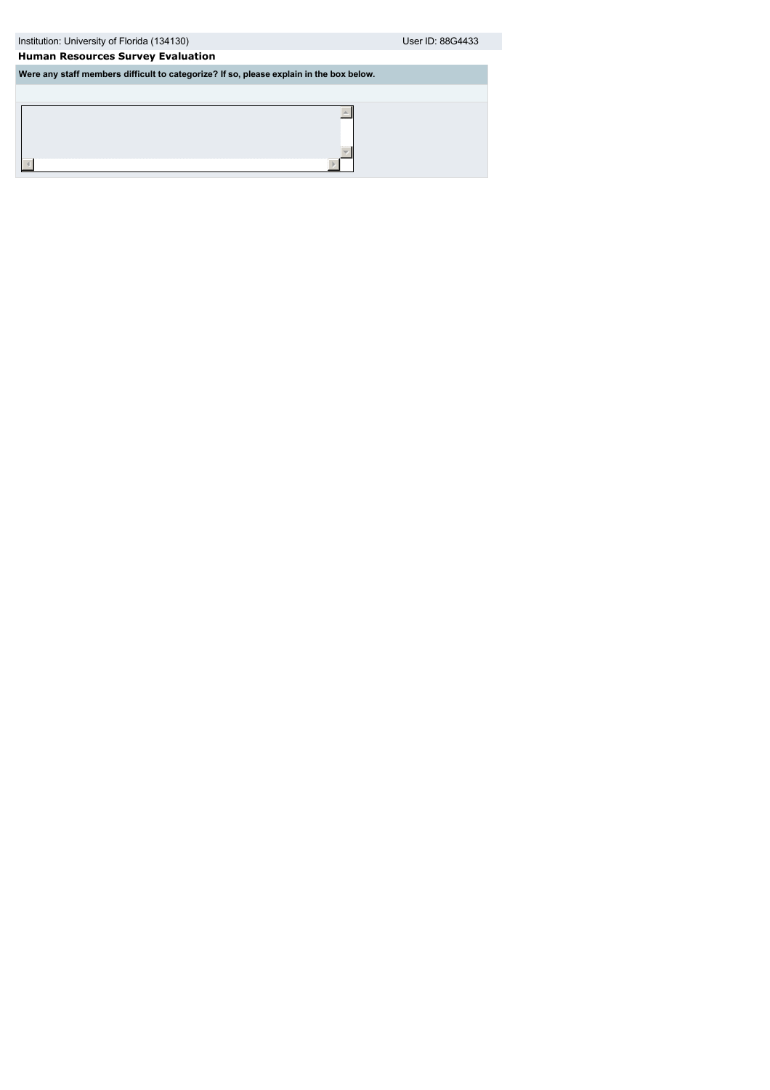| Institution: University of Florida (134130) | User ID: 88G4433 |
|---------------------------------------------|------------------|

 $\blacktriangle$ 

 $\mathbb{E}$ 

# **Human Resources Survey Evaluation**

 $\overline{4}$ 

**Were any staff members difficult to categorize? If so, please explain in the box below.**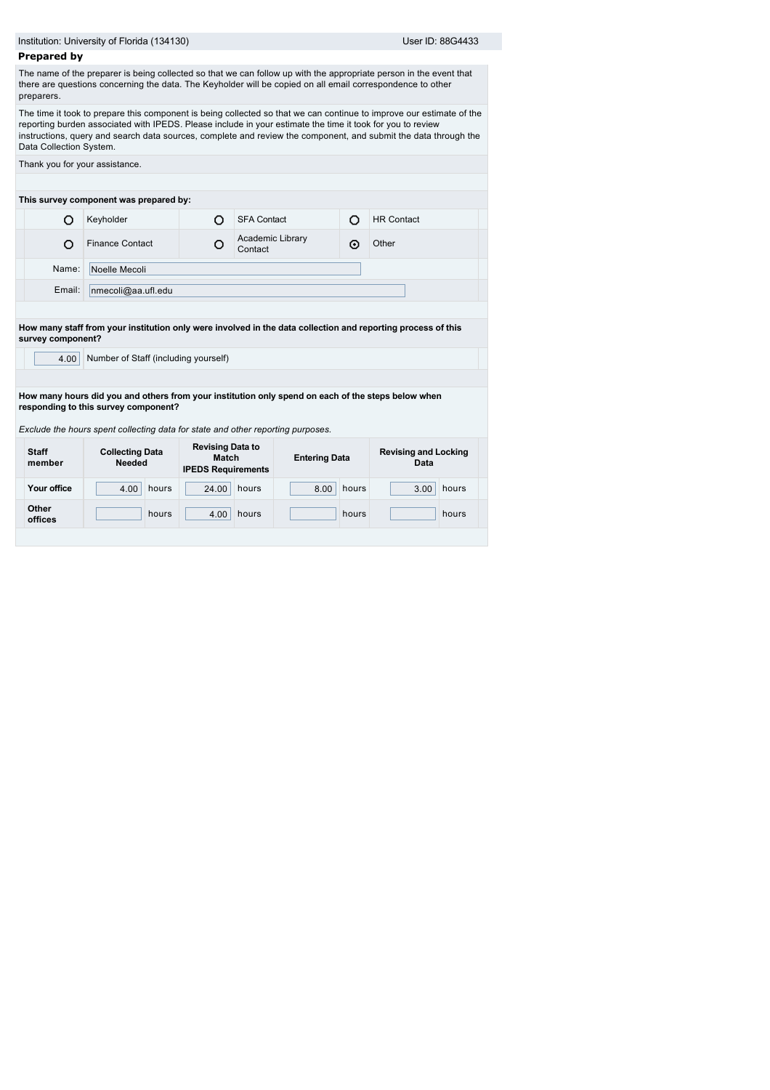| <b>Prepared by</b>      | Institution: University of Florida (134130) |                                                               |                                                                                                                                                                                       |       | User ID: 88G4433                                                                                                                                                                                                                        |
|-------------------------|---------------------------------------------|---------------------------------------------------------------|---------------------------------------------------------------------------------------------------------------------------------------------------------------------------------------|-------|-----------------------------------------------------------------------------------------------------------------------------------------------------------------------------------------------------------------------------------------|
|                         |                                             |                                                               |                                                                                                                                                                                       |       |                                                                                                                                                                                                                                         |
| preparers.              |                                             |                                                               | there are questions concerning the data. The Keyholder will be copied on all email correspondence to other                                                                            |       | The name of the preparer is being collected so that we can follow up with the appropriate person in the event that                                                                                                                      |
| Data Collection System. |                                             |                                                               | reporting burden associated with IPEDS. Please include in your estimate the time it took for you to review                                                                            |       | The time it took to prepare this component is being collected so that we can continue to improve our estimate of the<br>instructions, query and search data sources, complete and review the component, and submit the data through the |
|                         | Thank you for your assistance.              |                                                               |                                                                                                                                                                                       |       |                                                                                                                                                                                                                                         |
|                         |                                             |                                                               |                                                                                                                                                                                       |       |                                                                                                                                                                                                                                         |
|                         | This survey component was prepared by:      |                                                               |                                                                                                                                                                                       |       |                                                                                                                                                                                                                                         |
| Ω                       | Keyholder                                   | $\circ$                                                       | <b>SFA Contact</b>                                                                                                                                                                    | Ō     | <b>HR Contact</b>                                                                                                                                                                                                                       |
| O                       | <b>Finance Contact</b>                      | O                                                             | Academic Library<br>Contact                                                                                                                                                           | ⊙     | Other                                                                                                                                                                                                                                   |
| Name:                   | Noelle Mecoli                               |                                                               |                                                                                                                                                                                       |       |                                                                                                                                                                                                                                         |
| Email:                  | nmecoli@aa.ufl.edu                          |                                                               |                                                                                                                                                                                       |       |                                                                                                                                                                                                                                         |
| survey component?       |                                             |                                                               |                                                                                                                                                                                       |       | How many staff from your institution only were involved in the data collection and reporting process of this                                                                                                                            |
|                         | Number of Staff (including yourself)        |                                                               |                                                                                                                                                                                       |       |                                                                                                                                                                                                                                         |
| 4.00                    |                                             |                                                               |                                                                                                                                                                                       |       |                                                                                                                                                                                                                                         |
|                         |                                             |                                                               |                                                                                                                                                                                       |       |                                                                                                                                                                                                                                         |
|                         | responding to this survey component?        |                                                               | How many hours did you and others from your institution only spend on each of the steps below when<br>Exclude the hours spent collecting data for state and other reporting purposes. |       |                                                                                                                                                                                                                                         |
| <b>Staff</b><br>member  | <b>Collecting Data</b><br><b>Needed</b>     | <b>Revising Data to</b><br>Match<br><b>IPEDS Requirements</b> | <b>Entering Data</b>                                                                                                                                                                  |       | <b>Revising and Locking</b><br>Data                                                                                                                                                                                                     |
| Your office             | hours<br>4.00                               | 24.00                                                         | hours<br>8.00                                                                                                                                                                         | hours | hours<br>3.00                                                                                                                                                                                                                           |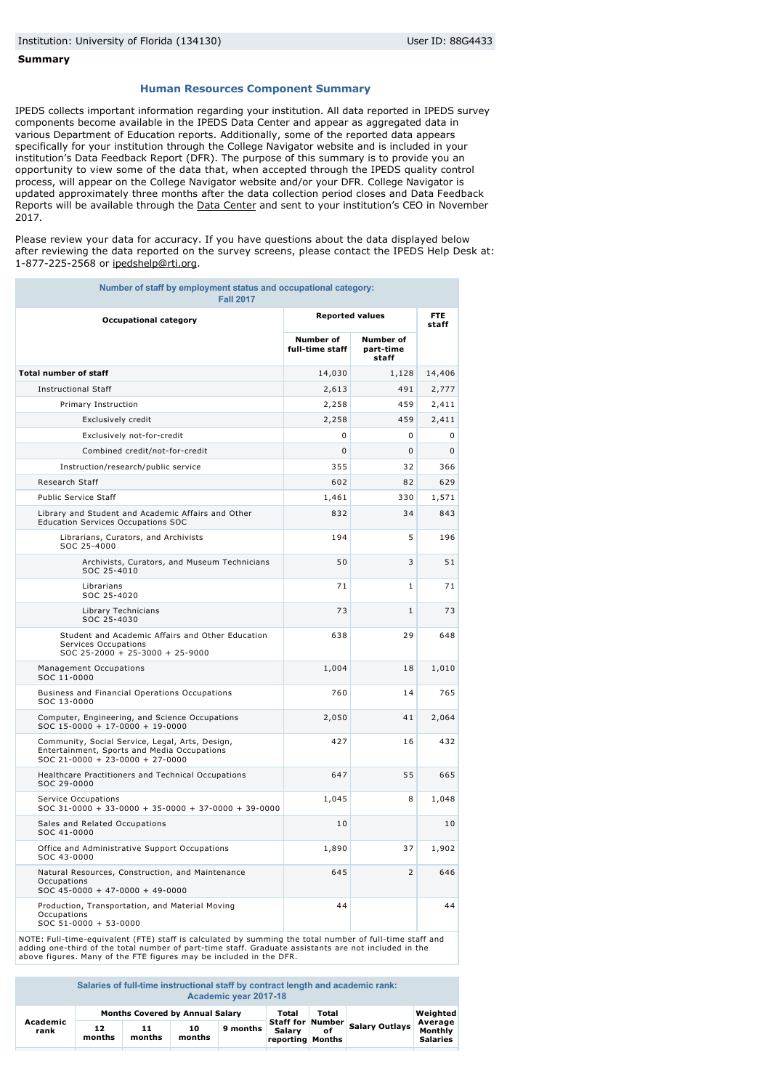#### **Summary**

#### **Human Resources Component Summary**

IPEDS collects important information regarding your institution. All data reported in IPEDS survey components become available in the IPEDS Data Center and appear as aggregated data in various Department of Education reports. Additionally, some of the reported data appears specifically for your institution through the College Navigator website and is included in your institution's Data Feedback Report (DFR). The purpose of this summary is to provide you an opportunity to view some of the data that, when accepted through the IPEDS quality control process, will appear on the College Navigator website and/or your DFR. College Navigator is updated approximately three months after the data collection period closes and Data Feedback Reports will be available through the [Data Center](http://nces.ed.gov/ipeds/datacenter/) and sent to your institution's CEO in November 2017.

Please review your data for accuracy. If you have questions about the data displayed below after reviewing the data reported on the survey screens, please contact the IPEDS Help Desk at: 1-877-225-2568 or [ipedshelp@rti.org](mailto:ipedshelp@rti.org).

| Number of staff by employment status and occupational category:<br><b>Fall 2017</b>                                               |                              |                                 |                     |
|-----------------------------------------------------------------------------------------------------------------------------------|------------------------------|---------------------------------|---------------------|
| <b>Occupational category</b>                                                                                                      |                              | <b>Reported values</b>          | <b>FTE</b><br>staff |
|                                                                                                                                   | Number of<br>full-time staff | Number of<br>part-time<br>staff |                     |
| <b>Total number of staff</b>                                                                                                      | 14,030                       | 1,128                           | 14,406              |
| <b>Instructional Staff</b>                                                                                                        | 2,613                        | 491                             | 2,777               |
| Primary Instruction                                                                                                               | 2,258                        | 459                             | 2,411               |
| Exclusively credit                                                                                                                | 2,258                        | 459                             | 2,411               |
| Exclusively not-for-credit                                                                                                        | $\mathbf 0$                  | $\mathbf 0$                     | $\mathbf 0$         |
| Combined credit/not-for-credit                                                                                                    | 0                            | 0                               | 0                   |
| Instruction/research/public service                                                                                               | 355                          | 32                              | 366                 |
| Research Staff                                                                                                                    | 602                          | 82                              | 629                 |
| <b>Public Service Staff</b>                                                                                                       | 1,461                        | 330                             | 1,571               |
| Library and Student and Academic Affairs and Other<br>Education Services Occupations SOC                                          | 832                          | 34                              | 843                 |
| Librarians, Curators, and Archivists<br>SOC 25-4000                                                                               | 194                          | 5                               | 196                 |
| Archivists, Curators, and Museum Technicians<br>SOC 25-4010                                                                       | 50                           | 3                               | 51                  |
| Librarians<br>SOC 25-4020                                                                                                         | 71                           | 1                               | 71                  |
| Library Technicians<br>SOC 25-4030                                                                                                | 73                           | $\mathbf{1}$                    | 73                  |
| Student and Academic Affairs and Other Education<br>Services Occupations<br>SOC 25-2000 + 25-3000 + 25-9000                       | 638                          | 29                              | 648                 |
| Management Occupations<br>SOC 11-0000                                                                                             | 1,004                        | 18                              | 1,010               |
| Business and Financial Operations Occupations<br>SOC 13-0000                                                                      | 760                          | 14                              | 765                 |
| Computer, Engineering, and Science Occupations<br>SOC 15-0000 + 17-0000 + 19-0000                                                 | 2,050                        | 41                              | 2,064               |
| Community, Social Service, Legal, Arts, Design,<br>Entertainment, Sports and Media Occupations<br>SOC 21-0000 + 23-0000 + 27-0000 | 427                          | 16                              | 432                 |
| Healthcare Practitioners and Technical Occupations<br>SOC 29-0000                                                                 | 647                          | 55                              | 665                 |
| Service Occupations<br>SOC 31-0000 + 33-0000 + 35-0000 + 37-0000 + 39-0000                                                        | 1,045                        | 8                               | 1,048               |
| Sales and Related Occupations<br>SOC 41-0000                                                                                      | 10                           |                                 | 10                  |
| Office and Administrative Support Occupations<br>SOC 43-0000                                                                      | 1,890                        | 37                              | 1,902               |
| Natural Resources, Construction, and Maintenance<br>Occupations<br>SOC 45-0000 + 47-0000 + 49-0000                                | 645                          | $\overline{2}$                  | 646                 |
| Production, Transportation, and Material Moving<br>Occupations<br>SOC 51-0000 + 53-0000                                           | 44                           |                                 | 44                  |

NOTE: Full-time-equivalent (FTE) staff is calculated by summing the total number of full-time staff and<br>adding one-third of the total number of part-time staff. Graduate assistants are not included in the<br>above figures. Ma

**Salaries of full-time instructional staff by contract length and academic rank: Academic year 2017-18**

| Academic |              | <b>Months Covered by Annual Salary</b> |              | Total    | Total                      |    | Weighted<br>Average             |                            |
|----------|--------------|----------------------------------------|--------------|----------|----------------------------|----|---------------------------------|----------------------------|
| rank     | 12<br>months | 11<br>months                           | 10<br>months | 9 months | Salarv<br>reporting Months | of | Staff for Number Salary Outlays | Monthly<br><b>Salaries</b> |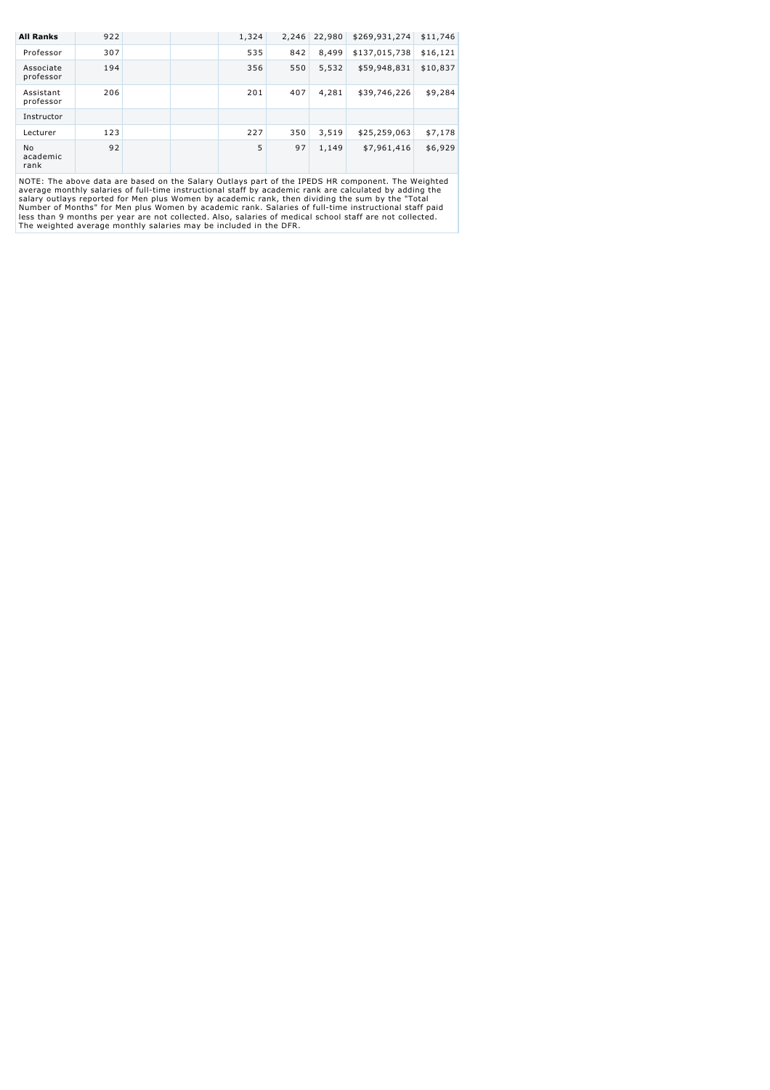| <b>All Ranks</b>       | 922 |  | 1,324 | 2,246 | 22,980 | \$269,931,274 | \$11,746 |
|------------------------|-----|--|-------|-------|--------|---------------|----------|
| Professor              | 307 |  | 535   | 842   | 8,499  | \$137,015,738 | \$16,121 |
| Associate<br>professor | 194 |  | 356   | 550   | 5.532  | \$59,948,831  | \$10,837 |
| Assistant<br>professor | 206 |  | 201   | 407   | 4,281  | \$39,746,226  | \$9,284  |
| Instructor             |     |  |       |       |        |               |          |
| Lecturer               | 123 |  | 227   | 350   | 3,519  | \$25,259,063  | \$7,178  |
| No<br>academic<br>rank | 92  |  | 5     | 97    | 1,149  | \$7,961,416   | \$6,929  |

NOTE: The above data are based on the Salary Outlays part of the IPEDS HR component. The Weighted<br>average monthly salaries of full-time instructional staff by academic rank are calculated by adding the<br>salary outlays repor